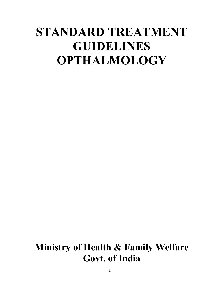# **STANDARD TREATMENT GUIDELINES OPTHALMOLOGY**

# **Ministry of Health & Family Welfare Govt. of India**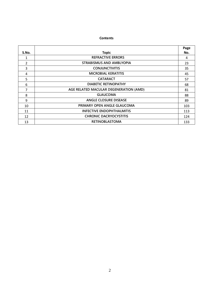#### **Contents**

|                |                                        | Page |
|----------------|----------------------------------------|------|
| S.No.          | <b>Topic</b>                           | No.  |
|                | <b>REFRACTIVE ERRORS</b>               | 4    |
| $\overline{2}$ | STRABISMUS AND AMBLYOPIA               | 23   |
| 3              | <b>CONJUNCTIVITIS</b>                  | 35   |
| 4              | <b>MICROBIAL KERATITIS</b>             | 45   |
| 5              | <b>CATARACT</b>                        | 57   |
| 6              | <b>DIABETIC RETINOPATHY</b>            | 68   |
| 7              | AGE RELATED MACULAR DEGENERATION (AMD) | 81   |
| 8              | <b>GLAUCOMA</b>                        | 88   |
| 9              | ANGLE CLOSURE DISEASE                  | 89   |
| 10             | PRIMARY OPEN ANGLE GLAUCOMA            | 103  |
| 11             | <b>INFECTIVE ENDOPHTHALMITIS</b>       | 113  |
| 12             | <b>CHRONIC DACRYOCYSTITIS</b>          | 124  |
| 13             | <b>RETINOBLASTOMA</b>                  | 133  |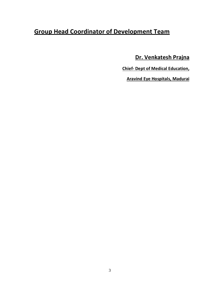# **Group Head Coordinator of Development Team**

**Dr. Venkatesh Prajna**

**Chief- Dept of Medical Education,**

**Aravind Eye Hospitals, Madurai**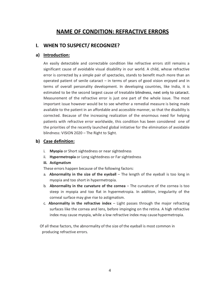# **NAME OF CONDITION: REFRACTIVE ERRORS**

## **I. WHEN TO SUSPECT/ RECOGNIZE?**

#### **a) Introduction:**

An easily detectable and correctable condition like refractive errors still remains a significant cause of avoidable visual disability in our world. A child, whose refractive error is corrected by a simple pair of spectacles, stands to benefit much more than an operated patient of senile cataract – in terms of years of good vision enjoyed and in terms of overall personality development. In developing countries, like India, it is estimated to be the second largest cause of treatable blindness, next only to cataract. Measurement of the refractive error is just one part of the whole issue. The most important issue however would be to see whether a remedial measure is being made available to the patient in an affordable and accessible manner, so that the disability is corrected. Because of the increasing realization of the enormous need for helping patients with refractive error worldwide, this condition has been considered one of the priorities of the recently launched global initiative for the elimination of avoidable blindness: VISION 2020 – The Right to Sight.

#### **b) Case definition:**

- i. **Myopia** or Short sightedness or near sightedness
- ii. **Hypermetropia** or Long sightedness or Far sightedness

#### **iii. Astigmatism**

These errors happen because of the following factors:

- a. **Abnormality in the size of the eyeball** The length of the eyeball is too long in myopia and too short in hypermetropia.
- b. **Abnormality in the curvature of the cornea**  The curvature of the cornea is too steep in myopia and too flat in hypermetropia. In addition, irregularity of the corneal surface may give rise to astigmatism.
- c. **Abnormality in the refractive index**  Light passes through the major refracting surfaces like the cornea and lens, before impinging on the retina. A high refractive index may cause myopia, while a low refractive index may cause hypermetropia.

Of all these factors, the abnormality of the size of the eyeball is most common in producing refractive errors.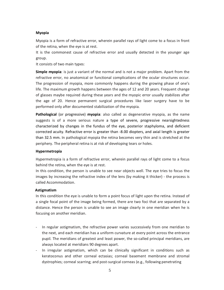#### **Myopia**

Myopia is a form of refractive error, wherein parallel rays of light come to a focus in front of the retina, when the eye is at rest.

It is the commonest cause of refractive error and usually detected in the younger age group.

It consists of two main types:

**Simple myopia**: is just a variant of the normal and is not a major problem. Apart from the refractive error, no anatomical or functional complications of the ocular structures occur. The progression of myopia, more commonly happens during the growing phase of one's life. The maximum growth happens between the ages of 12 and 20 years. Frequent change of glasses maybe required during these years and the myopic error usually stabilizes after the age of 20. Hence permanent surgical procedures like laser surgery have to be performed only after documented stabilization of the myopia.

**Pathological** (or progressive) **myopia**: also called as degenerative myopia, as the name suggests is of a more serious nature a type of severe, progressive nearsightedness characterized by changes in the fundus of the eye, posterior staphyloma, and deficient corrected acuity. Refractive error is greater than -8.00 diopters, and axial length is greater than 32.5 mm. In pathological myopia the retina becomes very thin and is stretched at the periphery. The peripheral retina is at risk of developing tears or holes.

#### **Hypermetropia**

Hypermetropia is a form of refractive error, wherein parallel rays of light come to a focus behind the retina, when the eye is at rest.

In this condition, the person is unable to see near objects well. The eye tries to focus the images by increasing the refractive index of the lens (by making it thicker) - the process is called Accommodation.

#### **Astigmatism**

In this condition the eye is unable to form a point focus of light upon the retina. Instead of a single focal point of the image being formed, there are two foci that are separated by a distance. Hence the person is unable to see an image clearly in one meridian when he is focusing on another meridian.

- In regular astigmatism, the refractive power varies successively from one meridian to the next, and each meridian has a uniform curvature at every point across the entrance pupil. The meridians of greatest and least power, the so-called principal meridians, are always located at meridians 90 degrees apart.
- In irregular astigmatism, which can be clinically significant in conditions such as keratoconus and other corneal ectasias; corneal basement membrane and stromal dystrophies; corneal scarring; and post-surgical corneas (e.g., following penetrating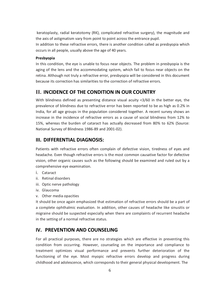keratoplasty, radial keratotomy (RK), complicated refractive surgery), the magnitude and the axis of astigmatism vary from point to point across the entrance pupil.

In addition to these refractive errors, there is another condition called as presbyopia which occurs in all people, usually above the age of 40 years.

#### **Presbyopia**

In this condition, the eye is unable to focus near objects. The problem in presbyopia is the aging of the lens and the accommodating system, which fail to focus near objects on the retina. Although not truly a refractive error, presbyopia will be considered in this document because its correction has similarities to the correction of refractive errors.

# **II. INCIDENCE OF THE CONDITION IN OUR COUNTRY**

With blindness defined as presenting distance visual acuity <3/60 in the better eye, the prevalence of blindness due to refractive error has been reported to be as high as 0.2% in India, for all age groups in the population considered together. A recent survey shows an increase in the incidence of refractive errors as a cause of social blindness from 12% to 15%, whereas the burden of cataract has actually decreased from 80% to 62% (Source: National Survey of Blindness 1986-89 and 2001-02).

# **III. DIFFERENTIAL DIAGNOSIS:**

Patients with refractive errors often complain of defective vision, tiredness of eyes and headache. Even though refractive errors is the most common causative factor for defective vision, other organic causes such as the following should be examined and ruled out by a comprehensive eye examination.

- i. Cataract
- ii. Retinal disorders
- iii. Optic nerve pathology
- iv. Glaucoma
- v. Other media opacities

It should be once again emphasized that estimation of refractive errors should be a part of a complete ophthalmic evaluation. In addition, other causes of headache like sinusitis or migraine should be suspected especially when there are complaints of recurrent headache in the setting of a normal refractive status.

# **IV. PREVENTION AND COUNSELING**

For all practical purposes, there are no strategies which are effective in preventing this condition from occurring. However, counseling on the importance and compliance to treatment optimizes visual performance and prevents further deterioration of the functioning of the eye. Most myopic refractive errors develop and progress during childhood and adolescence, which corresponds to their general physical development. The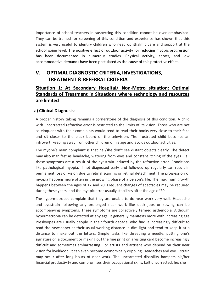importance of school teachers in suspecting this condition cannot be over emphasized. They can be trained for screening of this condition and experience has shown that this system is very useful to identify children who need ophthalmic care and support at the school going level. The positive effect of outdoor activity for reducing myopic progression has been documented in numerous studies. Physical activity, sports, and low accommodative demands have been postulated as the cause of this protective effect.

# **V. OPTIMAL DIAGNOSTIC CRITERIA,INVESTIGATIONS, TREATMENT & REFERRAL CRITERIA**

# **Situation 1: At Secondary Hospital/ Non-Metro situation: Optimal Standards of Treatment in Situations where technology and resources are limited**

#### **a) Clinical Diagnosis**:

A proper history taking remains a cornerstone of the diagnosis of this condition. A child with uncorrected refractive error is restricted to the limits of its vision. Those who are not so eloquent with their complaints would tend to read their books very close to their face and sit closer to the black board or the television. The frustrated child becomes an introvert, keeping away from other children of his age and avoids outdoor activities.

The myope's main complaint is that he /she don't see distant objects clearly. The defect may also manifest as headache, watering from eyes and constant itching of the eyes – all these symptoms are a result of the eyestrain induced by the refractive error. Conditions like pathological myopia, if not diagnosed early and followed up regularly can result in permanent loss of vision due to retinal scarring or retinal detachment. The progression of myopia happens more often in the growing phase of a person's life. The maximum growth happens between the ages of 12 and 20. Frequent changes of spectacles may be required during these years, and the myopic error usually stabilizes after the age of 20.

The hypermetropes complain that they are unable to do near work very well. Headache and eyestrain following any prolonged near work like desk jobs or sewing can be accompanying symptoms. These symptoms are collectively termed asthenopia. Although hypermetropia can be detected at any age, it generally manifests more with increasing age Presbyopes are usually people in their fourth decade, who find it increasingly difficult to read the newspaper at their usual working distance in dim light and tend to keep it at a distance to make out the letters. Simple tasks like threading a needle, putting one's signature on a document or making out the fine print on a visiting card become increasingly difficult and sometimes embarrassing. For artists and artisans who depend on their near vision for livelihood, it can even become economically crippling. Headaches and eye – strain may occur after long hours of near work. The uncorrected disability hampers his/her financial productivity and compromises their occupational skills. Left uncorrected, he/she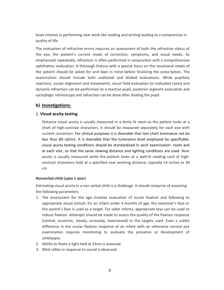loses interest in performing near work like reading and writing leading to a compromise in quality of life.

The evaluation of refractive errors requires an assessment of both the refractive status of the eye, the patient's current mode of correction, symptoms, and visual needs. As emphasized repeatedly, refraction is often performed in conjunction with a comprehensive ophthalmic evaluation. A thorough history with a special focus on the vocational needs of the patient should be asked for and kept in mind before finalizing the prescription. The examination should include both undilated and dilated evaluations. While pupillary reactions, ocular alignment and movements, visual field evaluation (in indicated cases) and dynamic refraction can be performed on a reactive pupil, posterior segment evaluation and cycloplegic retinoscopy and refraction can be done after dilating the pupil.

#### **b) Investigations**:

#### 1. **Visual acuity testing**

Distance visual acuity is usually measured in a dimly lit room as the patient looks at a chart of high-contrast characters. It should be measured separately for each eye with current correction. For clinical purposes it is desirable that test chart luminance not be less than 80 cd/m2. It is desirable that the luminance level employed be specifiable. visual acuity testing conditions should be standardized in each examination room and at each visit, so that the same viewing distance and lighting conditions are used. Near acuity is usually measured while the patient looks at a well-lit reading card of highcontrast characters held at a specified near working distance, typically 14 inches or 30 cm

#### **Nonverbal child (upto 1 year)**

Estimating visual acuity in a non verbal child is a challenge. It should comprise of assessing the following parameters.

- 1. The assessment for this age involves evaluation of ocular fixation and following to appropriate visual stimuli: for an infant under 4 months of age, the examiner's face or the parent's face is used as a target. For older infants, appropriate toys can be used to induce fixation. Attempts should be made to assess the quality of the fixation response (central, eccentric, steady, unsteady, maintained) to the targets used. Even a subtle difference in the ocular fixation response of an infant with an otherwise normal eye examination requires monitoring to evaluate the presence or development of amblyopia.
- 2. Ability to fixate a light held at 33cm.is assessed
- 3. Blink reflex in response to sound is observed.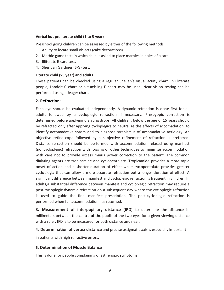#### **Verbal but preliterate child (1 to 5 year)**

Preschool going children can be assessed by either of the following methods.

- 1. Ability to locate small objects (cake decorations).
- 2. Marble game test; in which child is asked to place marbles in holes of a card.
- 3. Illiterate E-card test.
- 4. Sheridan Gardiner (S-G) test.

#### **Literate child (>5 year) and adults**

These patients can be checked using a regular Snellen's visual acuity chart. In illiterate people, Landolt C chart or a tumbling E chart may be used. Near vision testing can be performed using a Jeager chart.

#### **2. Refraction:**

Each eye should be evaluated independently. A dynamic refraction is done first for all adults followed by a cycloplegic refraction if necessary. Presbyopic correction is determined before applying dialating drops. All children, below the age of 15 years should be refracted only after applying cycloplegics to neutralize the effects of accomadation, to identify accomadative spasm and to diagnose strabismus of accomadative aetiology. An objective retinoscope followed by a subjective refinement of refraction is preferred. Distance refraction should be performed with accommodation relaxed using manifest (noncycloplegic) refraction with fogging or other techniques to minimize accommodation with care not to provide excess minus power correction to the patient. The common dialating agents are tropicamide and cyclopentolate. Tropicamide provides a more rapid onset of action and a shorter duration of effect while cyclopentolate provides greater cycloplegia that can allow a more accurate refraction but a longer duration of effect. A significant difference between manifest and cycloplegic refraction is frequent in children; In adults,a substantial difference between manifest and cycloplegic refraction may require a post-cycloplegic dynamic refraction on a subsequent day where the cycloplegic refraction is used to guide the final manifest prescription. The post-cycloplegic refraction is performed when full accommodation has returned.

**3. Measurement of interpupillary distance (IPD)** to determine the distance in millimeters between the centre of the pupils of the two eyes for a given viewing distance with a ruler. IPD is to be measured for both distance and near.

**4. Determination of vertex distance** and precise astigmatic axis is especially important

in patients with high refractive errors.

#### **5. Determination of Muscle Balance**

This is done for people complaining of asthenopic symptoms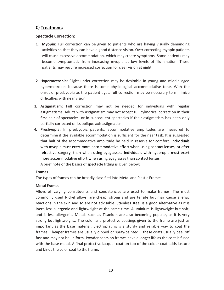#### **C) Treatment:**

#### **Spectacle Correction:**

- **1. Myopia:** Full correction can be given to patients who are having visually demanding activities so that they can have a good distance vision. Over correcting myopic patients will cause excessive accommodation, which may create symptoms. Some patients may become symptomatic from increasing myopia at low levels of illumination. These patients may require increased correction for clear vision at night.
- **2. Hypermetropia:** Slight under correction may be desirable in young and middle aged hypermetropes because there is some physiological accommodative tone. With the onset of presbyopia as the patient ages, full correction may be necessary to minimize difficulties with near vision.
- **3. Astigmatism:** Full correction may not be needed for individuals with regular astigmatisms. Adults with astigmatism may not accept full cylindrical correction in their first pair of spectacles, or in subsequent spectacles if their astigmatism has been only partially corrected or its oblique axis astigmatism.
- **4. Presbyopia:** In presbyopic patients, accommodative amplitudes are measured to determine if the available accommodation is sufficient for the near task. It is suggested that half of the accommodative amplitude be held in reserve for comfort. Individuals with myopia must exert more accommodative effort when using contact lenses, or after refractive surgery, than when using eyeglasses. Individuals with hyperopia must exert more accommodative effort when using eyeglasses than contact lenses.

A brief note of the basics of spectacle fitting is given below:

#### **Frames**

The types of frames can be broadly classified into Metal and Plastic Frames.

#### **Metal Frames**

Alloys of varying constituents and consistencies are used to make frames. The most commonly used Nickel alloys, are cheap, strong and are tensile but may cause allergic reactions in the skin and so are not advisable. Stainless steel is a good alternative as it is inert, less allergenic and lightweight at the same time. Aluminium is lightweight but soft, and is less allergenic. Metals such as Titanium are also becoming popular, as it is very strong but lightweight.. The color and protective coatings given to the frame are just as important as the base material. Electroplating is a sturdy and reliable way to coat the frames. Cheaper frames are usually dipped or spray-painted – these coats usually peel off fast and may not be uniform. Powder coats on frames have a longer life as the coat is fused with the base metal. A final protective lacquer coat on top of the colour coat adds lusture and binds the color coat to the frame.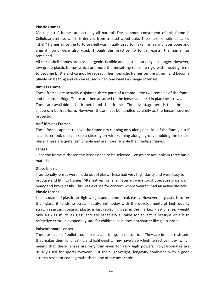#### **Plastic Frames**

Most 'plastic' frames are actually all natural. The common constituent of this frame is Cellulose acetate, which is derived from treated wood pulp. These are sometimes called "shell" frames since the tortoise shell was initially used to make frames and later bone and animal horns were also used. Though this practice no longer exists, the name has remained.

All these shell frames are less allergenic, flexible and elastic – so they last longer. However, low-grade plastic frames which are more thermosetting (become rigid with heating) tend to become brittle and cannot be reused. Thermoplastic frames on the other hand become pliable on heating and can be reused when one wants a change of lenses.

#### **Rimless Frame**

These frames are actually disjointed three parts of a frame – the two temples of the frame and the nose bridge. These are then attached to the lenses and held in place by screws. These are available in both metal and shell frames. The advantage here is that the lens shape can be free form. However, these must be handled carefully as the lenses have no protection.

#### **Half-Rimless Frames**

These frames appear to have the frame rim running only along one side of the frame, but if at a closer look one can see a clear nylon wire running along a groove holding the lens in place. These are quite fashionable and are more reliable than rimless frames.

#### **Lenses**

Once the frame is chosen the lenses need to be selected. Lenses are available in three basic materials:

#### **Glass Lenses**

Traditionally lenses were made out of glass. These had very high clarity and were easy to produce and fit into frames. Alternatives for lens materials were sought because glass was heavy and broke easily. This was a cause for concern where wearers had an active lifestyle.

#### **Plastic Lenses**

Lenses made of plastic are lightweight and do not break easily. However, as plastic is softer than glass, it tends to scratch easily. But today with the developments of high quality scratch resistant coatings plastic is fast replacing glass in the market. Plastic lenses weight only 40% as much as glass and are especially suitable for an active lifestyle or a high refractive error. It is especially safe for children, as it does not shatter like glass lenses.

#### **Polycarbonate Lenses**

These are called "bulletproof" lenses and for good reason too. They are impact resistant, that makes them long lasting and lightweight. They have a very high refractive index, which means that these lenses are very thin even for very high powers. Polycarbonates are usually used for sports eyewear. But their lightweight, longevity combined with a good scratch resistant coating make them one of the best choices.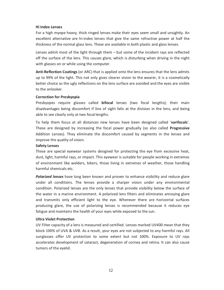#### **Hi Index Lenses**

For a high myope heavy, thick ringed lenses make their eyes seem small and unsightly. An excellent alternative are hi-index lenses that give the same refractive power at half the thickness of the normal glass lens. These are available in both plastic and glass lenses.

Lenses admit most of the light through them – but some of the incident rays are reflected off the surface of the lens. This causes glare, which is disturbing when driving in the night with glasses on or while using the computer.

**Anti-Reflection Coatings** (or ARC) that is applied onto the lens ensures that the lens admits up to 99% of the light. This not only gives clearer vision to the wearer, it is a cosmetically better choice as the ugly reflections on the lens surface are avoided and the eyes are visible to the onlooker.

#### **Correction for Presbyopia**

Presbyopes require glasses called **bifocal** lenses (two focal lengths); their main disadvantages being discomfort if line of sight falls at the division in the lens; and being able to see clearly only at two focal lengths.

To help them focus at all distances new lenses have been designed called '**varifocals**'. These are designed by increasing the focal power gradually (so also called **Progressive**  Addition Lenses). They eliminate the discomfort caused by segments in the lenses and improve the quality of vision.

#### **Safety Lenses**

These are special eyewear systems designed for protecting the eye from excessive heat, dust, light, harmful rays, or impact. This eyewear is suitable for people working in extremes of environment like welders, bikers, those living in extremes of weather, those handling harmful chemicals etc.

*Polarized lenses* have long been known and proven to enhance visibility and reduce glare under all conditions. The lenses provide a sharper vision under any environmental condition. Polarized lenses are the only lenses that provide visibility below the surface of the water in a marine environment. A polarized lens filters and eliminates annoying glare and transmits only efficient light to the eye. Wherever there are horizontal surfaces producing glare, the use of polarizing lenses is recommended because it reduces eye fatigue and maintains the health of your eyes while exposed to the sun.

#### **Ultra Violet Protection**

UV Filter capacity of a lens is measured and certified. Lenses marked UV400 mean that they block 100% of UVA & UVB. As a result, your eyes are not subjected to any harmful rays. All sunglasses offer UV protection to some extent but not 100%. Exposure to UV rays accelerates development of cataract, degeneration of cornea and retina. It can also cause tumors of the eyelid.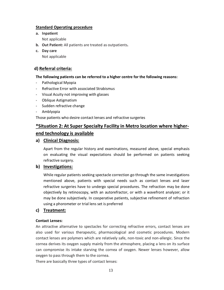#### **Standard Operating procedure**

**a. Inpatient**

Not applicable

- **b. Out Patient:** All patients are treated as outpatients**.**
- **c. Day care**

Not applicable

## **d) Referral criteria:**

#### **The following patients can be referred to a higher centre for the following reasons:**

- Pathological Myopia
- Refractive Error with associated Strabismus
- Visual Acuity not improving with glasses
- Oblique Astigmatism
- Sudden refractive change
- Amblyopia

Those patients who desire contact lenses and refractive surgeries

# **\*Situation 2: At Super Specialty Facility in Metro location where higherend technology is available**

#### **a) Clinical Diagnosis:**

Apart from the regular history and examinations, measured above, special emphasis on evaluating the visual expectations should be performed on patients seeking refractive surgery.

#### **b) Investigations:**

While regular patients seeking spectacle correction go through the same investigations mentioned above, patients with special needs such as contact lenses and laser refractive surgeries have to undergo special procedures. The refraction may be done objectively by retinoscopy, with an autorefractor, or with a wavefront analyzer; or it may be done subjectively. In cooperative patients, subjective refinement of refraction using a phorometer or trial lens set is preferred

#### **c) Treatment:**

#### **Contact Lenses:**

An attractive alternative to spectacles for correcting refractive errors, contact lenses are also used for various therapeutic, pharmacological and cosmetic procedures. Modern contact lenses are polymers which are relatively safe, non-toxic and non-allergic. Since the cornea derives its oxygen supply mainly from the atmosphere, placing a lens on its surface can compromise its intake starving the cornea of oxygen. Newer lenses however, allow oxygen to pass through them to the cornea.

There are basically three types of contact lenses: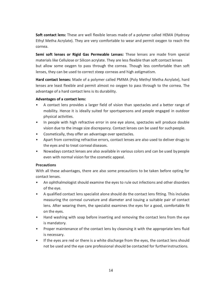**Soft contact lens:** These are well flexible lenses made of a polymer called HEMA (Hydroxy Ethyl Metha Acrylate). They are very comfortable to wear and permit oxygen to reach the cornea.

**Semi soft lenses or Rigid Gas Permeable Lenses:** These lenses are made from special materials like Cellulose or Silicon acrylate. They are less flexible than soft contact lenses but allow some oxygen to pass through the cornea. Though less comfortable than soft lenses, they can be used to correct steep corneas and high astigmatism.

**Hard contact lenses:** Made of a polymer called PMMA (Poly Methyl Metha Acrylate), hard lenses are least flexible and permit almost no oxygen to pass through to the cornea. The advantage of a hard contact lens is its durability.

#### **Advantages of a contact lens:**

- A contact lens provides a larger field of vision than spectacles and a better range of mobility. Hence it is ideally suited for sportspersons and people engaged in outdoor physical activities.
- In people with high refractive error in one eye alone, spectacles will produce double vision due to the image size discrepancy. Contact lenses can be used for suchpeople.
- Cosmetically, they offer an advantage over spectacles.
- Apart from correcting refractive errors, contact lenses are also used to deliver drugs to the eyes and to treat corneal diseases.
- Nowadays contact lenses are also available in various colors and can be used bypeople even with normal vision for the cosmetic appeal.

#### **Precautions**

With all these advantages, there are also some precautions to be taken before opting for contact lenses.

- An ophthalmologist should examine the eyes to rule out infections and other disorders of the eye.
- A qualified contact lens specialist alone should do the contact lens fitting. This includes measuring the corneal curvature and diameter and issuing a suitable pair of contact lens. After wearing them, the specialist examines the eyes for a good, comfortable fit on the eyes.
- Hand washing with soap before inserting and removing the contact lens from the eye is mandatory.
- Proper maintenance of the contact lens by cleansing it with the appropriate lens fluid is necessary.
- If the eyes are red or there is a white discharge from the eyes, the contact lens should not be used and the eye care professional should be contacted for furtherinstructions.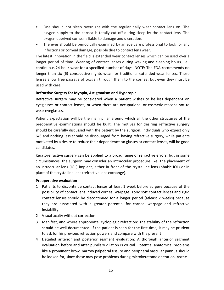- One should not sleep overnight with the regular daily wear contact lens on. The oxygen supply to the cornea is totally cut off during sleep by the contact lens. The oxygen deprived cornea is liable to damage and ulceration.
- The eyes should be periodically examined by an eye care professional to look for any infections or corneal damage, possible due to contact lens wear.

The latest innovation in the field is extended wear contact lenses which can be used over a longer period of time. Wearing of contact lenses during waking and sleeping hours, i.e., continuous 24 hour wear for a specified number of days. NOTE: The FDA recommends no longer than six (6) consecutive nights wear for traditional extended-wear lenses. These lenses allow free passage of oxygen through them to the cornea, but even they must be used with care.

#### **Refractive Surgery for Myopia, Astigmatism and Hyperopia**

Refractive surgery may be considered when a patient wishes to be less dependent on eyeglasses or contact lenses, or when there are occupational or cosmetic reasons not to wear eyeglasses.

Patient expectation will be the main pillar around which all the other structures of the preoperative examinations should be built. The motives for desiring refractive surgery should be carefully discussed with the patient by the surgeon. Individuals who expect only 6/6 and nothing less should be discouraged from having refractive surgery, while patients motivated by a desire to reduce their dependence on glasses or contact lenses, will be good candidates.

Keratorefractive surgery can be applied to a broad range of refractive errors, but in some circumstances, the surgeon may consider an intraocular procedure like the placement of an intraocular lens (IOL) implant, either in front of the crystalline lens (phakic IOL) or in place of the crystalline lens (refractive lens exchange).

#### **Preoperative evaluation**

- 1. Patients to discontinue contact lenses at least 1 week before surgery because of the possibility of contact lens induced corneal warpage. Toric soft contact lenses and rigid contact lenses should be discontinued for a longer period (atleast 2 weeks) because they are associated with a greater potential for corneal warpage and refractive instability.
- 2. Visual acuity without correction
- 3. Manifest, and where appropriate, cycloplegic refraction: The stability of the refraction should be well documented. If the patient is seen for the first time, it may be prudent to ask for his previous refraction powers and compare with the present
- 4. Detailed anterior and posterior segment evaluation: A thorough anterior segment evaluation before and after pupillary dilation is crucial. Potential anatomical problems like a prominent brow, narrow palpebral fissure and peripheral vascular pannus should be looked for, since these may pose problems during microkeratome operation. Asthe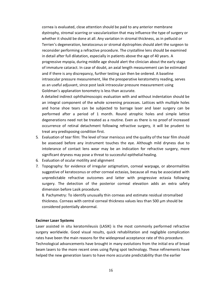cornea is evaluated, close attention should be paid to any anterior membrane dystrophy, stromal scarring or vascularization that may influence the type of surgery or whether it should be done at all. Any variation in stromal thickness, as in pellucid or Terrien's degeneration, keratoconus or stromal dystrophies should alert the surgeon to reconsider performing a refractive procedure. The crystalline lens should be examined in detail after full dilatation, especially in patients above the age of 40 years. A progressive myopia, during middle age should alert the clinician about the early stage of immature cataract. In case of doubt, an axial length measurement can be estimated and if there is any discrepancy, further testing can then be ordered. A baseline intraocular pressure measurement, like the preoperative keratometry reading, serves as an useful adjuvant, since post lasik intraocular pressure measurement using Goldman's applanation tonometry is less than accurate.

A detailed indirect ophthalmoscopic evaluation with and without indentation should be an integral component of the whole screening processes. Lattices with multiple holes and horse shoe tears can be subjected to barrage laser and laser surgery can be performed after a period of 1 month. Round atrophic holes and simple lattice degenerations need not be treated as a routine. Even as there is no proof of increased occurrence of retinal detachment following refractive surgery, it will be prudent to treat any predisposing condition first.

- 5. Evaluation of tear film: The level of tear meniscus and the quality of the tear film should be assessed before any instrument touches the eye. Although mild dryness due to intolerance of contact lens wear may be an indication for refractive surgery, more significant dryness may pose a threat to successful epithelial healing.
- 6. Evaluation of ocular motility and alignment
- 7. Topography: for evidence of irregular astigmatism, corneal warpage, or abnormalities suggestive of keratoconus or other corneal ectasias, because all may be associated with unpredictable refractive outcomes and latter with progressive ectasia following surgery. The detection of the posterior corneal elevation adds an extra safety dimension before Lasik procedure.

8. Pachymetry: To identify unusually thin corneas and estimate residual stromalbed thickness. Corneas with central corneal thickness values less than 500 μm should be considered potentially abnormal.

#### **Excimer Laser Systems**

Laser assisted in situ keratomileusis (LASIK) is the most commonly performed refractive surgery worldwide. Good visual results, quick rehabilitation and negligible complication rates have been the main reasons for the widespread acceptance rate of this procedure. Technological advancements have brought in many evolutions from the initial era of broad beam lasers to the more recent ones using flying spot technology. These refinements have helped the new generation lasers to have more accurate predictability than the earlier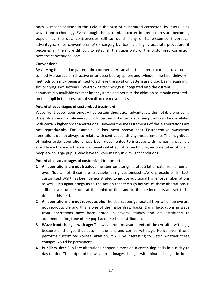ones. A recent addition in this field is the area of customized correction, by lasers using wave front technology. Even though the customized correction procedures are becoming popular by the day, controversies still surround many of its presumed theoretical advantages. Since conventional LASIK surgery by itself is a highly accurate procedure, it becomes all the more difficult to establish the superiority of the customized correction over the conventional one.

#### **Conventional**

By varying the ablation pattern, the excimer laser can alter the anterior corneal curvature to modify a particular refractive error described by sphere and cylinder. The laser delivery methods currently being utilized to achieve the ablation pattern are broad beam, scanning slit, or flying spot systems. Eye-tracking technology is integrated into the current commercially available excimer laser systems and permits the ablation to remain centered on the pupil in the presence of small ocular movements.

#### **Potential advantages of customized treatment**

Wave front based aberrometry has certain theoretical advantages, the notable one being the evaluation of whole eye optics. In certain instances, visual symptoms can be correlated with certain higher order aberrations. However the measurements of these aberrations are not reproducible. For example, it has been shown that Postoperative wavefront aberrations do not always correlate with contrast sensitivity measurements<sup>.</sup> The magnitude of higher order aberrations have been documented to increase with increasing papillary size. Hence there is a theoretical beneficial effect of correcting higher order aberrations in people with large pupils, who have to work mainly in dim light conditions.

#### **Potential disadvantages of customized treatment**

- **1. All aberrations are not treated:** The aberrometer generates a lot of data from a human eye. Not all of these are treatable using customized LASIK procedure. In fact, customized LASIK has been demonstrated to induce additional higher order aberrations as well. This again brings us to the notion that the significance of these aberrations is still not well understood at this point of time and further refinements are yet to be done in this field.
- **2. All aberrations are not reproducible:** The aberrations generated from a human eye are not reproducible and this is one of the major draw backs. Daily fluctuations in wave front aberrations have been noted in several studies and are attributed to accommodation, tone of the pupil and tear film distribution.
- **3. Wave front changes with age:** The wave front measurements of the eye alter with age, because of changes that occur in the lens and cornea with age. Hence even if one performs customized corneal ablation, it will be interesting to watch whether these changes would be permanent.
- **4. Pupillary size:** Pupillary alterations happen almost on a continuing basis in our day to day routine. The output of the wave front images changes with minute changes inthe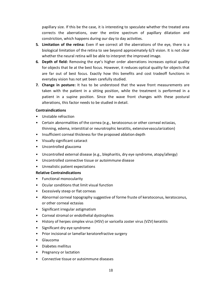papillary size. If this be the case, it is interesting to speculate whether the treated area corrects the aberrations, over the entire spectrum of papillary dilatation and constriction, which happens during our day to day activities.

- **5. Limitation of the retina:** Even if we correct all the aberrations of the eye, there is a biological limitation of the retina to see beyond approximately 6/3 vision. It is not clear whether the neural retina will be able to interpret the improved image.
- **6. Depth of field:** Removing the eye's higher order aberrations increases optical quality for objects that lie at the best focus. However, it reduces optical quality for objects that are far out of best focus. Exactly how this benefits and cost tradeoff functions in everyday vision has not yet been carefully studied.
- **7. Change in posture:** It has to be understood that the wave front measurements are taken with the patient in a sitting position, while the treatment is performed in a patient in a supine position. Since the wave front changes with these postural alterations, this factor needs to be studied in detail.

#### **Contraindications**

- Unstable refraction
- Certain abnormalities of the cornea (e.g., keratoconus or other corneal ectasias, thinning, edema, interstitial or neurotrophic keratitis, extensivevascularization)
- Insufficient corneal thickness for the proposed ablation depth
- Visually significant cataract
- Uncontrolled glaucoma
- Uncontrolled external disease (e.g., blepharitis, dry eye syndrome, atopy/allergy)
- Uncontrolled connective tissue or autoimmune disease
- Unrealistic patient expectations

#### **Relative Contraindications**

- Functional monocularity
- Ocular conditions that limit visual function
- Excessively steep or flat corneas
- Abnormal corneal topography suggestive of forme fruste of keratoconus, keratoconus, or other corneal ectasias
- Significant irregular astigmatism
- Corneal stromal or endothelial dystrophies
- History of herpes simplex virus (HSV) or varicella zoster virus (VZV) keratitis
- Significant dry eye syndrome
- Prior incisional or lamellar keratorefractive surgery
- Glaucoma
- Diabetes mellitus
- Pregnancy or lactation
- Connective tissue or autoimmune diseases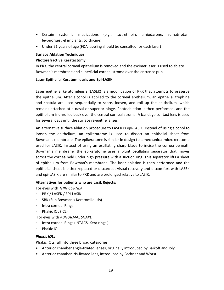- Certain systemic medications (e.g., isotretinoin, amiodarone, sumatriptan, levonorgestrel implants, colchicine)
- Under 21 years of age (FDA labeling should be consulted for each laser)

#### **Surface Ablation Techniques**

#### **Photorefractive Keratectomy**

In PRK, the central corneal epithelium is removed and the excimer laser is used to ablate Bowman's membrane and superficial corneal stroma over the entrance pupil.

#### **Laser Epithelial Keratomileusis and Epi-LASIK**

Laser epithelial keratomileusis (LASEK) is a modification of PRK that attempts to preserve the epithelium. After alcohol is applied to the corneal epithelium, an epithelial trephine and spatula are used sequentially to score, loosen, and roll up the epithelium, which remains attached at a nasal or superior hinge. Photoablation is then performed, and the epithelium is unrolled back over the central corneal stroma. A bandage contact lens is used for several days until the surface re-epithelializes.

An alternative surface ablation procedure to LASEK is epi-LASIK. Instead of using alcohol to loosen the epithelium, an epikeratome is used to dissect an epithelial sheet from Bowman's membrane. The epikeratome is similar in design to a mechanical microkeratome used for LASIK. Instead of using an oscillating sharp blade to incise the cornea beneath Bowman's membrane, the epikeratome uses a blunt oscillating separator that moves across the cornea held under high pressure with a suction ring. This separator lifts a sheet of epithelium from Bowman's membrane. The laser ablation is then performed and the epithelial sheet is either replaced or discarded. Visual recovery and discomfort with LASEK and epi-LASIK are similar to PRK and are prolonged relative to LASIK.

#### **Alternatives for patients who are Lasik Rejects:**

For eyes with *THIN CORNEA*

- PRK / LASEK / EPI-LASIK
- · SBK (Sub Bowman's Keratomileusis)
- · Intra corneal Rings
- Phakic IOL (ICL)

For eyes with *ABNORMAL SHAPE*

- · Intra corneal Rings (INTACS, Kera rings )
- Phakic **IOL**

#### *Phakic IOLs*

Phakic IOLs fall into three broad categories:

- Anterior chamber angle-fixated lenses, originally introduced by Baikoff and Joly
- Anterior chamber iris-fixated lens, introduced by Fechner and Worst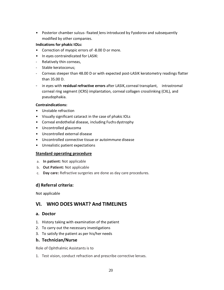• Posterior chamber sulcus- fixated lens introduced by Fyodorov and subsequently modified by other companies.

#### **Indications for phakic IOLs:**

- Correction of myopic errors of -8.00 D or more.
- In eyes contraindicated for LASIK:
- Relatively thin corneas,
- Stable keratoconus;
- Corneas steeper than 48.00 D or with expected post-LASIK keratometry readings flatter than 35.00 D.
- in eyes with **residual refractive errors** after LASIK, corneal transplant, intrastromal corneal ring segment (ICRS) implantation, corneal collagen crosslinking (CXL), and pseudophakia.

#### **Contraindications:**

- Unstable refraction
- Visually significant cataract in the case of phakic IOLs
- Corneal endothelial disease, including Fuchs dystrophy
- Uncontrolled glaucoma
- Uncontrolled external disease
- Uncontrolled connective tissue or autoimmune disease
- Unrealistic patient expectations

#### **Standard operating procedure**

- a. **In patient:** Not applicable
- b. **Out Patient:** Not applicable
- c. **Day care:** Refractive surgeries are done as day care procedures.

#### **d) Referral criteria:**

Not applicable

# **VI. WHO DOES WHAT? And TIMELINES**

#### **a. Doctor**

- 1. History taking with examination of the patient
- 2. To carry out the necessary investigations
- 3. To satisfy the patient as per his/her needs

#### **b. Technician/Nurse**

Role of Ophthalmic Assistants is to

1. Test vision, conduct refraction and prescribe corrective lenses.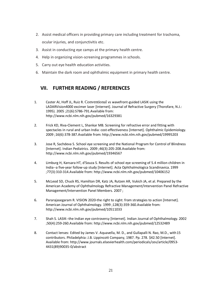- 2. Assist medical officers in providing primary care including treatment for trachoma, ocular injuries, and conjunctivitis etc.
- 3. Assist in conducting eye camps at the primary health centre.
- 4. Help in organizing vision-screening programmes in schools.
- 5. Carry out eye health education activities.
- 6. Maintain the dark room and ophthalmic equipment in primary health centre.

# **VII. FURTHER READING / REFERENCES**

- 1. Caster AI, Hoff JL, Ruiz R. Conventional vs wavefront-guided LASIK using the LADARVision4000 excimer laser [Internet]. Journal of Refractive Surgery (Thorofare, N.J.: 1995). 2005 ;21(6):S786-791.Available from: http://www.ncbi.nlm.nih.gov/pubmed/16329381
- 2. [Frick KD, Riva-Clement L, Shankar MB. Screening f](http://www.ncbi.nlm.nih.gov/pubmed/16329381)or refractive error and fitting with spectacles in rural and urban India: cost-effectiveness [Internet]. Ophthalmic Epidemiology. 2009 ;16(6):378-387.Available from: http://www.ncbi.nlm.nih.gov/pubmed/19995203
- 3. Jose R, Sachdeva S. School eye scr[eening and the National Program for Control of Blindn](http://www.ncbi.nlm.nih.gov/pubmed/19995203)ess [Internet]. Indian Pediatrics. 2009 ;46(3):205-208.Available from: http://www.ncbi.nlm.nih.gov/pubmed/19346567
- 4. [Limburg H, Kansara HT, d'Souza S. Results](http://www.ncbi.nlm.nih.gov/pubmed/19346567) of school eye screening of 5.4 million children in India--a five-year follow-up study [Internet]. Acta Ophthalmologica Scandinavica. 1999 ;77(3):310-314.Available from: http://www.ncbi.nlm.nih.gov/pubmed/10406152
- 5. McLeod SD, Chuck RS, Hamil[ton DR, Katz JA, Rutzen AR, Vukich JA, et al. Prepared b](http://www.ncbi.nlm.nih.gov/pubmed/10406152)y the American Academy of Ophthalmology Refractive Management/Intervention Panel Refractive Management/Intervention Panel Members. 2007 ;
- 6. Pararajasegaram R. VISION 2020-the right to sight: from strategies to action [Internet]. American Journal of Ophthalmology. 1999 ;128(3):359-360.Available from: http://www.ncbi.nlm.nih.gov/pubmed/10511033
- 7. Shah S. LASIK--the Indian eye controversy [Internet]. Indian Journal of Ophthalmology. 2002 [;50\(4\):259-260.Available from: http://www.ncbi.n](http://www.ncbi.nlm.nih.gov/pubmed/10511033)lm.nih.gov/pubmed/12532489
- 8. Contact lenses: Edited by James V. Aquavella, M. D., and Gullapalli N. Rao, M.D., with15 contributors. Philadelphia: J.[B. Lippincott Company, 1987. Pp. 278. \\$42.50 \[Interne](http://www.ncbi.nlm.nih.gov/pubmed/12532489)t]. Available from: http://www.journals.elsevierhealth.com/periodicals/cev/article/0953- 4431(89)90035-0/abstract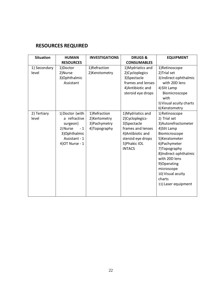# **RESOURCES REQUIRED**

| <b>Situation</b>      | <b>HUMAN</b>                                                                                                         | <b>INVESTIGATIONS</b>                                           | <b>DRUGS &amp;</b>                                                                                                                                    | <b>EQUIPMENT</b>                                                                                                                                                                                                                                                        |
|-----------------------|----------------------------------------------------------------------------------------------------------------------|-----------------------------------------------------------------|-------------------------------------------------------------------------------------------------------------------------------------------------------|-------------------------------------------------------------------------------------------------------------------------------------------------------------------------------------------------------------------------------------------------------------------------|
|                       | <b>RESOURCES</b>                                                                                                     |                                                                 | <b>CONSUMABLES</b>                                                                                                                                    |                                                                                                                                                                                                                                                                         |
| 1) Secondary<br>level | 1)Doctor<br>2) Nurse<br>3) Ophthalmic<br>Assistant                                                                   | 1)Refraction<br>2)Kerotometry                                   | 1) Mydriatics and<br>2) Cycloplegics<br>3)Spectacle<br>frames and lenses<br>4) Antibiotic and<br>steroid eye drops                                    | 1)Retinoscope<br>2)Trial set<br>3) Indirect ophthalmic<br>with 20D lens<br>4) Slit Lamp<br>Biomicroscope<br>with<br>5) Visual acuity charts<br>6) Keratometry                                                                                                           |
| 2) Tertiary<br>level  | 1) Doctor (with<br>a refractive<br>surgeon)<br>2) Nurse<br>$-1$<br>3) Ophthalmic<br>Assistant - 1<br>4) OT Nurse - 1 | 1)Refraction<br>2) Kertometry<br>3) Pachymetry<br>4) Topography | 1) Mydriatics and<br>2) Cycloplegics-<br>3)Spectacle<br>frames and lenses<br>4) Antibiotic and<br>steroid eye drops<br>5) Phakic IOL<br><b>INTACS</b> | 1) Retinoscope<br>2) Trial set<br>3) Autorefractometer<br>4) Slit Lamp<br>Biomicroscope<br>5)Keratometer<br>6) Pachymeter<br>7) Topography<br>8)Indirect ophthalmic<br>with 20D lens<br>9)Operating<br>microscope<br>10) Visual acuity<br>charts<br>11) Laser equipment |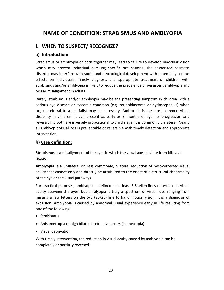# **NAME OF CONDITION: STRABISMUS AND AMBLYOPIA**

# **I. WHEN TO SUSPECT/ RECOGNIZE?**

#### **a) Introduction:**

Strabismus or amblyopia or both together may lead to failure to develop binocular vision which may prevent individual pursuing specific occupations. The associated cosmetic disorder may interfere with social and psychological development with potentially serious effects on individuals. Timely diagnosis and appropriate treatment of children with strabismus and/or amblyopia is likely to reduce the prevalence of persistent amblyopia and ocular misalignment in adults.

Rarely, strabismus and/or amblyopia may be the presenting symptom in children with a serious eye disease or systemic condition (e.g. retinoblastoma or hydrocephalus) when urgent referral to a specialist may be necessary. Amblyopia is the most common visual disability in children. It can present as early as 3 months of age. Its progression and reversibility both are inversely proportional to child's age. It is commonly unilateral. Nearly all amblyopic visual loss is preventable or reversible with timely detection and appropriate intervention.

## **b) Case definition:**

**Strabismus** is a misalignment of the eyes in which the visual axes deviate from bifoveal fixation.

**Amblyopia** is a unilateral or, less commonly, bilateral reduction of best-corrected visual acuity that cannot only and directly be attributed to the effect of a structural abnormality of the eye or the visual pathways.

For practical purposes, amblyopia is defined as at least 2 Snellen lines difference in visual acuity between the eyes, but amblyopia is truly a spectrum of visual loss, ranging from missing a few letters on the 6/6 (20/20) line to hand motion vision. It is a diagnosis of exclusion. Amblyopia is caused by abnormal visual experience early in life resulting from one of the following:

- · Strabismus
- · Anisometropia or high bilateral refractive errors (isometropia)
- · Visual deprivation

With timely intervention, the reduction in visual acuity caused by amblyopia can be completely or partially reversed.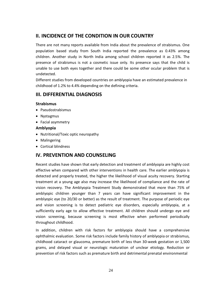# **II. INCIDENCE OF THE CONDITION IN OUR COUNTRY**

There are not many reports available from India about the prevalence of strabismus. One population based study from South India reported the prevalence as 0.43% among children. Another study in North India among school children reported it as 2.5%. The presence of strabismus is not a cosmetic issue only. Its presence says that the child is unable to use both eyes together and there could be some other ocular problem that is undetected.

Different studies from developed countries on amblyopia have an estimated prevalence in childhood of 1.2% to 4.4% depending on the defining criteria.

# **III. DIFFERENTIAL DIAGNOSIS**

#### **Strabismus**

- · Pseudostrabismus
- · Nystagmus
- · Facial asymmetry

#### **Amblyopia**

- · Nutritional/Toxic optic neuropathy
- · Malingering
- · Cortical blindness

# **IV. PREVENTION AND COUNSELING**

Recent studies have shown that early detection and treatment of amblyopia are highly cost effective when compared with other interventions in health care. The earlier amblyopia is detected and properly treated, the higher the likelihood of visual acuity recovery. Starting treatment at a young age also may increase the likelihood of compliance and the rate of vision recovery. The Amblyopia Treatment Study demonstrated that more than 75% of amblyopic children younger than 7 years can have significant improvement in the amblyopic eye (to 20/30 or better) as the result of treatment. The purpose of periodic eye and vision screening is to detect pediatric eye disorders, especially amblyopia, at a sufficiently early age to allow effective treatment. All children should undergo eye and vision screening, because screening is most effective when performed periodically throughout childhood.

In addition, children with risk factors for amblyopia should have a comprehensive ophthalmic evaluation. Some risk factors include family history of amblyopia or strabismus, childhood cataract or glaucoma, premature birth of less than 30-week gestation or 1,500 grams, and delayed visual or neurologic maturation of unclear etiology. Reduction or prevention of risk factors such as premature birth and detrimental prenatal environmental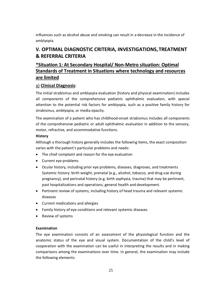influences such as alcohol abuse and smoking can result in a decrease in the incidence of amblyopia.

# **V. OPTIMAL DIAGNOSTIC CRITERIA, INVESTIGATIONS, TREATMENT & REFERRAL CRITERIA**

# **\*Situation 1: At Secondary Hospital/ Non-Metro situation: Optimal Standards of Treatment in Situations where technology and resources are limited**

## a) **Clinical Diagnosis**:

The initial strabismus and amblyopia evaluation (history and physical examination) includes all components of the comprehensive pediatric ophthalmic evaluation, with special attention to the potential risk factors for amblyopia, such as a positive family history for strabismus, amblyopia, or media opacity.

The examination of a patient who has childhood-onset strabismus includes all components of the comprehensive pediatric or adult ophthalmic evaluation in addition to the sensory, motor, refractive, and accommodative functions.

#### **History**

Although a thorough history generally includes the following items, the exact composition varies with the patient's particular problems and needs:

- The chief complaint and reason for the eye evaluation
- · Current eye problems
- · Ocular history, including prior eye problems, diseases, diagnoses, and treatments Systemic history: birth weight, prenatal (e.g., alcohol, tobacco, and drug use during pregnancy), and perinatal history (e.g. birth asphyxia, trauma) that may be pertinent, past hospitalizations and operations, general health and development.
- · Pertinent review of systems, including history of head trauma and relevant systemic diseases
- · Current medications and allergies
- · Family history of eye conditions and relevant systemic diseases
- · Review of systems

#### **Examination**

The eye examination consists of an assessment of the physiological function and the anatomic status of the eye and visual system. Documentation of the child's level of cooperation with the examination can be useful in interpreting the results and in making comparisons among the examinations over time. In general, the examination may include the following elements: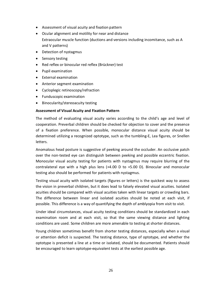- · Assessment of visual acuity and fixation pattern
- · Ocular alignment and motility for near and distance Extraocular muscle function (ductions and versions including incomitance, such as A and V patterns)
- · Detection of nystagmus
- Sensory testing
- · Red reflex or binocular red reflex (Brückner) test
- · Pupil examination
- · External examination
- · Anterior segment examination
- · Cycloplegic retinoscopy/refraction
- · Funduscopic examination
- Binocularity/stereoacuity testing

#### **Assessment of Visual Acuity and Fixation Pattern**

The method of evaluating visual acuity varies according to the child's age and level of cooperation. Preverbal children should be checked for objection to cover and the presence of a fixation preference. When possible, monocular distance visual acuity should be determined utilizing a recognized optotype, such as the tumbling-E, Lea figures, or Snellen letters.

Anomalous head posture is suggestive of peeking around the occluder. An occlusive patch over the non-tested eye can distinguish between peeking and possible eccentric fixation. Monocular visual acuity testing for patients with nystagmus may require blurring of the contralateral eye with a high plus lens (+4.00 D to +5.00 D). Binocular and monocular testing also should be performed for patients with nystagmus.

Testing visual acuity with isolated targets (figures or letters) is the quickest way to assess the vision in preverbal children, but it does lead to falsely elevated visual acuities. Isolated acuities should be compared with visual acuities taken with linear targets or crowding bars. The difference between linear and isolated acuities should be noted at each visit, if possible. This difference is a way of quantifying the depth of amblyopia from visit to visit.

Under ideal circumstances, visual acuity testing conditions should be standardized in each examination room and at each visit, so that the same viewing distance and lighting conditions are used. Some children are more amenable to testing at shorter distances.

Young children sometimes benefit from shorter testing distances, especially when a visual or attention deficit is suspected. The testing distance, type of optotype, and whether the optotype is presented a line at a time or isolated, should be documented. Patients should be encouraged to learn optotype-equivalent tests at the earliest possible age.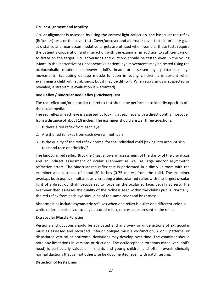#### **Ocular Alignment and Motility**

Ocular alignment is assessed by using the corneal light reflection, the binocular red reflex (Brückner) test, or the cover test. Cover/uncover and alternate cover tests in primary gaze at distance and near accommodative targets are utilized when feasible; these tests require the patient's cooperation and interaction with the examiner in addition to sufficient vision to fixate on the target. Ocular versions and ductions should be tested even in the young infant. In the inattentive or uncooperative patient, eye movements may be tested using the oculocephalic rotations maneuver (doll's head) or assessed by spontaneous eye movements. Evaluating oblique muscle function in young children is important when examining a child with strabismus, but it may be difficult. When strabismus is suspected or revealed, a strabismus evaluation is warranted).

#### **Red Reflex / Binocular Red Reflex (Brückner) Test**

The red reflex and/or binocular red reflex test should be performed to identify opacities of the ocular media.

The red reflex of each eye is assessed by looking at each eye with a direct ophthalmoscope from a distance of about 18 inches. The examiner should answer three questions:

- 1. Is there a red reflex from each eye?
- 2. Are the red reflexes from each eye symmetrical?
- 3. Is the quality of the red reflex normal for the individual child (taking into account skin tone and race or ethnicity)?

The binocular red reflex (Brückner) test allows an assessment of the clarity of the visual axis and an indirect assessment of ocular alignment as well as large and/or asymmetric refractive errors. The binocular red reflex test is performed in a dimly lit room with the examiner at a distance of about 30 inches (0.75 meter) from the child. The examiner overlaps both pupils simultaneously, creating a binocular red reflex with the largest circular light of a direct ophthalmoscope set to focus on the ocular surface, usually at zero. The examiner then assesses the quality of the redness seen within the child's pupils. Normally, the red reflex from each eye should be of the same color and brightness.

Abnormalities include asymmetric reflexes when one reflex is duller or a different color, a white reflex, a partially or totally obscured reflex, or crescents present in the reflex.

#### **Extraocular Muscle Function**

Versions and ductions should be evaluated and any over- or underactions of extraocular muscles assessed and recorded. Inferior oblique muscle dysfunction, A or V patterns, or dissociated vertical or horizontal deviations may develop over time. The examiner should note any limitations in versions or ductions. The oculocephalic rotations maneuver (doll's head) is particularly valuable in infants and young children and often reveals clinically normal ductions that cannot otherwise be documented, even with patch testing.

#### **Detection of Nystagmus**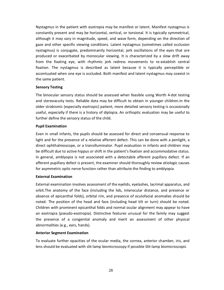Nystagmus in the patient with esotropia may be manifest or latent. Manifest nystagmus is constantly present and may be horizontal, vertical, or torsional. It is typically symmetrical, although it may vary in magnitude, speed, and wave form, depending on the direction of gaze and other specific viewing conditions. Latent nystagmus (sometimes called occlusion nystagmus) is conjugate, predominantly horizontal, jerk oscillations of the eyes that are produced or exacerbated by monocular viewing. It is characterized by a slow drift away from the fixating eye, with rhythmic jerk redress movements to re-establish central fixation. The nystagmus is described as latent because it is typically perceptible or accentuated when one eye is occluded. Both manifest and latent nystagmus may coexist in the same patient.

#### **Sensory Testing**

The binocular sensory status should be assessed when feasible using Worth 4-dot testing and stereoacuity tests. Reliable data may be difficult to obtain in younger children.In the older strabismic (especially esotropic) patient, more detailed sensory testing is occasionally useful, especially if there is a history of diplopia. An orthoptic evaluation may be useful to further define the sensory status of the child.

#### **Pupil Examination**

Even in small infants, the pupils should be assessed for direct and consensual response to light and for the presence of a relative afferent defect. This can be done with a penlight, a direct ophthalmoscope, or a transilluminator. Pupil evaluation in infants and children may be difficult due to active hippus or shift in the patient's fixation and accommodative status. In general, amblyopia is not associated with a detectable afferent pupillary defect. If an afferent pupillary defect is present, the examiner should thoroughly review etiologic causes for asymmetric optic nerve function rather than attribute the finding to amblyopia

#### **External Examination**

External examination involves assessment of the eyelids, eyelashes, lacrimal apparatus, and orbit.The anatomy of the face (including the lids, interocular distance, and presence or absence of epicanthal folds), orbital rim, and presence of oculofacial anomalies should be noted. The position of the head and face (including head tilt or turn) should be noted. Children with prominent epicanthal folds and normal ocular alignment may appear to have an esotropia (pseudo-esotropia). Distinctive features unusual for the family may suggest the presence of a congenital anomaly and merit an assessment of other physical abnormalities (e.g., ears, hands).

#### **Anterior Segment Examination**

To evaluate further opacities of the ocular media, the cornea, anterior chamber, iris, and lens should be evaluated with slit-lamp biomicroscopy if possible Slit-lamp biomicroscopic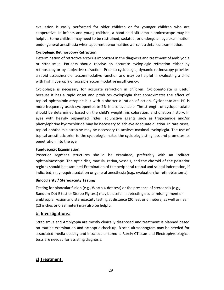evaluation is easily performed for older children or for younger children who are cooperative. In infants and young children, a hand-held slit-lamp biomicroscope may be helpful. Some children may need to be restrained, sedated, or undergo an eye examination under general anesthesia when apparent abnormalities warrant a detailed examination.

#### **Cycloplegic Retinoscopy/Refraction**

Determination of refractive errors is important in the diagnosis and treatment of amblyopia or strabismus. Patients should receive an accurate cycloplegic refraction either by retinoscopy or by subjective refraction. Prior to cycloplegia, dynamic retinoscopy provides a rapid assessment of accommodative function and may be helpful in evaluating a child with high hyperopia or possible accommodative insufficiency.

Cycloplegia is necessary for accurate refraction in children. Cyclopentolate is useful because it has a rapid onset and produces cycloplegia that approximates the effect of topical ophthalmic atropine but with a shorter duration of action. Cyclopentolate 1% is more frequently used; cyclopentolate 2% is also available. The strength of cyclopentolate should be determined based on the child's weight, iris coloration, and dilation history. In eyes with heavily pigmented irides, adjunctive agents such as tropicamide and/or phenylephrine hydrochloride may be necessary to achieve adequate dilation. In rare cases, topical ophthalmic atropine may be necessary to achieve maximal cycloplegia. The use of topical anesthetic prior to the cycloplegic makes the cycloplegic sting less and promotes its penetration into the eye.

#### **Funduscopic Examination**

Posterior segment structures should be examined, preferably with an indirect ophthalmoscope. The optic disc, macula, retina, vessels, and the choroid of the posterior regions should be examined Examination of the peripheral retinal and scleral indentation, if indicated, may require sedation or general anesthesia (e.g., evaluation for retinoblastoma).

#### **Binocularity / Stereoacuity Testing**

Testing for binocular fusion (e.g., Worth 4-dot test) or the presence of stereopsis (e.g., Random-Dot E test or Stereo Fly test) may be useful in detecting ocular misalignment or amblyopia. Fusion and stereoacuity testing at distance (20 feet or 6 meters) as well as near (13 inches or 0.33 meter) may also be helpful.

#### b) **Investigations**:

Strabismus and Amblyopia are mostly clinically diagnosed and treatment is planned based on routine examination and orthoptic check up. B scan ultrasonogram may be needed for associated media opacity and intra ocular tumors. Rarely CT scan and Electrophysiological tests are needed for assisting diagnosis.

# **c) Treatment:**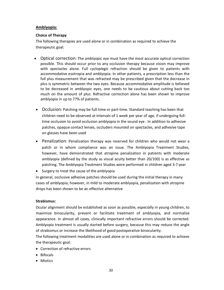#### **Amblyopia:**

#### **Choice of Therapy**

The following therapies are used alone or in combination as required to achieve the therapeutic goal.

- · Optical correction: The amblyopic eye must have the most accurate optical correction possible. This should occur prior to any occlusion therapy because vision may improve with spectacles alone. Full cycloplegic refraction should be given to patients with accommodative esotropia and amblyopia. In other patients, a prescription less than the full plus measurement that was refracted may be prescribed given that the decrease in plus is symmetric between the two eyes. Because accommodative amplitude is believed to be decreased in amblyopic eyes, one needs to be cautious about cutting back too much on the amount of plus. Refractive correction alone has been shown to improve amblyopia in up to 77% of patients.
- · Occlusion: Patching may be full-time or part-time. Standard teaching has been that children need to be observed at intervals of 1 week per year of age, if undergoing fulltime occlusion to avoid occlusion amblyopia in the sound eye . In addition to adhesive patches, opaque contact lenses, occluders mounted on spectacles, and adhesive tape on glasses have been used
- · Penalization: Penalization therapy was reserved for children who would not wear a patch or in whom compliance was an issue. The Amblyopia Treatment Studies, however, have demonstrated that atropine penalization in patients with moderate amblyopia (defined by the study as visual acuity better than 20/100) is as effective as patching. The Amblyopia Treatment Studies were performed in children aged 3-7 year

· Surgery to treat the cause of the amblyopia

In general, occlusive adhesive patches should be used during the initial therapy in many cases of amblyopia; however, in mild to moderate amblyopia, penalization with atropine drops has been shown to be an effective alternative

#### **Strabismus:**

Ocular alignment should be established as soon as possible, especially in young children, to maximize binocularity, prevent or facilitate treatment of amblyopia, and normalize appearance. In almost all cases, clinically important refractive errors should be corrected. Amblyopia treatment is usually started before surgery, because this may reduce the angle of strabismus or increase the likelihood of good postoperative binocularity.

The following treatment modalities are used alone or in combination as required to achieve the therapeutic goal:

- · Correction of refractive errors
- · Bifocals
- · Miotics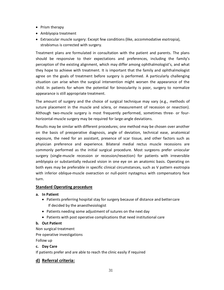- · Prism therapy
- · Amblyopia treatment
- · Extraocular muscle surgery: Except few conditions (like, accommodative esotropia), strabismus is corrected with surgery.

Treatment plans are formulated in consultation with the patient and parents. The plans should be responsive to their expectations and preferences, including the family's perception of the existing alignment, which may differ among ophthalmologist's, and what they hope to achieve with treatment. It is important that the family and ophthalmologist agree on the goals of treatment before surgery is performed. A particularly challenging situation can arise when the surgical intervention might worsen the appearance of the child. In patients for whom the potential for binocularity is poor, surgery to normalize appearance is still appropriate treatment.

The amount of surgery and the choice of surgical technique may vary (e.g., methods of suture placement in the muscle and sclera, or measurement of recession or resection). Although two-muscle surgery is most frequently performed, sometimes three- or fourhorizontal-muscle surgery may be required for large-angle deviations.

Results may be similar with different procedures; one method may be chosen over another on the basis of preoperative diagnosis, angle of deviation, technical ease, anatomical exposure, the need for an assistant, presence of scar tissue, and other factors such as physician preference and experience. Bilateral medial rectus muscle recessions are commonly performed as the initial surgical procedure. Most surgeons prefer uniocular surgery (single-muscle recession or recession/resection) for patients with irreversible amblyopia or substantially reduced vision in one eye on an anatomic basis. Operating on both eyes may be preferable in specific clinical circumstances, such as V pattern esotropia with inferior oblique-muscle overaction or null-point nystagmus with compensatory face turn.

#### **Standard Operating procedure**

#### **a. In Patient**

- · Patients preferring hospital stay for surgery because of distance and bettercare If decided by the anaesthesiologist
- · Patients needing some adjustment of sutures on the next day
- · Patients with post operative complications that need institutional care

#### **b. Out Patient**

Non surgical treatment

Pre operative investigations

Follow up

#### **c. Day Care**

If patients prefer and are able to reach the clinic easily if required

## **d) Referral criteria:**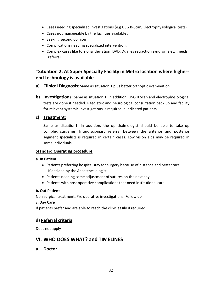- · Cases needing specialized investigations (e.g USG B-Scan, Electrophysiological tests)
- · Cases not manageable by the facilities available .
- Seeking second opinion
- · Complications needing specialized intervention.
- · Complex cases like torsional deviation, DVD, Duanes retraction syndrome etc.,needs referral

# **\*Situation 2: At Super Specialty Facility in Metro location where higherend technology is available**

- **a) Clinical Diagnosis:** Same as situation 1 plus better orthoptic examination.
- **b) Investigations**: Same as situation 1. In addition, USG B Scan and electrophysiological tests are done if needed. Paediatric and neurological consultation back up and facility for relevant systemic investigations is required in indicated patients.

#### **c) Treatment:**

Same as situation1. In addition, the ophthalmologist should be able to take up complex surgeries. Interdiscipinary referral between the anterior and posterior segment specialists is required in certain cases. Low vision aids may be required in some individuals

#### **Standard Operating procedure**

#### **a. In Patient**

- · Patients preferring hospital stay for surgery because of distance and bettercare If decided by the Anaesthesiologist
- · Patients needing some adjustment of sutures on the next day
- · Patients with post operative complications that need institutional care

#### **b. Out Patient**

Non surgical treatment; Pre operative investigations; Follow up

#### **c. Day Care**

If patients prefer and are able to reach the clinic easily if required

#### **d) Referral criteria:**

Does not apply

# **VI. WHO DOES WHAT? and TIMELINES**

**a. Doctor**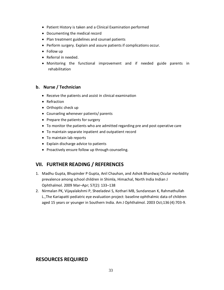- · Patient History is taken and a Clinical Examination performed
- · Documenting the medical record
- · Plan treatment guidelines and counsel patients
- · Perform surgery. Explain and assure patients if complications occur.
- Follow up
- · Referral in needed.
- · Monitoring the functional improvement and if needed guide parents in rehabilitation

#### **b. Nurse / Technician**

- · Receive the patients and assist in clinical examination
- · Refraction
- · Orthoptic check up
- · Counseling whenever patients/ parents
- Prepare the patients for surgery
- · To monitor the patients who are admitted regarding pre and post operative care
- · To maintain separate inpatient and outpatient record
- · To maintain lab reports
- · Explain discharge advice to patients
- · Proactively ensure follow up through counseling.

# **VII. FURTHER READING / REFERENCES**

- 1. Madhu Gupta, Bhupinder P Gupta, Anil Chauhan, and Ashok Bhardwaj Ocular morbidity prevalence among school children in Shimla, Himachal, North India Indian J Ophthalmol. 2009 Mar–Apr; 57(2): 133–138
- 2. Nirmalan PK, Vijayalakshmi P, Sheeladevi S, Kothari MB, Sundaresan K, Rahmathullah L.,The Kariapatti pediatric eye evaluation project: baseline ophthalmic data of children [aged 15 y](http://www.ncbi.nlm.nih.gov/pubmed?term=%22Nirmalan%20PK%22%5BAuthor%5D)[ears or younger i](http://www.ncbi.nlm.nih.gov/pubmed?term=%22Vijayalakshmi%20P%22%5BAuthor%5D)[n Southern Ind](http://www.ncbi.nlm.nih.gov/pubmed?term=%22Sheeladevi%20S%22%5BAuthor%5D)i[a. Am J Opht](http://www.ncbi.nlm.nih.gov/pubmed?term=%22Kothari%20MB%22%5BAuthor%5D)[halmol. 2003 Oc](http://www.ncbi.nlm.nih.gov/pubmed?term=%22Sundaresan%20K%22%5BAuthor%5D)t;136 [\(4\):703-9.](http://www.ncbi.nlm.nih.gov/pubmed?term=%22Rahmathullah%20L%22%5BAuthor%5D)

# **RESOURCES REQUIRED**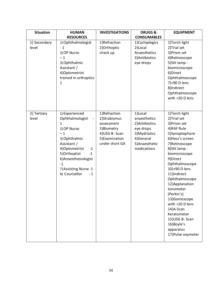| <b>Situation</b>      | <b>HUMAN</b><br><b>RESOURCES</b>                                                                                                                                                                                                   | <b>INVESTIGATIONS</b>                                                                                           | <b>DRUGS&amp;</b><br><b>CONSUMABLES</b>                                                                               | <b>EQUIPMENT</b>                                                                                                                                                                                                                                                                                                                                                                                                        |
|-----------------------|------------------------------------------------------------------------------------------------------------------------------------------------------------------------------------------------------------------------------------|-----------------------------------------------------------------------------------------------------------------|-----------------------------------------------------------------------------------------------------------------------|-------------------------------------------------------------------------------------------------------------------------------------------------------------------------------------------------------------------------------------------------------------------------------------------------------------------------------------------------------------------------------------------------------------------------|
| 1] Secondary<br>level | 1) Ophthalmologist<br>$-1$<br>2) OP Nurse<br>$-1$<br>3) Ophthalmic<br>Assistant /<br>4) Optometrist<br>trained in orthoptics<br>1                                                                                                  | 1)Refraction<br>2) Orthoptic<br>check up                                                                        | 1) Cycloplegics<br>2)Local<br>Anaesthetics<br>3) Antibiotics<br>eye drops                                             | 1) Torch light<br>2)Trial set<br>3) Prism set<br>4)Retinoscope<br>5) Slit lamp -<br>biomicroscope<br>6)Direct<br>Ophthalmoscope<br>7)+90 D lens<br>8)Indirect<br>Ophthalmoscope<br>with +20 D lens                                                                                                                                                                                                                      |
| 2] Tertiary<br>level  | 1) Experienced<br>Ophthalmologist<br>1<br>2) OP Nurse<br>$-1$<br>3) Ophthalmic<br>Assistant /<br>4) Optometrist<br>$-1$<br>5) Orthoptist<br>$-1$<br>6) Anaesthesiologist<br>$-1$<br>7) Assisting Nurse -1<br>8) Counsellor<br>$-1$ | 1)Refraction<br>2) Strabismus<br>assessment<br>3) Biometry<br>4) USG B-Scan<br>5) Examination<br>under short GA | 1)Local<br>anaesthetics<br>2) Antibiotics<br>eye drops<br>3) Mydriatics<br>4)General<br>5) Anaesthetic<br>medications | 1)Torch light<br>2)Trial set<br>3) Prism set<br>4) RAF Rule<br>5)Synoptophore<br>6) Hess's screen<br>7)Retinoscope<br>8) Slit lamp -<br>biomicroscope<br>9)Direct<br>Ophthalmoscope<br>10)+90 D lens<br>11)Indirect<br>Ophthalmoscope<br>12) Applanation<br>tonometer<br>(Perkin's)<br>13)Gonioscope<br>with +20 D lens<br>14)A-Scan<br>Keratometer<br>15) USG B-Scan<br>16) Boyle's<br>apparatus<br>17) Pulse oxymeter |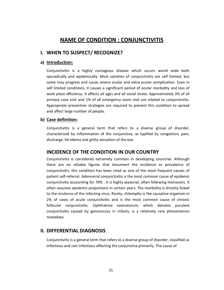# **NAME OF CONDITION : CONJUNCTIVITIS**

# **I. WHEN TO SUSPECT/ RECOGNIZE?**

#### **a) Introduction:**

Conjunctivitis is a highly contagious disease which occurs world wide both sporadically and epidemically. Most varieties of conjunctivitis are self limited, but some may progress and cause severe ocular and extra ocular complication. Even in self limited conditions, it causes a significant period of ocular morbidity and loss of work place efficiency. It affects all ages and all social strata. Approximately 2% of all primary case visit and 1% of all emergency room visit are related to conjunctivitis. Appropriate prevention strategies are required to prevent this condition to spread and affect large number of people.

#### **b) Case definition:**

Conjunctivitis is a general term that refers to a diverse group of disorder, characterized by inflammation of the conjunctiva, as typified by congestion, pain, discharge, lid edema and gritty sensation of the eye.

## **INCIDENCE OF THE CONDITION IN OUR COUNTRY**

Conjunctivitis is considered extremely common in developing countries. Although there are no reliable figures that document the incidence or prevalence of conjunctivitis, this condition has been cited as one of the most frequent causes of patient self-referral. Adenoviral conjunctivitis is the most common cause of epidemic conjunctivitis accounting for 70% . It is highly seasonal, often following monsoons. It often assumes epidemic proportions in certain years. The morbidity is directly linked to the virulence of the infecting virus. Rarely, chlamydia is the causative organism in 2% of cases of acute conjunctivitis and is the most common cause of chronic follicular conjunctivitis. Ophthalmia neonatorum, which denotes purulent conjunctivitis caused by gonococcus in infants, is a relatively rare phenomenon nowadays.

# **II. DIFFERENTIAL DIAGNOSIS**

Conjunctivitis is a general term that refers to a diverse group of disorder, classified as infectious and non infectious affecting the conjunctiva primarily. The cause of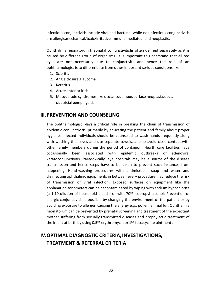infectious conjunctivitis include viral and bacterial while noninfectious conjunctivitis are allergic,mechanical/toxic/irritative,immune mediated, and neoplastic.

Ophthalmia neonatorum [neonatal conjunctivitis]is often defined separately as it is caused by different group of organisms. It is important to understand that all red eyes are not necessarily due to conjunctivits and hence the role of an ophthalmologist is to differentiate from other important serious conditions like

- 1. Scleritis
- 2. Angle closure glaucoma
- 3. Keratitis
- 4. Acute anterior iritis
- 5. Masquerade syndromes like ocular squamous surface neoplasia,ocular cicatricial pemphigoid.

## **III.PREVENTION AND COUNSELING**

The ophthalmologist plays a critical role in breaking the chain of transmission of epidemic conjunctivitis, primarily by educating the patient and family about proper hygiene. Infected individuals should be counseled to wash hands frequently along with washing their eyes and use separate towels, and to avoid close contact with other family members during the period of contagion. Health care facilities have occasionally been associated with epidemic outbreaks of adenoviral keratoconjunctivitis. Paradoxically, eye hospitals may be a source of the disease transmission and hence steps have to be taken to prevent such instances from happening. Hand-washing procedures with antimicrobial soap and water and disinfecting ophthalmic equipments in between every procedure may reduce the risk of transmission of viral infection. Exposed surfaces on equipment like the applanation tonometers can be decontaminated by wiping with sodium hypochlorite (a 1:10 dilution of household bleach] or with 70% isopropyl alcohol. Prevention of allergic conjunctivitis is possible by changing the environment of the patient or by avoiding exposure to allergen causing the allergy e.g., pollen, animal fur. Ophthalmia neonatorum can be prevented by prenatal screening and treatment of the expectant mother suffering from sexually transmitted diseases and prophylactic treatment of the infant at birth by using 0.5% erythromycin or 1% tetracycline ointment .

# **IV.OPTIMAL DIAGNOSTIC CRITERIA,INVESTIGATIONS, TREATMENT & REFERRAL CRITERIA**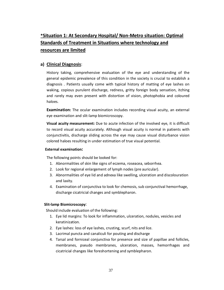# **\*Situation 1: At Secondary Hospital/ Non-Metro situation: Optimal Standards of Treatment in Situations where technology and resources are limited**

## **a) Clinical Diagnosis**:

History taking, comprehensive evaluation of the eye and understanding of the general epidemic prevalence of this condition in the society is crucial to establish a diagnosis . Patients usually come with typical history of matting of eye lashes on waking, copious purulent discharge, redness, gritty foreign body sensation, itching and rarely may even present with distortion of vision, photophobia and coloured haloes.

**Examination:** The ocular examination includes recording visual acuity, an external eye examination and slit-lamp biomicroscopy.

**Visual acuity measurement:** Due to acute infection of the involved eye, it is difficult to record visual acuity accurately. Although visual acuity is normal in patients with conjunctivitis, discharge sliding across the eye may cause visual disturbance vision colored haloes resulting in under estimation of true visual potential.

### **External examination:**

The following points should be looked for:

- 1. Abnormalities of skin like signs of eczema, roseacea, seborrhea.
- 2. Look for regional enlargement of lymph nodes (pre auricular).
- 3. Abnormalities of eye lid and adnexa like swelling, ulceration and discolouration and laxity.
- 4. Examination of conjunctiva to look for chemosis, sub conjunctival hemorrhage, discharge cicatricial changes and symblepharon.

### **Slit-lamp Biomicroscopy**:

Should include evaluation of the following:

- 1. Eye lid margins: To look for inflammation, ulceration, nodules, vesicles and keratinization.
- 2. Eye lashes: loss of eye lashes, crusting, scurf, nits and lice.
- 3. Lacrimal puncta and canaliculi for pouting and discharge
- 4. Tarsal and forniceal conjunctiva for presence and size of papillae and follicles, membranes, pseudo membranes, ulceration, masses, hemorrhages and cicatricial changes like foreshortening and symblepharon.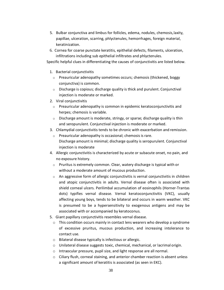- 5. Bulbar conjunctiva and limbus for follicles, edema, nodules, chemosis,laxity, papillae, ulceration, scarring, phlyctenules, hemorrhages, foreign material, keratinization.
- 6. Cornea for coarse punctate keratitis, epithelial defects, filaments, ulceration, infiltrations including sub epithelial infiltrates and phlyctenules.

Specific helpful clues in differentiating the causes of conjunctivitis are listed below.

- 1. Bacterial conjunctivitis
	- o Preauricular adenopathy sometimes occurs; chemosis (thickened, boggy conjunctiva) is common.
	- o Discharge is copious; discharge quality is thick and purulent. Conjunctival injection is moderate or marked.
- 2. Viral conjunctivitis
	- o Preauricular adenopathy is common in epidemic keratoconjunctivitis and herpes; chemosis is variable.
	- $\circ$  Discharge amount is moderate, stringy, or sparse; discharge quality is thin and seropurulent. Conjunctival injection is moderate or marked.
- 3. Chlamydial conjunctivitis tends to be chronic with exacerbation and remission.
	- o Preauricular adenopathy is occasional; chemosis is rare. Discharge amount is minimal; discharge quality is seropurulent. Conjunctival injection is moderate
- 4. Allergic conjunctivitis is characterized by acute or subacute onset, no pain, and no exposure history.
	- o [Pruritus is extreme](http://emedicine.medscape.com/article/1191467-overview)ly common. Clear, watery discharge is typical with or without a moderate amount of mucous production.
	- $\circ$  An aggressive form of allergic conjunctivitis is vernal conjunctivitis in children and atopic conjunctivitis in adults. Vernal disease often is associated with shield corneal ulcers. Perilimbal accumulation of eosinophils (Horner-Trantas dots) typifies vernal disease. Vernal keratoconjunctivitis (VKC), usually affecting young boys, tends to be bilateral and occurs in warm weather. VKC is presumed to be a hypersensitivity to exogenous antigens and may be associated with or accompanied by keratoconus.
- 5. Giant papillary conjunctivitis resembles vernal disease.
	- o This condition occurs mainly in contact lens wearers who develop a syndrome [of excessive pruritus, m](http://emedicine.medscape.com/article/1191641-overview)ucous production, and increasing intolerance to contact use.
	- o Bilateral disease typically is infectious or allergic.
	- o Unilateral disease suggests toxic, chemical, mechanical, or lacrimal origin.
	- o Intraocular pressure, pupil size, and light response are all normal.
	- $\circ$  Ciliary flush, corneal staining, and anterior chamber reaction is absent unless a significant amount of keratitis is associated (as seen in EKC).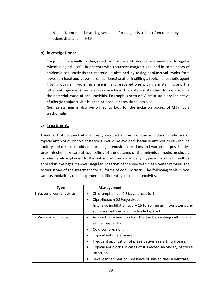6. Nummular keratitis gives a clue for diagnosis as it is often caused by adenovirus and HZV

## **b) Investigations**:

Conjunctivitis usually is diagnosed by history and physical examination. A regular microbiological useful in patients with recurrent conjunctivitis and in some cases of epidemic conjunctivitis the material is obtained by taking conjunctival swabs from lower forniceal and upper tarsal conjunctiva after instilling a topical anesthetic agent (4% lignocaine). Two smears are initially prepared one with gram staining and the other with giemsa. Gram stain is considered the criterion standard for determining the bacterial cause of conjunctivitis. Eosinophils seen on Giemsa stain are indicative of allergic conjunctivitis but can be seen in parasitic causes also.

Giemsa staining is also performed to look for the inclusion bodies of Chlamydia trachomatis.

## **c) Treatment:**

Treatment of conjunctivitis is ideally directed at the root cause. Indiscriminate use of topical antibiotics or corticosteroids should be avoided, because antibiotics can induce toxicity and corticosteroids can prolong adenoviral infections and worsen herpes simplex virus infections. A careful counselling of the dosages of the individual medicine should be adequately explained to the patient and an accompanying person so that it will be applied in the right manner. Regular irrigation of the eye with clean water remains the corner stone of the treatment for all forms of conjunctivitis. The following table shows various modalities of management in different types of conjunctivitis.

| Type                        | <b>Management</b>                                                        |
|-----------------------------|--------------------------------------------------------------------------|
| 1] Bacterial conjunctivitis | Chloramphenicol 0.5%eye drops (or)                                       |
|                             | Ciprofloxacin 0.3%eye drops                                              |
|                             | Intensive instillation every 15 to 30 min until symptoms and             |
|                             | signs are reduced and gradually tapered.                                 |
| 2] Viral conjunctivitis     | Advice the patient to clean the eye by washing with normal<br>٠          |
|                             | saline frequently.                                                       |
|                             | Cold compression.                                                        |
|                             | Topical anti-histaminics                                                 |
|                             | Frequent application of preservative free artificial tears.<br>$\bullet$ |
|                             | Topical antibiotics in cases of suspected secondary bacterial            |
|                             | infection.                                                               |
|                             | Severe inflammation, presence of sub-epithelial infiltrate,              |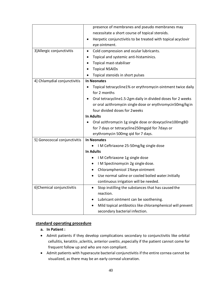|                              | presence of membranes and pseudo membranes may                  |
|------------------------------|-----------------------------------------------------------------|
|                              | necessitate a short course of topical steroids.                 |
|                              | Herpetic conjunctivitis to be treated with topical acyclovir    |
|                              | eye ointment.                                                   |
| 3] Allergic conjunctivitis   | Cold compression and ocular lubricants.<br>$\bullet$            |
|                              | Topical and systemic anti-histaminics.                          |
|                              | Topical mast-stabiliser                                         |
|                              | <b>Topical NSAIDs</b>                                           |
|                              | Topical steroids in short pulses                                |
| 4] Chlamydial conjunctivitis | <b>In Neonates</b>                                              |
|                              | Topical tetracycline1% or erythromycin ointment twice daily     |
|                              | for 2 months                                                    |
|                              | Oral tetracycline1.5-2gm daily in divided doses for 2 weeks     |
|                              | or oral azithromycin single dose or erythromycin50mg/kgin       |
|                              | four divided doses for 2 weeks                                  |
|                              | In Adults                                                       |
|                              | Oral azithromycin 1g single dose or doxycycline100mgBD          |
|                              | for 7 days or tetracycline250mgqid for 7days or                 |
|                              | erythromycin 500mg qid for 7 days.                              |
| 5] Gonococcal conjunctivitis | <b>In Neonates</b>                                              |
|                              | I M Ceftriaxone 25-50mg/kg single dose                          |
|                              | <b>In Adults</b>                                                |
|                              | I M Ceftriaxone 1g single dose                                  |
|                              | I M Spectinomycin 2g single dose.                               |
|                              | Chloramphenicol 1%eye ointment                                  |
|                              | Use normal saline or cooled boiled water. Initially             |
|                              | continuous irrigation will be needed.                           |
| 6]Chemical conjunctivitis    | Stop instilling the substances that has caused the<br>$\bullet$ |
|                              | reaction.                                                       |
|                              | Lubricant ointment can be soothening.                           |
|                              | Mild topical antibiotics like chloramphenicol will prevent      |
|                              | secondary bacterial infection.                                  |

### **standard operating procedure**

- **a. In Patient :**
- · Admit patients if they develop complications secondary to conjunctivitis like orbital cellulitis, keratitis ,scleritis, anterior uveitis ,especially if the patient cannot come for frequent follow up and who are non compliant.
- · Admit patients with hyperacute bacterial conjunctivitis if the entire cornea cannot be visualized, as there may be an early corneal ulceration.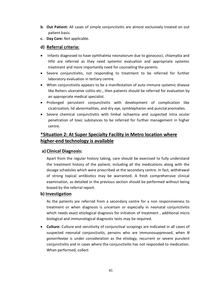- **b. Out Patient:** All cases of simple conjunctivitis are almost exclusively treated on out patient basis.
- **c. Day Care:** Not applicable.

### **d) Referral criteria:**

- · Infants diagnosed to have ophthalmia neonatorum due to gonococci, chlamydia and HSV are referred as they need systemic evaluation and appropriate systemic treatment and more importantly need for counseling the parents.
- · Severe conjunctivitis, not responding to treatment to be referred for further laboratory evaluation in tertiary centre.
- · When conjunctivitis appears to be a manifestation of auto immune systemic disease like Reiters ulcerative colitis etc., then patients should be referred for evaluation by an appropriate medical specialist.
- · Prolonged persistent conjunctivitis with development of complication like cicatrization, lid abnormalities, and dry eye, symblepharon and punctal anomalies.
- · Severe chemical conjunctivitis with limbal ischaemia and suspected intra ocular penetration of toxic substances to be referred for further management in higher centre.

## **\*Situation 2: At Super Specialty Facility in Metro location where higher-end technology is available**

### **a) Clinical Diagnosis:**

Apart from the regular history taking, care should be exercised to fully understand the treatment history of the patient, including all the medications along with the dosage schedules which were prescribed at the secondary centre. In fact, withdrawal of strong topical antibiotics may be warranted. A fresh comprehensive clinical examination, as detailed in the previous section should be performed without being biased by the referral report.

### **b) Investigation**

As the patients are referred from a secondary centre for a non responsiveness to treatment or when diagnosis is uncertain or especially in neonatal conjunctivitis which needs exact etiological diagnosis for initiation of treatment , additional micro biological and immunological diagnostic tests may be required.

· **Culture:** Culture and sensitivity of conjunctival scrapings are indicated in all cases of suspected neonatal conjunctivitis, persons who are immunosuppressed, when *N gonorrhoeae* is under consideration as the etiology, recurrent or severe purulent conjunctivitis and in cases where the conjunctivitis has not responded to medication. When performed, collect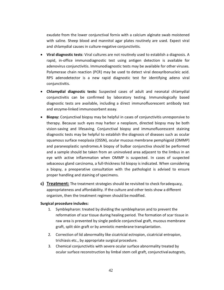exudate from the lower conjunctival fornix with a calcium alginate swab moistened with saline. Sheep blood and mannitol agar plates routinely are used. Expect viral and chlamydial causes in culture-negative conjunctivitis.

- · **Viral diagnostic tests**: Viral cultures are not routinely used to establish a diagnosis. A rapid, in-office immunodiagnostic test using antigen detection is available for adenovirus conjunctivitis. Immunodiagnostic tests may be available for other viruses. Polymerase chain reaction (PCR) may be used to detect viral deoxyribonucleic acid. RPS adenodetector is a new rapid diagnostic test for identifying adeno viral conjunctivitis.
- · **Chlamydial diagnostic tests:** Suspected cases of adult and neonatal chlamydial conjunctivitis can be confirmed by laboratory testing. Immunologically based diagnostic tests are available, including a direct immunofluorescent antibody test and enzyme-linked immunosorbent assay.
- · **Biopsy:** Conjunctival biopsy may be helpful in cases of conjunctivitis unresponsive to therapy. Because such eyes may harbor a neoplasm, directed biopsy may be both vision-saving and lifesaving. Conjunctival biopsy and immunofluorescent staining diagnostic tests may be helpful to establish the diagnosis of diseases such as ocular squamous surface neoplasia (OSSN), ocular mucous membrane pemphigoid (OMMP) and paraneoplastic syndromes.A biopsy of bulbar conjunctiva should be performed and a sample should be taken from an uninvolved area adjacent to the limbus in an eye with active inflammation when OMMP is suspected. In cases of suspected sebaceous gland carcinoma, a full-thickness lid biopsy is indicated. When considering a biopsy, a preoperative consultation with the pathologist is advised to ensure proper handling and staining of specimens.
- **c) Treatment:** The treatment strategies should be revisited to check foradequacy, appropriateness and affordability. If the culture and other tests show a different organism, then the treatment regimen should be modified.

### **Surgical procedure includes:**

- 1. Symblepharon: treated by dividing the symblepharon and to prevent the reformation of scar tissue during healing period. The formation of scar tissue in raw area is prevented by single pedicle conjunctival graft, mucous membrane graft, split skin graft or by amniotic membrane transplantation.
- 2. Correction of lid abnormality like cicatricial ectropion, cicatricial entropion, trichiasis etc., by appropriate surgical procedure.
- 3. Chemical conjunctivitis with severe ocular surface abnormality treated by ocular surface reconstruction by limbal stem cell graft, conjunctivalautograts,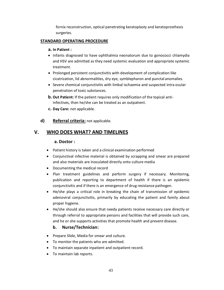fornix reconstruction, optical penetrating keratoplasty and keratoprosthesis surgeries.

### **STANDARD OPERATING PROCEDURE**

### **a. In Patient :**

- · Infants diagnosed to have ophthalmia neonatorum due to gonococci chlamydia and HSV are admitted as they need systemic evaluation and appropriate systemic treatment.
- · Prolonged persistent conjunctivitis with development of complication like cicatrization, lid abnormalities, dry eye, symblepharon and punctal anomalies.
- · Severe chemical conjunctivitis with limbal ischaemia and suspected intra ocular penetration of toxic substances.
- **b. Out Patient:** If the patient requires only modification of the topical antiinfectives, then he/she can be treated as an outpatient.
- **c. Day Care:** not applicable.
- **d) Referral criteria:** not applicable.

## **V. WHO DOES WHAT? AND TIMELINES**

### **a. Doctor :**

- · Patient history is taken and a clinical examination performed
- · Conjunctival infective material is obtained by scrapping and smear are prepared and also materials are inoculated directly onto culture media
- · Documenting the medical record
- · Plan treatment guidelines and perform surgery if necessary. Monitoring, publication and reporting to department of health if there is an epidemic conjunctivitis and if there is an emergence of drug resistance pathogen.
- · He/she plays a critical role in breaking the chain of transmission of epidemic adenoviral conjunctivitis, primarily by educating the patient and family about proper hygiene.
- · He/she should also ensure that needy patients receive necessary care directly or through referral to appropriate persons and facilities that will provide such care, and he or she supports activities that promote health and prevent disease.

### **b. Nurse/Technician:**

- · Prepare Slide, Media for smear and culture.
- · To monitor the patients who are admitted.
- · To maintain separate inpatient and outpatient record.
- · To maintain lab reports.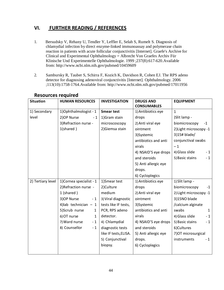# **VI. FURTHER READING / REFERENCES**

- 1. Bersudsky V, Rehany U, Tendler Y, Leffler E, Selah S, Rumelt S. Diagnosis of chlamydial infection by direct enzyme-linked immunoassay and polymerase chain reaction in patients with acute follicular conjunctivitis [Internet]. Graefe's Archive for Clinical and Experimental Ophthalmology = Albrecht Von Graefes Archiv Für Klinische Und Experimentelle Ophthalmologie. 1999 ;237(8):617-620.Available from: http://www.ncbi.nlm.nih.gov/pubmed/10459609
- 2. [Sambursky R, Tauber S, Schirra F, Kozich K, Davidso](http://www.ncbi.nlm.nih.gov/pubmed/10459609)n R, Cohen EJ. The RPS adeno detector for diagnosing adenoviral conjunctivitis [Internet]. Ophthalmology. 2006 ;113(10):1758-1764.Available from: http://www.ncbi.nlm.nih.gov/pubmed/17011956

| <b>Situation</b>  | <b>HUMAN RESOURCES</b>        | <b>INVESTIGATION</b>  | <b>DRUGS AND</b><br><b>CONSUMABLES</b> | <b>EQUIPMENT</b>        |
|-------------------|-------------------------------|-----------------------|----------------------------------------|-------------------------|
| 1) Secondary      | 1) Ophthalmologist - 1        | <b>Smear test</b>     | 1) Antibiotics eye                     | 1                       |
| level             | 2) OP Nurse<br>$-1$           | 1) Gram stain         | drops                                  | )Slit lamp -            |
|                   |                               |                       |                                        |                         |
|                   | 3) Refraction nurse -         | microscoscopy         | 2) Anti viral eye                      | biomicroscopy<br>$-1$   |
|                   | $1$ (shared)                  | 2) Giemsa stain       | ointment                               | 2) Light microscopy -1  |
|                   |                               |                       | 3) Systemic                            | $3)15#$ blade/          |
|                   |                               |                       | antibiotics and anti                   | conjunctival swabs      |
|                   |                               |                       | virals                                 | $-1$                    |
|                   |                               |                       | 4) NSAID'S eye drops                   | 4) Glass slide<br>$-1$  |
|                   |                               |                       | and steroids                           | 5) Basic stains<br>$-1$ |
|                   |                               |                       | 5) Anti allergic eye                   |                         |
|                   |                               |                       | drops.                                 |                         |
|                   |                               |                       | 6) Cycloplegics                        |                         |
| 2) Tertiary level | 1) Cornea specialist - 1      | 1)Smear test          | 1) Antibiotics eye                     | 1) Slit lamp -          |
|                   | 2) Refraction nurse -         | 2)Culture             | drops                                  | biomicroscopy<br>$-1$   |
|                   | 1 (shared)                    | medium                | 2) Anti viral eye                      | 2) Light microscopy -1  |
|                   | 3) OP Nurse<br>$-1$           | 3) Viral diagnostic   | ointment                               | 3)15NO blade            |
|                   | 4) lab technician $-1$        | tests like IF tests,  | 3)Systemic                             | /calcium alginate       |
|                   | 5)Scrub nurse<br>$\mathbf{1}$ | PCR, RPS adeno        | antibiotics and anti                   | swabs<br>1              |
|                   | 6) OT nurse<br>$\mathbf{1}$   | detector.             | virals                                 | 4) Glass slide<br>$-1$  |
|                   | 7) Ward nurse<br>$-1$         | 4) Chlamydial         | 4) NSAID'S eye drops                   | 5) Basic stains<br>$-1$ |
|                   | 8) Counsellor<br>$-1$         | diagnostic tests      | and steroids                           | 6)Cultures              |
|                   |                               | like IF tests, ELISA. | 5) Anti allergic eye                   | 7) OT microsurgical     |
|                   |                               | 5) Conjunctival       | drops.                                 | instruments<br>$-1$     |
|                   |                               | biopsy.               | 6) Cycloplegics                        |                         |
|                   |                               |                       |                                        |                         |
|                   |                               |                       |                                        |                         |

## **Resources required**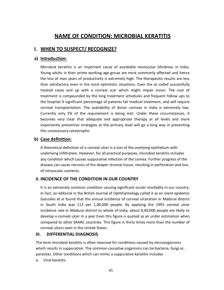# **NAME OF CONDITION: MICROBIAL KERATITIS**

## **I. WHEN TO SUSPECT/ RECOGNIZE?**

## **a) Introduction:**

Microbial keratitis is an important cause of avoidable monocular blindness in India. Young adults in their prime working age group are most commonly affected and hence the loss of man years of productivity is extremely high. The therapeutic results are less than satisfactory even in the most optimistic situations. Even the so called successfully treated cases end up with a corneal scar which might impair vision. The cost of treatment is compounded by the long treatment schedules and frequent follow ups to the hospital A significant percentage of patients fail medical treatment, and will require corneal transplantation. The availability of donor corneas in India is extremely low. Currently only 5% of the requirement is being met. Under these circumstances, it becomes very clear that adequate and appropriate therapy at all levels and more importantly preventive strategies at the primary level will go a long way in preventing this unnecessary catastrophe.

## **b) Case definition:**

A theoretical definition of a corneal ulcer is a loss of the overlying epithelium with underlying infiltration. However, for all practical purposes, microbial keratitis includes any condition which causes suppurative infection of the cornea. Further progress of the disease can cause necrosis of the deeper stromal tissue, resulting in perforation and loss of intraocular contents.

### **II. INCIDENCE OF THE CONDITION IN OUR COUNTRY**

It is an extremely common condition causing significant ocular morbidity in our country. In fact, an editorial in the British Journal of Ophthalmology called it as an silent epidemic Gonzales et al found that the annual incidence of corneal ulceration in Madurai district in South India was 113 per 1,00,000 people. By applying the 1993 corneal ulcer incidence rate in Madurai district to whole of India, about 8,40,000 people are likely to develop a corneal ulcer in a year Even this figure is quoted as an under estimation when compared to other SAARC countries. This figure is thirty times more than the number of corneal ulcers seen in the United States.

### **III. DIFFERENTIAL DIAGNOSIS**

The term microbial keratitis is often reserved for conditions caused by microorganisms which results in suppuration. The common causative organisms can be bacteria, fungi or, parasites. Other conditions which can mimic a suppurative keratitis includes

a. Viral keratitis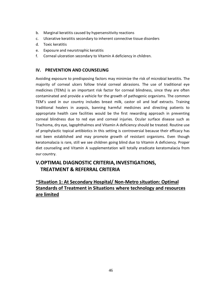- b. Marginal keratitis caused by hypersensitivity reactions
- c. Ulcerative keratitis secondary to inherent connective tissue disorders
- d. Toxic keratitis
- e. Exposure and neurotrophic keratitis
- f. Corneal ulceration secondary to Vitamin A deficiency in children.

### **IV. PREVENTION AND COUNSELING**

Avoiding exposure to predisposing factors may minimize the risk of microbial keratitis. The majority of corneal ulcers follow trivial corneal abrasions. The use of traditional eye medicines (TEMs) is an important risk factor for corneal blindness, since they are often contaminated and provide a vehicle for the growth of pathogenic organisms. The common TEM's used in our country includes breast milk, castor oil and leaf extracts. Training traditional healers in asepsis, banning harmful medicines and directing patients to appropriate health care facilities would be the first rewarding approach in preventing corneal blindness due to red eye and corneal injuries. Ocular surface disease such as Trachoma, dry eye, lagophthalmos and Vitamin A deficiency should be treated. Routine use of prophylactic topical antibiotics in this setting is controversial because their efficacy has not been established and may promote growth of resistant organisms. Even though keratomalacia is rare, still we see children going blind due to Vitamin A deficiency. Proper diet counseling and Vitamin A supplementation will totally eradicate keratomalacia from our country.

## **V.OPTIMAL DIAGNOSTIC CRITERIA, INVESTIGATIONS, TREATMENT & REFERRAL CRITERIA**

## **\*Situation 1: At Secondary Hospital/ Non-Metro situation: Optimal Standards of Treatment in Situations where technology and resources are limited**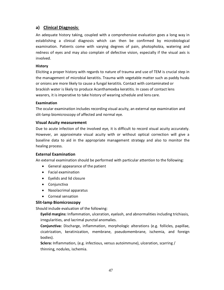### **a) Clinical Diagnosis**:

An adequate history taking, coupled with a comprehensive evaluation goes a long way in establishing a clinical diagnosis which can then be confirmed by microbiological examination. Patients come with varying degrees of pain, photophobia, watering and redness of eyes and may also complain of defective vision, especially if the visual axis is involved.

### **History**

Eliciting a proper history with regards to nature of trauma and use of TEM is crucial step in the management of microbial keratitis. Trauma with vegetable matter such as paddy husks or onions are more likely to cause a fungal keratitis. Contact with contaminated or brackish water is likely to produce Acanthamoeba keratitis. In cases of contact lens wearers, it is imperative to take history of wearing schedule and lens care.

### **Examination**

The ocular examination includes recording visual acuity, an external eye examination and slit-lamp biomicroscopy of affected and normal eye.

### **Visual Acuity measurement**

Due to acute infection of the involved eye, it is difficult to record visual acuity accurately. However, an approximate visual acuity with or without optical correction will give a baseline data to aid in the appropriate management strategy and also to monitor the healing process.

### **External Examination**

An external examination should be performed with particular attention to the following:

- · General appearance of the patient
- · Facial examination
- · Eyelids and lid closure
- · Conjunctiva
- · Nasolacrimal apparatus
- · Corneal sensation

### **Slit-lamp Biomicroscopy**

Should include evaluation of the following:

**Eyelid margins:** Inflammation, ulceration, eyelash, and abnormalities including trichiasis, irregularities, and lacrimal punctal anomalies.

**Conjunctiva:** Discharge, inflammation, morphologic alterations (e.g. follicles, papillae, cicatrization, keratinization, membrane, pseudomembrane, ischemia, and foreign bodies).

**Sclera:** Inflammation, (e.g. infectious, versus autoimmune), ulceration, scarring / thinning, nodules, ischemia.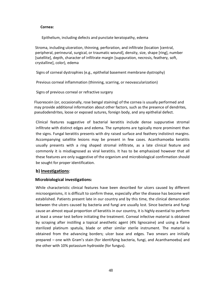### **Cornea:**

Epithelium, including defects and punctate keratopathy, edema

Stroma, including ulceration, thinning, perforation, and infiltrate (location [central, peripheral, perineural, surgical, or traumatic wound], density, size, shape [ring], number [satellite], depth, character of infiltrate margin [suppuration, necrosis, feathery, soft, crystalline], color), edema

Signs of corneal dystrophies (e.g., epithelial basement membrane dystrophy)

Previous corneal inflammation (thinning, scarring, or neovascularization)

Signs of previous corneal or refractive surgery

Fluorescein (or, occasionally, rose bengal staining) of the cornea is usually performed and may provide additional information about other factors, such as the presence of dendrites, pseudodendrites, loose or exposed sutures, foreign body, and any epithelial defect.

Clinical features suggestive of bacterial keratitis include dense suppurative stromal infiltrate with distinct edges and edema. The symptoms are typically more prominent than the signs. Fungal keratitis presents with dry raised surface and feathery indistinct margins. Accompanying satellite lesions may be present in few cases. Acanthamoeba keratitis usually presents with a ring shaped stromal infiltrate, as a late clinical feature and commonly it is misdiagnosed as viral keratitis. It has to be emphasized however that all these features are only suggestive of the organism and microbiological confirmation should be sought for proper identification.

## **b) Investigations**:

### **Microbiological investigations:**

While characteristic clinical features have been described for ulcers caused by different microorganisms, it is difficult to confirm these, especially after the disease has become well established. Patients present late in our country and by this time, the clinical demarcation between the ulcers caused by bacteria and fungi are usually lost. Since bacteria and fungi cause an almost equal proportion of keratitis in our country, it is highly essential to perform at least a smear test before initiating the treatment. Corneal infective material is obtained by scraping after instilling a topical anesthetic agent (4% lignocaine) and using a flame sterilized platinum spatula, blade or other similar sterile instrument. The material is obtained from the advancing borders; ulcer base and edges. Two smears are initially prepared – one with Gram's stain (for identifying bacteria, fungi, and Acanthamoeba) and the other with 10% potassium hydroxide (for fungus).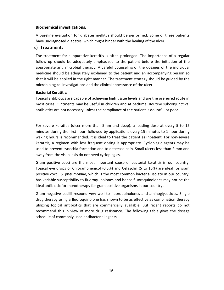### **Biochemical investigations:**

A baseline evaluation for diabetes mellitus should be performed. Some of these patients have undiagnosed diabetes, which might hinder with the healing of the ulcer.

### **c) Treatment:**

The treatment for suppurative keratitis is often prolonged. The importance of a regular follow up should be adequately emphasized to the patient before the initiation of the appropriate anti microbial therapy. A careful counseling of the dosages of the individual medicine should be adequately explained to the patient and an accompanying person so that it will be applied in the right manner. The treatment strategy should be guided by the microbiological investigations and the clinical appearance of the ulcer.

### **Bacterial Keratitis:**

Topical antibiotics are capable of achieving high tissue levels and are the preferred route in most cases. Ointments may be useful in children and at bedtime. Routine subconjunctival antibiotics are not necessary unless the compliance of the patient is doubtful or poor.

For severe keratitis (ulcer more than 5mm and deep), a loading dose at every 5 to 15 minutes during the first hour, followed by applications every 15 minutes to 1 hour during waking hours is recommended. It is ideal to treat the patient as inpatient. For non-severe keratitis, a regimen with less frequent dosing is appropriate. Cycloplegic agents may be used to prevent synechia formation and to decrease pain. Small ulcers less than 2 mm and away from the visual axis do not need cycloplegics.

Gram positive cocci are the most important cause of bacterial keratitis in our country. Topical eye drops of Chloramphenicol (0.5%) and Cefazolin (5 to 10%) are ideal for gram positive cocci. S. pneumoniae, which is the most common bacterial isolate in our country, has variable susceptibility to fluoroquinolones and hence fluoroquinolones may not be the ideal antibiotic for monotherapy for gram positive organisms in our country .

Gram negative bacilli respond very well to fluoroquinolones and aminoglycosides. Single drug therapy using a fluoroquinolone has shown to be as effective as combination therapy utilizing topical antibiotics that are commercially available. But recent reports do not recommend this in view of more drug resistance**.** The following table gives the dosage schedule of commonly used antibacterial agents.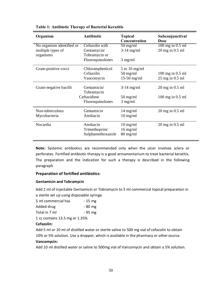| Organism                  | <b>Antibiotic</b>                 | <b>Topical</b><br>Concentration | Subconjunctival<br><b>Dose</b>      |
|---------------------------|-----------------------------------|---------------------------------|-------------------------------------|
| No organism identified or | Cefazolin with                    | $50 \text{ mg/ml}$              | $100$ mg in $0.5$ ml                |
| multiple types of         | Gentamycin/                       | $3-14$ mg/ml                    | 20 mg in 0.5 ml                     |
| organisms                 | Tobramycin or<br>Fluoroquinolones | $3$ mg/ml                       |                                     |
|                           |                                   |                                 |                                     |
| Gram-positive cocci       | Chloramphenicol                   | 5 to 10 mg/ml                   |                                     |
|                           | Cefazolin                         | $50 \text{ mg/ml}$              | 100 mg in 0.5 ml                    |
|                           | Vancomycin                        | $15-50$ mg/ml                   | 25 mg in 0.5 ml                     |
| Gram-negative bacilli     | Gentamicin/                       | $3-14$ mg/ml                    | $20$ mg in $0.5$ ml                 |
|                           | Tobramycin                        |                                 |                                     |
|                           | Ceftazidime                       | $50 \text{ mg/ml}$              | 100 mg in 0.5 ml                    |
|                           | Fluoroquinolones                  | $3$ mg/ml                       |                                     |
| Non-tuberculous           | Gentamicin                        | $14 \text{ mg/ml}$              | $20 \text{ mg in } 0.5 \text{ ml}$  |
| Mycobacteria              | Amikacin                          | $10 \text{ mg/ml}$              |                                     |
| Nocardia                  | Amikacin                          | $10 \text{ mg/ml}$              | $20 \text{ mg}$ in $0.5 \text{ ml}$ |
|                           | Trimethoprim/                     | $16$ mg/ml                      |                                     |
|                           | Sulphamethoxazole                 | $80 \text{ mg/ml}$              |                                     |

#### **Table 1: Antibiotic Therapy of Bacterial Keratitis**

**Note:** Systemic antibiotics are recommended only when the ulcer involves sclera or perforates. Fortified antibiotic therapy is a good armamentarium to treat bacterial keratitis. The preparation and the indication for such a therapy is described in the following paragraph

### **Preparation of fortified antibiotics:**

### **Gentamicin and Tobramycin**

Add 2 ml of injectable Gentamicin or Tobramycin to 5 ml commercial topical preparation in a sterile set up using disposable syringe.

| 5 ml commercial has | $-15$ mg |
|---------------------|----------|
| Added drug          | - 80 mg  |
| Total in 7 ml       | $-95$ mg |

1 cc contains 13.5 mg or 1.35%

### **Cefazolin:**

Add 5 ml or 10 ml of distilled water or sterile saline to 500 mg vial of cefazolin to obtain 10% or 5% solution. Use a dropper, which is available in the pharmacy or othersource.

### **Vancomycin:**

Add 10 ml distilled water or saline to 500mg vial of Vancomycin and obtain a 5% solution.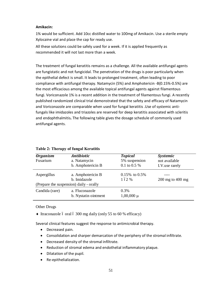### **Amikacin:**

1% would be sufficient. Add 10cc distilled water to 100mg of Amikacin. Use a sterile empty Xylocaine vial and place the cap for ready use.

All these solutions could be safely used for a week. If it is applied frequently as recommended it will not last more than a week.

The treatment of fungal keratitis remains as a challenge. All the available antifungal agents are fungistatic and not fungicidal. The penetration of the drugs is poor particularly when the epithelial defect is small. It leads to prolonged treatment, often leading to poor compliance with antifungal therapy. Natamycin (5%) and Amphotericin -B(0.15%-0.5%) are the most efficacious among the available topical antifungal agents against filamentous fungi. Voriconazole 1% is a recent addition in the treatment of filamentous fungi. A recently published randomized clinical trial demonstrated that the safety and efficacy of Natamycin and Voriconazole are comparable when used for fungal keratitis .Use of systemic antifungals like imidazoles and triazoles are reserved for deep keratitis associated with scleritis and endophthalmitis**.** The following table gives the dosage schedule of commonly used antifungal agents.

| <b>Organism</b><br>Fusarium | <b>Antibiotic</b><br>a. Natamycin<br>b. Amphotericin B                       | <b>Topical</b><br>5% suspension<br>0.1 to 0.5 $%$ | <i>Systemic</i><br>not available<br>I.V.use rarely |
|-----------------------------|------------------------------------------------------------------------------|---------------------------------------------------|----------------------------------------------------|
| Aspergillus                 | a. Amphotericin B<br>b. Imidazole<br>(Prepare the suspension) daily - orally | $0.15\%$ to $0.5\%$<br>1,62%                      | $200$ mg to $400$ mg                               |
|                             |                                                                              |                                                   |                                                    |
| Candida (rare)              | a. Fluconazole<br>b. Nystatin ointment                                       | $0.3\%$<br>$1,00,000 \mu$                         |                                                    |

**Table 2: Therapy of fungal Keratitis**

### Other Drugs

 $\blacklozenge$  Itraconazole 6 oral 6 300 mg daily (only 55 to 60 % efficacy)

Several clinical features suggest the response to antimicrobial therapy.

- · Decreased pain.
- · Consolidation and sharper demarcation of the periphery of the stromal infiltrate.
- · Decreased density of the stromal infiltrate.
- · Reduction of stromal edema and endothelial inflammatory plaque.
- · Dilatation of the pupil.
- · Re-epithelialization.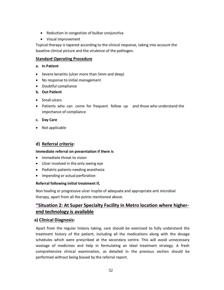- · Reduction in congestion of bulbar conjunctiva
- · Visual improvement

Topical therapy is tapered according to the clinical response, taking into account the baseline clinical picture and the virulence of the pathogen.

## **Standard Operating Procedure**

### **a. In Patient**

- · Severe keratitis (ulcer more than 5mm and deep)
- · No response to initial management
- · Doubtful compliance
- **b. Out Patient**
- · Small ulcers
- · Patients who can come for frequent follow up and those who understand the importance of compliance
- **c. Day Care**
- · Not applicable

## **d) Referral criteria:**

### **Immediate referral on presentation if there is**

- · Immediate threat to vision
- · Ulcer involved in the only seeing eye
- · Pediatric patients needing anesthesia
- · Impending or actual perforation

### **Referral following initial treatment if,**

Non healing or progressive ulcer inspite of adequate and appropriate anti microbial therapy, apart from all the points mentioned above.

## **\*Situation 2: At Super Specialty Facility in Metro location where higherend technology is available**

## **a) Clinical Diagnosis:**

Apart from the regular history taking, care should be exercised to fully understand the treatment history of the patient, including all the medications along with the dosage schedules which were prescribed at the secondary centre. This will avoid unnecessary wastage of medicines and help in formulating an ideal treatment strategy. A fresh comprehensive clinical examination, as detailed in the previous section should be performed without being biased by the referral report.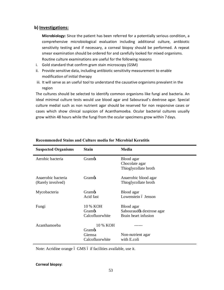### **b) Investigations:**

**Microbiology:** Since the patient has been referred for a potentially serious condition, a comprehensive microbiological evaluation including additional culture, antibiotic sensitivity testing and if necessary, a corneal biopsy should be performed. A repeat smear examination should be ordered for and carefully looked for mixed organisms. Routine culture examinations are useful for the following reasons

- i. Gold standard that confirm gram stain microscopy (GSM)
- ii. Provide sensitive data, including antibiotic sensitivity measurement to enable modification of initial therapy
- iii. It will serve as an useful tool to understand the causative organisms prevalent in the region

The cultures should be selected to identify common organisms like fungi and bacteria. An ideal minimal culture tests would use blood agar and Sabouraud's dextrose agar. Special culture medial such as non nutrient agar should be reserved for non responsive cases or cases which show clinical suspicion of Acanthamoeba. Ocular bacterial cultures usually grow within 48 hours while the fungi from the ocular specimens grow within 7 days.

| <b>Suspected Organisms</b>              | <b>Stain</b>                                    | Media                                                           |
|-----------------------------------------|-------------------------------------------------|-----------------------------------------------------------------|
| Aerobic bacteria                        | Gramos                                          | Blood agar<br>Chocolate agar<br>Thioglycollate broth            |
| Anaerobic bacteria<br>(Rarely involved) | Gramøs                                          | Anaerobic blood agar<br>Thioglycollate broth                    |
| Mycobacteria                            | Gramos<br>Acid fast                             | Blood agar<br>Lowenstein ó Jenson                               |
| Fungi                                   | 10 % KOH<br><b>Gram</b> os<br>Calcofluorwhite   | Blood agar<br>Sabouraudøs dextrose agar<br>Brain heart infusion |
| Acanthamoeba                            | 10 % KOH<br>Gramøs<br>Giemsa<br>Calcofluorwhite | Non-nutrient agar<br>with E.coli                                |

### **Recommended Stains and Culture media for Microbial Keratitis**

Note: Acridine orange ó GMS ó if facilities available, use it.

#### **Corneal biopsy:**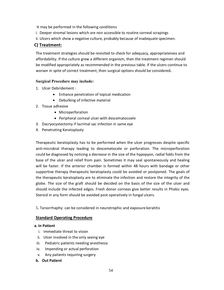It may be performed in the following conditions

- i. Deeper stromal lesions which are non accessible to routine corneal scrapings
- ii. Ulcers which show a negative culture, probably because of inadequate specimen.

## **C) Treatment:**

The treatment strategies should be revisited to check for adequacy, appropriateness and affordability. If the culture grew a different organism, then the treatment regimen should be modified appropriately as recommended in the previous table. If the ulcers continue to worsen in spite of correct treatment, then surgical options should be considered**.**

### **Surgical Procedure may include:**

- 1. Ulcer Debridement :
	- · Enhance penetration of topical medication
	- · Debulking of infective material
- 2. Tissue adhesive
	- · Microperforation
	- · Peripheral corneal ulcer with descematocoele
- 3. Dacryocystectomy if lacrimal sac infection in same eye
- 4. Penetrating Keratoplasty

Therapeutic keratoplasty has to be performed when the ulcer progresses despite specific anti-microbial therapy leading to descemetocele or perforation. The microperforation could be diagnosed by noticing a decrease in the size of the hypopyon, radial folds from the base of the ulcer and relief from pain. Sometimes it may seal spontaneously and healing will be faster. If the anterior chamber is formed within 48 hours with bandage or other supportive therapy therapeutic keratoplasty could be avoided or postponed. The goals of the therapeutic keratoplasty are to eliminate the infection and restore the integrity of the globe. The size of the graft should be decided on the basis of the size of the ulcer and should include the infected edges. Fresh donor corneas give better results in Phakic eyes. Steroid in any form should be avoided post operatively in fungal ulcers.

5. Tarsorrhaphy: can be considered in neurotrophic and exposure keratitis

### **Standard Operating Procedure**

### **a. In Patient**

- i. Immediate threat to vision
- ii. Ulcer involved in the only seeing eye
- iii. Pediatric patients needing anesthesia
- iv. Impending or actual perforation
- v. Any patients requiring surgery
- **b. Out Patient**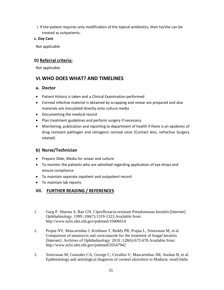i. If the patient requires only modification of the topical antibiotics, then he/she can be treated as outpatients**.**

### **c. Day Care**

Not applicable

## **D) Referral criteria:**

Not applicable

## **VI.WHO DOES WHAT? AND TIMELINES**

## **a. Doctor**

- · Patient History is taken and a Clinical Examination performed
- · Corneal infective material is obtained by scrapping and smear are prepared and also materials are inoculated directly onto culture media
- · Documenting the medical record
- · Plan treatment guidelines and perform surgery if necessary.
- · Monitoring, publication and reporting to department of health if there is an epidemic of drug resistant pathogen and iatrogenic corneal ulcer (Contact lens, refractive Surgery related)

## **b) Nurse/Technician**

- · Prepare Slide, Media for smear and culture
- · To monitor the patients who are admitted regarding application of eye drops and ensure compliance
- · To maintain separate inpatient and outpatient record
- · To maintain lab reports

## **VII. FURTHER READING / REFERENCES**

- 1. Garg P, Sharma S, Rao GN. Ciprofloxacin-resistant Pseudomonas keratitis[Internet]. Ophthalmology. 1999 ;106(7):1319-1323.Available from: http://www.ncbi.nlm.nih.gov/pubmed/10406614
- 2. Prajna NV, Mascarenhas J, Krishnan T, Reddy PR, Prajna L, Srinivasan M, et al. [Comparison of natamycin and voriconazole for t](http://www.ncbi.nlm.nih.gov/pubmed/10406614)he treatment of fungal keratitis [Internet]. Archives of Ophthalmology. 2010 ;128(6):672-678.Available from: http://www.ncbi.nlm.nih.gov/pubmed/20547942
- 3. Srinivasan M, Gonzales CA, George C, Cevallos V, Mascarenhas JM, Asokan B, et al. [Epidemiology and aetiological diagnosis of corn](http://www.ncbi.nlm.nih.gov/pubmed/20547942)eal ulceration in Madurai, south India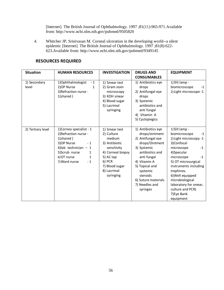[Internet]. The British Journal of Ophthalmology. 1997 ;81(11):965-971.Available [from: http://www.ncbi.nlm.nih.gov/pubmed/9505820](http://www.ncbi.nlm.nih.gov/pubmed/9505820)

4. Whitcher JP, Srinivasan M. Corneal ulceration in the developing world--a silent epidemic [Internet]. The British Journal of Ophthalmology. 1997 ;81(8):622- 623.Available from: <http://www.ncbi.nlm.nih.gov/pubmed/9349145>

| <b>Situation</b>      | <b>HUMAN RESOURCES</b>                                                                                                                                                                | <b>INVESTIGATION</b>                                                                                                                                            | <b>DRUGS AND</b><br><b>CONSUMABLES</b>                                                                                                                                                                                                      | <b>EQUIPMENT</b>                                                                                                                                                                                                                                                                                                        |
|-----------------------|---------------------------------------------------------------------------------------------------------------------------------------------------------------------------------------|-----------------------------------------------------------------------------------------------------------------------------------------------------------------|---------------------------------------------------------------------------------------------------------------------------------------------------------------------------------------------------------------------------------------------|-------------------------------------------------------------------------------------------------------------------------------------------------------------------------------------------------------------------------------------------------------------------------------------------------------------------------|
| 1) Secondary<br>level | 1) Ophthalmologist<br>$-1$<br>2) OP Nurse<br>$\mathbf{1}$<br>3) Refraction nurse -<br>$1$ (shared)                                                                                    | 1) Smear test<br>2) Gram stain<br>microscopy<br>3) KOH smear<br>4) Blood sugar<br>5) Lacrimal<br>syringing                                                      | 1) Antibiotics eye<br>drops<br>2) Antifungal eye<br>drops<br>3) Systemic<br>antibiotics and<br>anti fungal<br>4) Vitamin A<br>5) Cyclopiegics                                                                                               | 1) Slit lamp -<br>biomicroscope<br>$-1$<br>2) Light microscope -1                                                                                                                                                                                                                                                       |
| 2) Tertiary level     | 1) Cornea specialist - 1<br>2) Refraction nurse -<br>$1$ (shared)<br>3) OP Nurse<br>$-1$<br>4) lab technician $-1$<br>5)Scrub nurse<br>1<br>6) OT nurse<br>1<br>$-1$<br>7) Ward nurse | 1) Smear test<br>2) Culture<br>medium<br>3) Antibiotic<br>sensitivity<br>4) Corneal biopsy<br>5) AC tap<br>6) PCR<br>7) Blood sugar<br>8) Lacrimal<br>syringing | 1) Antibiotics eye<br>drops/ointment<br>2) Antifungal eye<br>drops/Ointment<br>3) Systemic<br>antibiotics and<br>anti fungal<br>4) Vitamin A<br>5) Topical and<br>systemic<br>steroids<br>6) Suture materials<br>7) Needles and<br>syringes | 1) Slit lamp -<br>biomicroscope<br>$-1$<br>2) Light microscopy -1<br>3)Confocal<br>microscope<br>$-1$<br>4)Specular<br>microscope<br>$-1$<br>5) OT microsurgical<br>instruments including<br>trephines.<br>6) Well equipped<br>microbiological<br>laboratory for smear,<br>culture and PCR)<br>7) Eye Bank<br>equipment |

## **RESOURCES REQUIRED**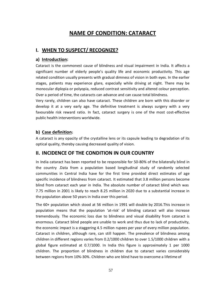# **NAME OF CONDITION: CATARACT**

## **I. WHEN TO SUSPECT/ RECOGNIZE?**

## **a) Introduction:**

Cataract is the commonest cause of blindness and visual impairment in India. It affects a significant number of elderly people's quality life and economic productivity. This age related condition usually presents with gradual dimness of vision in both eyes. In the earlier stages, patients may experience glare, especially while driving at night. There may be monocular diplopia or polyopia, reduced contrast sensitivity and altered colour perception. Over a period of time, the cataracts can advance and can cause total blindness.

Very rarely, children can also have cataract. These children are born with this disorder or develop it at a very early age. The definitive treatment is always surgery with a very favourable risk reward ratio. In fact, cataract surgery is one of the most cost-effective public health interventions worldwide.

## **b) Case definition:**

A cataract is any opacity of the crystalline lens or its capsule leading to degradation of its optical quality, thereby causing decreased quality of vision.

## **II. INCIDENCE OF THE CONDITION IN OUR COUNTRY**

In India cataract has been reported to be responsible for 50-80% of the bilaterally blind in the country .Data from a population based longitudinal study of randomly selected communities in Central India have for the first time provided direct estimates of age specific incidence of blindness from cataract. It estimated that 3.8 million persons become blind from cataract each year in India. The absolute number of cataract blind which was 7.75 million in 2001 is likely to reach 8.25 million in 2020 due to a substantial increase in the population above 50 years in India over this period.

The 60+ population which stood at 56 million in 1991 will double by 2016.This increase in population means that the population 'at-risk' of blinding cataract will also increase tremendously. The economic loss due to blindness and visual disability from cataract is enormous. Cataract blind people are unable to work and thus due to lack of productivity, the economic impact is a staggering 4.5 million rupees per year of every million population. Cataract in children, although rare, can still happen. The prevalence of blindness among children in different regions varies from 0.2/1000 children to over 1.5/1000 children with a global figure estimated at 0.7/1000. In India this figure is approximately 1 per 1000 children. The proportion of blindness in children due to cataract varies considerably between regions from 10%-30%. Children who are blind have to overcome a lifetime of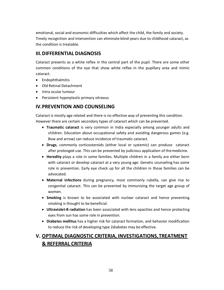emotional, social and economic difficulties which affect the child, the family and society. Timely recognition and intervention can eliminate blind-years due to childhood cataract, as the condition is treatable.

## **III.DIFFERENTIAL DIAGNOSIS**

Cataract presents as a white reflex in the central part of the pupil. There are some other common conditions of the eye that show white reflex in the pupillary area and mimic cataract.

- · Endophthalmitis
- · Old Retinal Detachment
- · Intra ocular tumour
- · Persistent hyperplastic primary vitreous

## **IV.PREVENTION AND COUNSELING**

Cataract is mostly age related and there is no effective way of preventing this condition. However there are certain secondary types of cataract which can be prevented.

- · **Traumatic cataract** is very common in India especially among younger adults and children. Education about occupational safety and avoiding dangerous games (e.g. Bow and arrow) can reduce incidence of traumatic cataract.
- · **Drugs**, commonly corticosteroids (either local or systemic) can produce cataract after prolonged use. This can be prevented by judicious application of themedicine.
- · **Heredity** plays a role in some families. Multiple children in a family are either born with cataract or develop cataract at a very young age. Genetic counseling has some role in prevention. Early eye check up for all the children in those families can be advocated.
- · **Maternal infections** during pregnancy, most commonly rubella, can give rise to congenital cataract. This can be prevented by immunizing the target age group of women.
- · **Smoking** is known to be associated with nuclear cataract and hence preventing smoking is thought to be beneficial.
- · **Ultraviolet-B radiation** has been associated with lens opacities and hence protecting eyes from sun has some role in prevention.
- · **Diabetes mellitus** has a higher risk for cataract formation, and behavior modification to reduce the risk of developing type 2diabetes may be effective.

# **V. OPTIMAL DIAGNOSTIC CRITERIA, INVESTIGATIONS,TREATMENT & REFERRAL CRITERIA**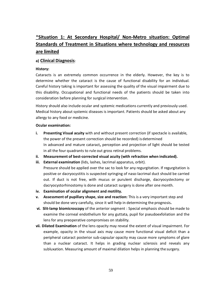# \***Situation 1: At Secondary Hospital/ Non-Metro situation: Optimal Standards of Treatment in Situations where technology and resources are limited**

### **a) Clinical Diagnosis**:

### **History:**

Cataracts is an extremely common occurrence in the elderly. However, the key is to determine whether the cataract is the cause of functional disability for an individual. Careful history taking is important for assessing the quality of the visual impairment due to this disability. Occupational and functional needs of the patients should be taken into consideration before planning for surgical intervention.

History should also include ocular and systemic medications currently and previously used. Medical history about systemic diseases is important. Patients should be asked about any allergy to any food or medicine.

### **Ocular examination:**

- **i. Presenting Visual acuity** with and without present correction (if spectacle is available, the power of the present correction should be recorded) is determined In advanced and mature cataract**,** perception and projection of light should be tested in all the four quadrants to rule out gross retinal problems.
- **ii. Measurement of best-corrected visual acuity (with refraction when indicated).**
- **iii. External examination** (lids, lashes, lacrimal apparatus, orbit).

Pressure should be applied over the sac to look for any regurgitation. If regurgitation is positive or dacryocystitis is suspected syringing of naso-lacrimal duct should be carried out. If duct is not free, with mucus or purulent discharge, dacryocystectomy or dacryocystorhinostomy is done and cataract surgery is done after one month.

- **iv. Examination of ocular alignment and motility.**
- **v. Assessment of pupillary shape, size and reaction:** This is a very important step and should be done very carefully, since it will help in determining the prognosis**.**
- **vi. Slit-lamp biomicroscopy** of the anterior segment : Special emphasis should be made to examine the corneal endothelium for any guttata, pupil for pseudoexfoliation and the lens for any preoperative compromises on stability.
- **vii. Dilated Examination** of the lens opacity may reveal the extent of visual impairment. For example, opacity in the visual axis may cause more functional visual deficit than a peripheral cataract posterior sub-capsular opacity may cause more symptoms of glare than a nuclear cataract. It helps in grading nuclear sclerosis and reveals any subluxation. Measuring amount of maximal dilation helps in planning the surgery.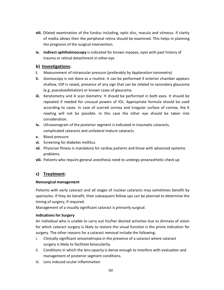- **viii.** Dilated examination of the fundus including, optic disc, macula and vitreous. If clarity of media allows then the peripheral retina should be examined. This helps in planning the prognosis of the surgical intervention.
- **ix. Indirect ophthalmoscopy** is indicated for known myopes, eyes with past history of trauma or retinal detachment in other eye.

## **b) Investigations:**

- **i.** Measurement of intraocular pressure (preferably by Applanation tonometry)
- **ii.** Gonioscopy is not done as a routine. It can be performed if anterior chamber appears shallow, IOP is raised, presence of any sign that can be related to secondary glaucoma (e.g. pseudoexfoliation) or known cases of glaucoma.
- **iii.** Keratometry and A scan biometry: It should be performed in both eyes. It should be repeated if needed for unusual powers of IOL. Appropriate formula should be used according to cases. In case of scarred cornea and irregular surface of cornea, the K reading will not be possible. In this case the other eye should be taken into consideration.
- **iv.** Ultrasonogram of the posterior segment is indicated in traumatic cataracts, complicated cataracts and unilateral mature cataracts.
- **v.** Blood pressure
- **vi.** Screening for diabetes mellitus
- **vii.** Physician fitness is mandatory for cardiac patients and those with advanced systemic problems.
- **viii.** Patients who require general anesthesia need to undergo preanasthetic check up

## **c) Treatment:**

### **Nonsurgical management**

Patients with early cataract and all stages of nuclear cataracts may sometimes benefit by spectacles. If they do benefit, then subsequent follow ups can be planned to determine the timing of surgery, if required.

Management of a visually significant cataract is primarily surgical.

### **Indications for Surgery**

An individual who is unable to carry out his/her desired activities due to dimness of vision for which cataract surgery is likely to restore the visual function is the prime indication for surgery. The other reasons for a cataract removal include the following:

- i. Clinically significant anisometropia in the presence of a cataract where cataract surgery is likely to facilitate binocularity.
- ii. Conditions in which the lens opacity is dense enough to interfere with evaluation and management of posterior segment conditions.
- iii. Lens induced ocular inflammation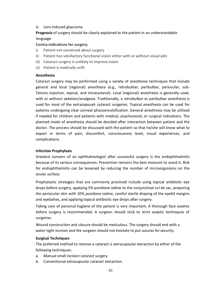#### iv. Lens induced glaucoma

**Prognosis** of surgery should be clearly explained to the patient in an understandable language.

### **Contra-indications for surgery:**

- i) Patient not convinced about surgery
- ii) Patient has satisfactory functional vision either with or without visual aids
- iii) Cataract surgery is unlikely to improve vision
- iv) Patient is medically unfit

### **Anesthesia**

Cataract surgery may be performed using a variety of anesthesia techniques that include general and local (regional) anesthesia (e.g., retrobulbar, peribulbar, periocular, sub-Tenons injection, topical, and intracameral). Local (regional) anesthesia is generally used, with or without sedation/analgesia. Traditionally, a retrobulbar or peribulbar anesthesia is used for most of the extracapsualr cataract surgeries. Topical anesthesia can be used for patients undergoing clear corneal phacoemulsification. General anesthesia may be utilized if needed for children and patients with medical, psychosocial, or surgical indications. The planned mode of anesthesia should be decided after interaction between patient and the doctor. The process should be discussed with the patient so that he/she will know what to expect in terms of pain, discomfort, consciousness level, visual experiences, and complications.

### **Infection Prophylaxis**

Greatest concern of an ophthalmologist after successful surgery is the endophthalmitis because of its serious consequences. Prevention remains the best measure to avoid it. Risk for endophthalmitis can be lessened by reducing the number of microorganisms on the ocular surface.

Prophylactic strategies that are commonly practiced include using topical antibiotic eye drops before surgery, applying 5% povidone iodine to the conjunctival cul de sac, preparing the periocular skin with 10% povidone iodine, careful sterile draping of the eyelid margins and eyelashes, and applying topical antibiotic eye drops after surgery.

Taking care of personal hygiene of the patient is very important. A thorough face washes before surgery is recommended. A surgeon should stick to strict aseptic techniques of surgeries.

Wound construction and closure should be meticulous. The surgery should end with a water tight incision and the surgeon should not hesitate to put sutures forsecurity.

### **Surgical Techniques**

The preferred method to remove a cataract is extracapsular extraction by either of the following techniques:

- a. Manual small incision cataract surgery
- b. Conventional extracapsular cataract extraction.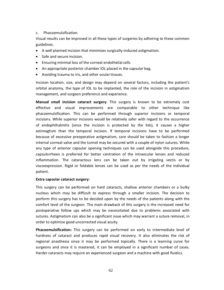### c. Phacoemulsification.

Visual results can be improved in all these types of surgeries by adhering to these common guidelines.

- · A well planned incision that minimizes surgically-induced astigmatism.
- · Safe and secure incision.
- · Ensuring minimal loss of the corneal endothelial cells
- · An appropriate posterior chamber IOL placed in the capsular bag.
- Avoiding trauma to iris, and other ocular tissues.

Incision location, size, and design may depend on several factors, including the patient's orbital anatomy, the type of IOL to be implanted, the role of the incision in astigmatism management, and surgeon preference and experience.

**Manual small incision cataract surgery**: This surgery is known to be extremely cost effective and visual improvements are comparable to other technique like phacoemulsification. This can be performed through superior incisions or temporal incisions. While superior incisions would be relatively safer with regard to the occurrence of endophthalmitis (since the incision is protected by the lids), it causes a higher astimagtism than the temporal incision. If temporal incisions have to be performed because of excessive preoperative astigmatism, care should be taken to fashion a longer internal corneal valve and the tunnel may be secured with a couple of nylon sutures. While any type of anterior capsular opening techniques can be used alongside this procedure, capsulorrhexis is preferred for better centration of the intraocular lenses and reduced inflammation. The cataractous lens can be taken out by irrigating vectis or by viscoexpression. Rigid or foldable lenses can be used as per the needs of the individual patient.

### **Extra capsular cataract surgery:**

This surgery can be performed on hard cataracts, shallow anterior chambers or a bulky nucleus which may be difficult to express through a smaller incision. The decision to perform this surgery has to be decided upon by the needs of the patients along with the comfort level of the surgeon. The main drawback of this surgery is the increased need for postoperative follow ups which may be necessitated due to problems associated with sutures. Astigmatism can also be a significant issue which may warrant a suture removal, in order to optimize good uncorrected visual acuity.

**Phacoemulsification:** This surgery can be performed on early to intermediate level of hardness of cataract and produces rapid visual recovery. It also eliminates the risk of regional anasthesia since it may be performed topically. There is a learning curve for surgeons and once it is mastered, it can be employed in a significant number of cases. Harder cataracts may require an experienced surgeon and a machine with good fluidics.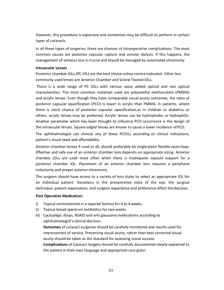However, this procedure is expensive and sometimes may be difficult to perform in certain types of cataracts.

In all these types of surgeries, there are chances of intraoperative complications. The most common causes are posterior capsular rupture and zonular dialysis. If this happens, the management of vitreous loss is crucial and should be managed by automated vitrectomy.

#### **Intraocular Lenses**

Posterior chamber IOLs (PC IOL) are the best choice unless contra-indicated. Other less commonly used lenses are Anterior Chamber and Scleral Fixated IOLs.

There is a wide range of PC IOLs with various value added optical and non optical characteristics. The most common materials used are polymethyl methacrylate (PMMA) and acrylic lenses. Even though they have comparable visual acuity outcomes, the rates of posterior capsular opacification (PCO) is lower in acrylic than PMMA. In patients, where there is more chance of posterior capsular opacification,as in children or diabetics or others, acrylic lenses may be preferred. Acrylic lenses can be hydrophobic or hydrophilic. Another parameter which has been thought to influence PCO occurrence is the design of the intraocular lenses. Square edged lenses are known to cause a lower incidence ofPCO.

The ophthalmologist can choose any of these PCIOLs according to clinical indications, patient's visual need and affordability.

Anterior chamber lenses if used at all, should preferably be single-piece flexible open-loop. Effective and safe use of an anterior chamber lens depends on appropriate sizing. Anterior chamber IOLs are used most often when there is inadequate capsule support for a posterior chamber IOL. Placement of an anterior chamber lens requires a peripheral iridectomy and proper anterior vitrectomy.

The surgeon should have access to a variety of lens styles to select an appropriate IOL for an individual patient. Variations in the preoperative state of the eye, the surgical technique, patient expectation, and surgeon experience and preference affect thedecision.

### **Post Operative Medication:**

- i) Topical corticosteroid in a tapered fashion for 4 to 6 weeks.
- ii) Topical broad spectrum antibiotics for two weeks.
- iii) Cycloplegic drops, NSAID and anti glaucoma medications according to ophthalmologist's clinical decision.

**Outcomes** of cataract surgeries should be carefully monitored and results used for improvement of service. Presenting visual acuity, rather than best corrected visual acuity should be taken as the standard for assessing visual success.

**Complications** of Cataract Surgery should be carefully documented clearly explained to the patient in their own language and appropriate care given.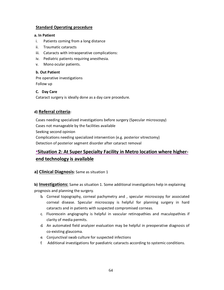### **Standard Operating procedure**

### **a. In Patient**

- i. Patients coming from a long distance
- ii. Traumatic cataracts
- iii. Cataracts with intraoperative complications:
- iv. Pediatric patients requiring anesthesia.
- v. Mono ocular patients.

**b. Out Patient** Pre operative investigations Follow up

### **C. Day Care**

Cataract surgery is ideally done as a day care procedure.

## **d) Referral criteria:**

Cases needing specialized investigations before surgery (Specular microscopy) Cases not manageable by the facilities available Seeking second opinion Complications needing specialized intervention (e.g. posterior vitrectomy) Detection of posterior segment disorder after cataract removal

## **\*Situation 2: At Super Specialty Facility in Metro location where higherend technology is available**

### **a) Clinical Diagnosis:** Same as situation 1

**b) Investigations:** Same as situation 1. Some additional investigations help in explaining prognosis and planning the surgery.

- b. Corneal topography, corneal pachymetry and , specular microscopy for associated corneal disease. Specular microscopy is helpful for planning surgery in hard cataracts and in patients with suspected compromised corneas.
- c. Fluorescein angiography is helpful in vascular retinopathies and maculopathies if clarity of media permits.
- d. An automated field analyzer evaluation may be helpful in preoperative diagnosis of co-existing glaucoma.
- e. Conjunctival swab culture for suspected infections
- f. Additional investigations for paediatric cataracts according to systemic conditions.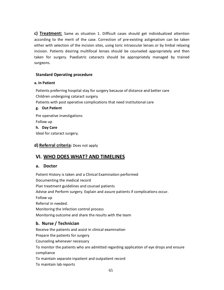**c) Treatment:** Same as situation 1. Difficult cases should get individualized attention according to the merit of the case. Correction of pre-existing astigmatism can be taken either with selection of the incision sites, using toric intraocular lenses or by limbal relaxing incision. Patients desiring multifocal lenses should be counseled appropriately and then taken for surgery. Paediatric cataracts should be appropriately managed by trained surgeons.

### **Standard Operating procedure**

### **a. In Patient**

Patients preferring hospital stay for surgery because of distance and better care Children undergoing cataract surgery Patients with post operative complications that need institutional care

### **g. Out Patient**

Pre operative investigations Follow up **h. Day Care** Ideal for cataract surgery.

### **d) Referral criteria:** Does not apply

## **VI. WHO DOES WHAT? AND TIMELINES**

### **a. Doctor**

Patient History is taken and a Clinical Examination performed Documenting the medical record Plan treatment guidelines and counsel patients Advise and Perform surgery. Explain and assure patients if complications occur. Follow up Referral in needed. Monitoring the infection control process Monitoring outcome and share the results with the team

### **b. Nurse / Technician**

Receive the patients and assist in clinical examination Prepare the patients for surgery Counseling whenever necessary To monitor the patients who are admitted regarding application of eye drops and ensure compliance To maintain separate inpatient and outpatient record To maintain lab reports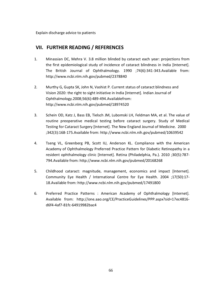Explain discharge advice to patients

## **VII. FURTHER READING / REFERENCES**

- 1. Minassian DC, Mehra V. 3.8 million blinded by cataract each year: projections from the first epidemiological study of incidence of cataract blindness in India [Internet]. The British Journal of Ophthalmology. 1990 ;74(6):341-343.Available from: <http://www.ncbi.nlm.nih.gov/pubmed/2378840>
- 2. Murthy G, Gupta SK, John N, Vashist P. Current status of cataract blindness and Vision 2020: the right to sight initiative in India [Internet]. Indian Journal of Ophthalmology.2008;56(6):489-494.Availablefrom: http://www.ncbi.nlm.nih.gov/pubmed/18974520
- 3. Schein OD, Katz J, Bass EB, Tielsch JM, Lubomski LH, Feldman MA, et al. The value of routine preoperative medical testing before cataract surgery. Study of Medical Testing for Cataract Surgery [Internet]. The New England Journal of Medicine. 2000 ;342(3):168-175.Available from: http://www.ncbi.nlm.nih.gov/pubmed/10639542
- 4. Tseng VL, Greenberg PB, Sc[ott IU, Anderson KL. Compliance with the Americ](http://www.ncbi.nlm.nih.gov/pubmed/10639542)an Academy of Ophthalmology Preferred Practice Pattern for Diabetic Retinopathy in a resident ophthalmology clinic [Internet]. Retina (Philadelphia, Pa.). 2010 ;30(5):787- 794.Available from: http://www.ncbi.nlm.nih.gov/pubmed/20168268
- 5. Childhood catar[act: magnitude, management, economics and imp](http://www.ncbi.nlm.nih.gov/pubmed/20168268)act [Internet]. Community Eye Health / International Centre for Eye Health. 2004 ;17(50):17- 18.Available from: http://www.ncbi.nlm.nih.gov/pubmed/17491800
- 6. Preferred Prac[tice Patterns : American Academy of Ophthalmo](http://www.ncbi.nlm.nih.gov/pubmed/17491800)logy [Internet]. Available from: http://one.aao.org/CE/PracticeGuidelines/PPP.aspx?sid=17ec4816 d6f4-4af7-81fc-64919982bac4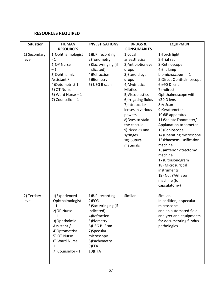## **RESOURCES REQUIRED**

| <b>Situation</b>      | <b>HUMAN</b><br><b>RESOURCES</b>                                                                                                                                                | <b>INVESTIGATIONS</b>                                                                                                                                                           | <b>DRUGS&amp;</b><br><b>CONSUMABLES</b>                                                                                                                                                                                                                                                                       | <b>EQUIPMENT</b>                                                                                                                                                                                                                                                                                                                                                                                                                                                                                                                    |
|-----------------------|---------------------------------------------------------------------------------------------------------------------------------------------------------------------------------|---------------------------------------------------------------------------------------------------------------------------------------------------------------------------------|---------------------------------------------------------------------------------------------------------------------------------------------------------------------------------------------------------------------------------------------------------------------------------------------------------------|-------------------------------------------------------------------------------------------------------------------------------------------------------------------------------------------------------------------------------------------------------------------------------------------------------------------------------------------------------------------------------------------------------------------------------------------------------------------------------------------------------------------------------------|
| 1) Secondary<br>level | 1) Ophthalmologist<br>$-1$<br>2) OP Nurse<br>$-1$<br>3) Ophthalmic<br>Assistant /<br>4) Optometrist 1<br>5) OT Nurse<br>6) Ward Nurse $-1$<br>7) Counsellor - 1                 | 1)B.P. recording<br>2)Tonometry<br>3) Sac syringing (if<br>indicated)<br>4)Refraction<br>5) Biometry<br>6) USG B scan                                                           | 1)Local<br>anaesthetics<br>2) Antibiotics eye<br>drops<br>3) Steroid eye<br>drops<br>4) Mydriatics<br><b>Miotics</b><br>5) Viscoelastics<br>6) Irrigating fluids<br>7) Intraocular<br>lenses in various<br>powers<br>8) Dyes to stain<br>the capsule<br>9) Needles and<br>syringes<br>10) Suture<br>materials | 1) Torch light<br>2)Trial set<br>3)Retinoscope<br>4) Slit lamp -<br>biomicroscope<br>$-1$<br>5) Direct Ophthalmoscope<br>6)+90 D lens<br>7)Indirect<br>Ophthalmoscope with<br>+20 D lens<br>8)A-Scan<br>9) Keratometer<br>10)BP apparatus<br>11)Schiotz Tonometer/<br>Applanation tonometer<br>13)Gonioscope<br>14) Operating microscope<br>15) Phacoemulscification<br>machine<br>16) Anterior vitrectomy<br>machine<br>17) Ultrasonogram<br>18) Microsurgical<br>instruments<br>19) Nd: YAG laser<br>machine (for<br>capsulatomy) |
| 2) Tertiary<br>level  | 1) Experienced<br>Ophthalmologist<br>- 1<br>2) OP Nurse<br>$-1$<br>3) Ophthalmic<br>Assistant /<br>4) Optometrist 1<br>5) OT Nurse<br>6) Ward Nurse -<br>1<br>7) Counsellor - 1 | 1)B.P. recording<br>2)ECG<br>3) Sac syringing (if<br>indicated)<br>4)Refraction<br>5) Biometry<br>6) USG B-Scan<br>7)Specular<br>microscopy<br>8) Pachymetry<br>9)FFA<br>10)HFA | Similar                                                                                                                                                                                                                                                                                                       | Similar.<br>In addition, a specular<br>microscope<br>and an automated field<br>analyzer and equipments<br>for documenting fundus<br>pathologies.                                                                                                                                                                                                                                                                                                                                                                                    |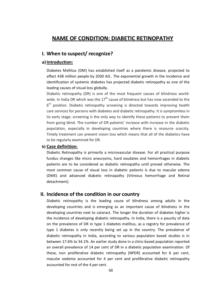## **NAME OF CONDITION: DIABETIC RETINOPATHY**

## **I. When to suspect/ recognize?**

### a) **Introduction:**

Diabetes Mellitus (DM) has established itself as a pandemic disease, projected to affect 438 million people by 2030 AD.. The exponential growth in the incidence and identification of systemic diabetes has projected diabetic retinopathy as one of the leading causes of visual loss globally.

Diabetic retinopathy (DR) is one of the most frequent causes of blindness worldwide. In India DR which was the  $17<sup>th</sup>$  cause of blindness but has now ascended to the  $6<sup>th</sup>$  position. Diabetic retinopathy screening is directed towards improving health care services for persons with diabetes and diabetic retinopathy. It is symptomless in its early stage; screening is the only way to identify these patients to prevent them from going blind. The number of DR patients' increase with increase in the diabetic population, especially in developing countries where there is resource scarcity. Timely treatment can prevent vision loss which means that all of the diabetics have to be regularly examined for DR.

### **b) Case definition:**

Diabetic Retinopathy is primarily a microvascular disease. For all practical purpose fundus changes like micro aneurysms, hard exudates and hemorrhages in diabetic patients are to be considered as diabetic retinopathy until proved otherwise. The most common cause of visual loss in diabetic patients is due to macular edema (DME) and advanced diabetic retinopathy (Vitreous hemorrhage and Retinal detachment).

### **II. Incidence of the condition in our country**

Diabetic retinopathy is the leading cause of blindness among adults in the developing countries and is emerging as an important cause of blindness in the developing countries next to cataract. The longer the duration of diabetes higher is the incidence of developing diabetic retinopathy. In India, there is a paucity of data on the prevalence of DR in type 1 diabetes mellitus, as a registry for prevalence of type 1 diabetes is only recently being set up in the country. The prevalence of diabetic retinopathy in India, according to various population based studies is in between 17.6% to 34.1%. An earlier study done in a clinic-based population reported an overall prevalence of 14 per cent of DR in a diabetic population examination. Of these, non proliferative diabetic retinopathy (NPDR) accounted for 6 per cent, macular oedema accounted for 4 per cent and proliferative diabetic retinopathy accounted for rest of the 4 per cent.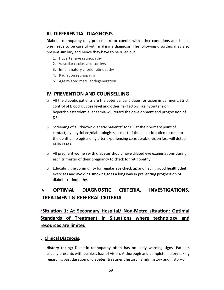## **III. DIFFERENTIAL DIAGNOSIS**

Diabetic retinopathy may present like or coexist with other conditions and hence one needs to be careful with making a diagnosis. The following disorders may also present similary and hence they have to be ruled out.

- 1. Hypertensive retinopathy
- 2. Vascular occlusive disorders
- 3. Inflammatory chorio retinopathy
- 4. Radiation retinopathy
- 5. Age related macular degeneration

## **IV. PREVENTION AND COUNSELLING**

- o All the diabetic patients are the potential candidates for vision impairment. Strict control of blood glucose level and other risk factors like hypertension, hypercholesterolemia, anaemia will retard the development and progression of DR..
- o Screening of all "known diabetic patients" for DR at their primary point of contact, by physicians/diabetologists as most of the diabetic patients come to the ophthalmologists only after experiencing considerable vision loss will detect early cases.
- $\circ$  All pregnant women with diabetes should have dilated eye examinations during each trimester of their pregnancy to check for retinopathy
- o Educating the community for regular eye check up and having good healthydiet, exercises and avoiding smoking goes a long way in preventing progression of diabetic retinopathy.

# **V. OPTIMAL DIAGNOSTIC CRITERIA, INVESTIGATIONS, TREATMENT & REFERRAL CRITERIA**

# **\*Situation 1: At Secondary Hospital/ Non-Metro situation: Optimal Standards of Treatment in Situations where technology and resources are limited**

### **a) Clinical Diagnosis:**

**History taking:** Diabetic retinopathy often has no early warning signs. Patients usually presents with painless loss of vision. A thorough and complete history taking regarding past duration of diabetes, treatment history, family history and historyof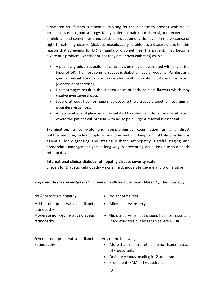associated risk factors is essential. Waiting for the diabetic to present with visual problems is not a good strategy. Many patients retain normal eyesight or experience a minimal (and sometimes unnoticeable) reduction of vision even in the presence of sight-threatening disease (diabetic maculopathy, proliferative disease). It is for this reason that screening for DR is mandatory. Sometimes, the patients may become aware of a problem (whether or not they are known diabetics) as in :

- · A painless gradual reduction of central vision may be associated with any of the types of DR. The most common cause is diabetic macular oedema. Painless and gradual **visual loss** is also associated with coexistent cataract formation (diabetic or [otherw](http://www.patient.co.uk/DisplayConcepts.asp?WordId=VISUAL%20LOSS&MaxResults=50)ise).
- · Haemorrhages result in the sudden onset of dark, painless **floaters** which may resolve over several days.
- · Severe vitreous haemorrhage may obscure the vitreous altogether resulting in a painless visual loss.
- · An acute attack of glaucoma precipitated by rubeosis iridis is the one situation where the patient will present with acute pain; urgent referral is essential.

**Examination:** a complete and comprehensive examination using a direct ophthalmoscope, indirect ophthalmoscope and slit lamp with 90 dioptre lens is essential for diagnosing and staging diabetic retinopathy. Careful staging and appropriate management goes a long way in preventing visual loss due to diabetic retinopathy.

### **International clinical diabetic retinopathy disease severity scale**

5 levels for Diabetic Retinopathy – none, mild, moderate, severe and proliferative

|                       | <b>Proposed Disease Severity Level</b> |          |                | <b>Findings Observable upon Dilated Ophthalmoscopy</b>                                    |
|-----------------------|----------------------------------------|----------|----------------|-------------------------------------------------------------------------------------------|
|                       | No Apparent retinopathy                |          |                | No abnormalities                                                                          |
| Mild<br>retinopathy   | non-proliferative                      | diabetic | $\bullet$      | Microaneurysms only                                                                       |
| retinopathy           | Moderate non-proliferative diabetic    |          |                | • Microaneurysms . dot shaped haemorrhages and<br>hard exudates but less than severe NPDR |
| Severe<br>Retinopathy | non-proliferative                      | diabetic | ٠              | Any of the following:<br>More than 20 intra-retinal hemorrhages in each<br>of 4 quadrants |
|                       |                                        |          | $\bullet$<br>٠ | Definite venous beading in 2+quadrants<br>Prominent IRMA in 1+ quadrant                   |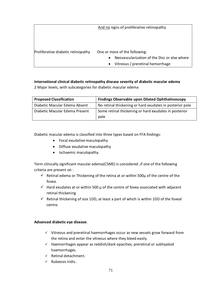|                                    | And no signs of proliferative retinopathy                 |
|------------------------------------|-----------------------------------------------------------|
|                                    |                                                           |
| Proliferative diabetic retinopathy | One or more of the following:                             |
|                                    | Neovascularization of the Disc or else where<br>$\bullet$ |
|                                    | Vitreous / preretinal hemorrhage                          |

### **International clinical diabetic retinopathy disease severity of diabetic macular edema**

2 Major levels, with subcategories for diabetic macular edema

| <b>Proposed Classification</b> | <b>Findings Observable upon Dilated Ophthalmoscopy</b>        |
|--------------------------------|---------------------------------------------------------------|
| Diabetic Macular Edema Absent  | No retinal thickening or hard exudates in posterior pole      |
| Diabetic Macular Edema Present | Some retinal thickening or hard exudates in posterior<br>pole |

Diabetic macular edema is classified into three types based on FFA findings:

- · Focal exudative maculopathy
- · Diffuse exudative maculopathy
- · Ischaemic maculopathy.

Term clinically significant macular edema(CSME) is considered ,if one of the following criteria are present on :

- $\checkmark$  Retinal edema or Thickening of the retina at or within 500 $\mu$  of the centre of the fovea.
- $\checkmark$  Hard exudates at or within 500  $\mu$  of the centre of fovea associated with adjacent retinal thickening
- $\checkmark$  Retinal thickening of size 1DD, at least a part of which is within 1DD of the foveal centre.

### **Advanced diabetic eye disease**.

- $\checkmark$  Vitreous and preretinal haemorrhages occur as new vessels grow forward from the retina and enter the vitreous where they bleed easily.
- $\checkmark$  Haemorrhages appear as reddish/dark opacities; preretinal or subhyaloid haemorrhages.
- $\checkmark$  Retinal detachment.
- $\checkmark$  Rubeosis iridis.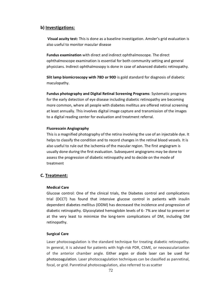### **b) Investigations:**

**Visual acuity test:** This is done as a baseline investigation. Amsler's grid evaluation is also useful to monitor macular disease

**Fundus examination** with direct and indirect ophthalmoscope. The direct ophthalmoscope examination is essential for both community setting and general physicians. Indirect ophthalmosopy is done in case of advanced diabetic retinopathy.

**Slit lamp biomicroscopy with 78D or 90D** is gold standard for diagnosis of diabetic maculopathy.

**Fundus photography and Digital Retinal Screening Programs**: Systematic programs for the early detection of eye disease including diabetic retinopathy are becoming more common, where all people with diabetes mellitus are offered retinal screening at least annually. This involves digit[al image capture and](http://en.wikipedia.org/wiki/Diabetes_mellitus) transmission of the images to a digital reading center for evaluation and treatment referral.

#### **Fluorescein Angiography**

This is a magnified photography of the retina involving the use of an injectable dye. It helps to classify the condition and to record changes in the retinal blood vessels. It is also useful to rule out the ischemia of the macular region. The first angiogram is usually done during the first evaluation. Subsequent angiograms may be done to assess the progression of diabetic retinopathy and to decide on the mode of treatment

### **C. Treatment:**

#### **Medical Care**

Glucose control: One of the clinical trials, the Diabetes control and complications trial (DCCT) has found that intensive glucose control in patients with insulin dependent diabetes mellitus (IDDM) has decreased the incidence and progression of diabetic retinopathy. Glycosylated hemoglobin levels of 6- 7% are ideal to prevent or at the very least to minimize the long-term complications of DM, including DM retinopathy.

#### **Surgical Care**

Laser photocoagulation is the standard technique for treating diabetic retinopathy. In general, it is advised for patients with high-risk PDR, CSME, or neovascularization of the anterior chamber angle. Either argon or diode laser can be used for photocoagulation. Laser photocoagulation techniques can be classified as panretinal, focal, or grid. Panretinal photocoagulation, also referred to as scatter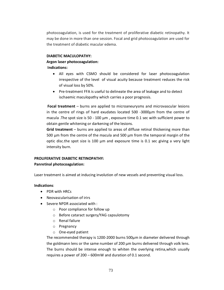photocoagulation, is used for the treatment of proliferative diabetic retinopathy. It may be done in more than one session. Focal and grid photocoagulation are used for the treatment of diabetic macular edema.

#### **DIABETIC MACULOPATHY:**

## **Argon laser photocoagulation:**

#### **Indications:**

- · All eyes with CSMO should be considered for laser photocoagulation irrespective of the level of visual acuity because treatment reduces the risk of visual loss by 50%.
- · Pre-treatment FFA is useful to delineate the area of leakage and to detect ischaemic maculopathy which carries a poor prognosis.

**Focal treatment** – burns are applied to microaneurysms and microvascular lesions in the centre of rings of hard exudates located 500 -3000µm from the centre of macula .The spot size is 50 - 100  $\mu$ m, exposure time 0.1 sec with sufficient power to obtain gentle whitening or darkening of the lesions.

**Grid treatment** – burns are applied to areas of diffuse retinal thickening more than 500  $\mu$ m from the centre of the macula and 500  $\mu$ m from the temporal margin of the optic disc.the spot size is 100  $\mu$ m and exposure time is 0.1 sec giving a very light intensity burn.

# **PROLIFERATIVE DIABETIC RETINOPATHY:**

## **Panretinal photocoagulation:**

Laser treatment is aimed at inducing involution of new vessels and preventing visual loss.

## **Indications**:

- · PDR with HRCs
- · Neovascularisation of irirs
- · Severe NPDR associated with :
	- o Poor compliance for follow up
	- o Before cataract surgery/YAG capsulotomy
	- o Renal failure
	- o Pregnancy
	- o One-eyed patient

The recommended therapy is 1200-2000 burns 500µm in diameter delivered through the goldmann lens or the same number of 200  $\mu$ m burns delivered through volk lens. The burns should be intense enough to whiten the overlying retina,which usually requires a power of 200 – 600mW and duration of 0.1 second.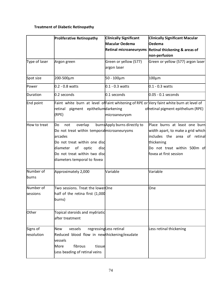# **Treatment of Diabetic Retinopathy**

|                           | <b>Proliferative Retinopathy</b>                                                                                                                                                                                 | <b>Clinically Significant</b> | <b>Clinically Significant Macular</b>                                                                                                                                     |
|---------------------------|------------------------------------------------------------------------------------------------------------------------------------------------------------------------------------------------------------------|-------------------------------|---------------------------------------------------------------------------------------------------------------------------------------------------------------------------|
|                           |                                                                                                                                                                                                                  | <b>Macular Oedema</b>         | <b>Oedema</b>                                                                                                                                                             |
|                           |                                                                                                                                                                                                                  | <b>Retinal microaneurysms</b> | Retinal thickening & areas of                                                                                                                                             |
|                           |                                                                                                                                                                                                                  |                               | non-perfusion                                                                                                                                                             |
| Type of laser             | Argon green                                                                                                                                                                                                      | Green or yellow (577)         | Green or yellow (577) argon laser                                                                                                                                         |
|                           |                                                                                                                                                                                                                  | argon laser                   |                                                                                                                                                                           |
| Spot size                 | 200-500µm                                                                                                                                                                                                        | $50 - 100 \mu m$              | 100µm                                                                                                                                                                     |
| Power                     | $0.2 - 0.8$ watts                                                                                                                                                                                                | $0.1 - 0.3$ watts             | $0.1 - 0.3$ watts                                                                                                                                                         |
| Duration                  | 0.2 seconds                                                                                                                                                                                                      | 0.1 seconds                   | $0.05 - 0.1$ seconds                                                                                                                                                      |
| End point                 | pigment epitheliumdarkening<br>retinal<br>(RPE)                                                                                                                                                                  | microaneurysm                 | Faint white burn at level of Faint whitening of RPE or Very faint white burn at level of<br>ofretinal pigment epithelium (RPE)                                            |
| How to treat              | overlap<br>Do<br>not<br>Do not treat within temporal microaneurysms<br>arcades<br>Do not treat within one disd<br>of<br>diameter<br>optic<br>disd<br>Do not treat within two disd<br>diameters temporal to fovea | burnsApply burns directly to  | Place burns at least one burn<br>width apart, to make a grid which<br>includes the area of retinal<br>thickening<br>Do not treat within 500m of<br>fovea at first session |
| Number of<br><b>burns</b> | Approximately 2,000                                                                                                                                                                                              | Variable                      | Variable                                                                                                                                                                  |
| Number of<br>sessions     | Two sessions. Treat the lowerOne<br>half of the retina first (1,000<br>burns)                                                                                                                                    |                               | One                                                                                                                                                                       |
| Other                     | Topical steroids and mydriatic<br>after treatment                                                                                                                                                                |                               |                                                                                                                                                                           |
| Signs of                  | <b>New</b><br>vessels                                                                                                                                                                                            | regressingLess retinal        | Less retinal thickening                                                                                                                                                   |
| resolution                | Reduced blood flow in newthickening/exudate<br>vessels<br>fibrous<br>More<br>tissue<br>Less beading of retinal veins                                                                                             |                               |                                                                                                                                                                           |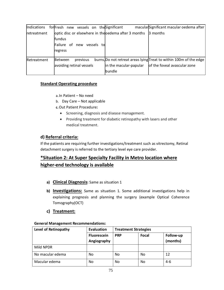| Indications |                                            |                                      |            | for Fresh new vessels on the Significant             | macularSignificant macular oedema after                                                            |
|-------------|--------------------------------------------|--------------------------------------|------------|------------------------------------------------------|----------------------------------------------------------------------------------------------------|
| retreatment | <b>fundus</b><br>Failure of new<br>regress |                                      | vessels to | optic disc or elsewhere in the oedema after 3 months | 3 months                                                                                           |
| Retreatment | <b>Between</b>                             | previous<br>avoiding retinal vessels |            | in the macular-papular<br>bundle                     | burns, Do not retreat areas lying Treat to within 100m of the edge<br>of the foveal avascular zone |

# **Standard Operating procedure**

a.In Patient – No need

b. Day Care – Not applicable

**c.**Out Patient Procedure**:**

- · Screening, diagnosis and disease management.
- · Providing treatment for diabetic retinopathy with lasers and other medical treatment.

# **d) Referral criteria:**

If the patients are requiring further investigations/treatment such as vitrectomy, Retinal detachment surgery is referred to the tertiary level eye care provider.

# **\*Situation 2: At Super Specialty Facility in Metro location where higher-end technology is available**

- **a) Clinical Diagnosis:** Same as situation 1
- **b) Investigations:** Same as situation 1. Some additional investigations help in explaining prognosis and planning the surgery (example Optical Coherence Tomography(OCT)
- **c) Treatment:**

| Level of Retinopathy | Evaluation                        | <b>Treatment Strategies</b> |       |                       |  |
|----------------------|-----------------------------------|-----------------------------|-------|-----------------------|--|
|                      | <b>Fluorescein</b><br>Angiography | <b>PRP</b>                  | Focal | Follow-up<br>(months) |  |
| Mild NPDR            |                                   |                             |       |                       |  |
| No macular edema     | No                                | No.                         | No    | 12                    |  |
| Macular edema        | No                                | N <sub>0</sub>              | No    | $4-6$                 |  |

## **General Management Recommendations:**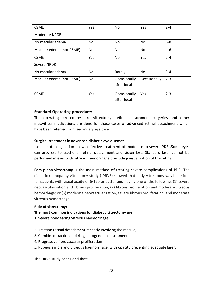| <b>CSME</b>              | Yes | No.                         | <b>Yes</b>     | $2 - 4$ |
|--------------------------|-----|-----------------------------|----------------|---------|
| Moderate NPDR            |     |                             |                |         |
| No macular edema         | No. | No.                         | No.            | $6 - 8$ |
| Macular edema (not CSME) | No. | N <sub>o</sub>              | N <sub>o</sub> | $4-6$   |
| <b>CSME</b>              | Yes | <b>No</b>                   | Yes            | $2 - 4$ |
| Severe NPDR              |     |                             |                |         |
| No macular edema         | No. | Rarely                      | No             | $3 - 4$ |
| Macular edema (not CSME) | No. | Occasionally<br>after focal | Occasionally   | $2 - 3$ |
| <b>CSME</b>              | Yes | Occasionally<br>after focal | Yes            | $2 - 3$ |

## **Standard Operating procedure:**

The operating procedures like vitrectomy, retinal detachment surgeries and other intravitreal medications are done for those cases of advanced retinal detachment which have been referred from secondary eye care.

#### **Surgical treatment in advanced diabetic eye disease:**

Laser photocoagulation allows effective treatment of moderate to severe PDR .Some eyes can progress to tractional retinal detachment and vision loss. Standard laser cannot be performed in eyes with vitreous hemorrhage precluding visualization of the retina.

**Pars plana vitrectomy** is the main method of treating severe complications of PDR. The diabetic retinopathy vitrectomy study ( DRVS) showed that early vitrectomy was beneficial for patients with visual acuity of 6/120 or better and having one of the following: (1) severe neovascularization and fibrous proliferation; (2) fibrous proliferation and moderate vitreous hemorrhage; or (3) moderate neovascularization, severe fibrous proliferation, and moderate vitreous hemorrhage.

#### **Role of vitrectomy:**

#### **The most common indications for diabetic vitrectomy are :**

- 1. Severe nonclearing vitreous haemorrhage,
- 2. Traction retinal detachment recently involving the macula,
- 3. Combined traction and rhegmatogenous detachment,
- 4. Progressive fibrovascular proliferation,
- 5. Rubeosis iridis and vitreous haemorrhage, with opacity preventing adequate laser.

The DRVS study concluded that: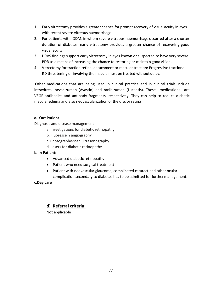- 1. Early vitrectomy provides a greater chance for prompt recovery of visual acuity in eyes with recent severe vitreous haemorrhage.
- 2. For patients with IDDM, in whom severe vitreous haemorrhage occurred after a shorter duration of diabetes, early vitrectomy provides a greater chance of recovering good visual acuity
- 3. DRVS findings support early vitrectomy in eyes known or suspected to have very severe PDR as a means of increasing the chance to restoring or maintain good vision.
- 4. Vitrectomy for traction retinal detachment or macular traction: Progressive tractional RD threatening or involving the macula must be treated without delay.

Other medications that are being used in clinical practice and in clinical trials include intravitreal bevacizumab (Avastin) and ranibizumab (Lucentis), These medications are VEGF antibodies and antibody fragments, respectively. They can help to reduce diabetic macular edema and also neovascularization of the disc or retina

## **a. Out Patient**

Diagnosis and disease management

- a. Investigations for diabetic retinopathy
- b. Fluorescein angiography
- c. Photography-scan ultrasonography
- d. Lasers for diabetic retinopathy

#### **b. In Patient:**

- · Advanced diabetic retinopathy
- · Patient who need surgical treatment
- · Patient with neovascular glaucoma, complicated cataract and other ocular complication secondary to diabetes has to be admitted for furthermanagement.

#### **c.Day care**

## **d) Referral criteria:**

Not applicable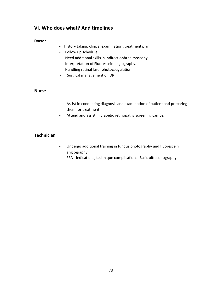# **VI. Who does what? And timelines**

#### **Doctor**

- **-** history taking**,** clinical examination ,treatment plan
- Follow up schedule
- Need additional skills in indirect ophthalmoscopy,
- Interpretation of Fluorescein angiography.
- Handling retinal laser photocoagulation
- Surgical management of DR.

#### **Nurse**

- Assist in conducting diagnosis and examination of patient and preparing them for treatment.
- Attend and assist in diabetic retinopathy screening camps.

## **Technician**

- Undergo additional training in fundus photography and fluorescein angiography
- FFA Indications, technique complications -Basic ultrasonography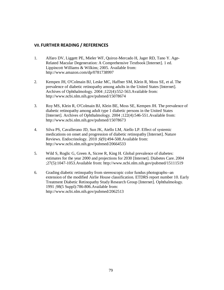## **VII. FURTHER READING / REFERENCES**

- 1. Alfaro DV, Liggett PE, Mieler WF, Quiroz-Mercado H, Jager RD, Tano Y. Age-Related Macular Degeneration: A Comprehensive Textbook [Internet]. 1 ed. Lippincott Williams & Wilkins; 2005. Available from: http://www.amazon.com/dp/0781738997
- 2. Kempen JH, O'Colmain BJ, Leske MC, Haffner SM, Klein R, Moss SE, et al. The prevalence of diabetic retinopathy among adults in the United States [Internet]. Archives of Ophthalmology. 2004 ;122(4):552-563.Available from: http://www.ncbi.nlm.nih.gov/pubmed/15078674
- 3. [Roy MS, Klein R, O](http://www.ncbi.nlm.nih.gov/pubmed/15078674)'[Colmain BJ, Klein BE, Mo](http://www.ncbi.nlm.nih.gov/pubmed/15078674)ss SE, Kempen JH. The prevalence of diabetic retinopathy among adult type 1 diabetic persons in the United States [Internet]. Archives of Ophthalmology. 2004 ;122(4):546-551.Available from: http://www.ncbi.nlm.nih.gov/pubmed/15078673
- 4. [Silva PS, Cavallerano JD, Sun JK, Aiello LM, A](http://www.ncbi.nlm.nih.gov/pubmed/15078673)iello LP. Effect of systemic medications on onset and progression of diabetic retinopathy [Internet]. Nature Reviews. Endocrinology. 2010 ;6(9):494-508.Available from: http://www.ncbi.nlm.nih.gov/pubmed/20664533
- 5. [Wild S, Roglic G, Green A, Sicree R, King H. G](http://www.ncbi.nlm.nih.gov/pubmed/20664533)lobal prevalence of diabetes: estimates for the year 2000 and projections for 2030 [Internet]. Diabetes Care. 2004 ;27(5):1047-1053.Available from: http://www.ncbi.nlm.nih.gov/pubmed/15111519
- 6. Grading diabetic retinopat[hy from stereoscopic color fundus photographs--an](http://www.ncbi.nlm.nih.gov/pubmed/15111519)  extension of the modified Airlie House classification. ETDRS report number 10. Early Treatment Diabetic Retinopathy Study Research Group [Internet]. Ophthalmology. 1991 ;98(5 Suppl):786-806.Available from: http://www.ncbi.nlm.nih.gov/pubmed/2062513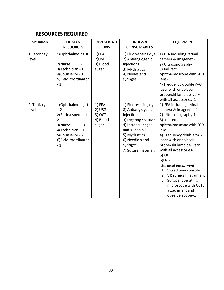# **RESOURCES REQUIRED**

| <b>Situation</b>     | <b>HUMAN</b><br><b>RESOURCES</b>                                                                                                                        | <b>INVESTIGATI</b><br><b>ONS</b>                | <b>DRUGS&amp;</b><br><b>CONSUMABLES</b>                                                                                                                                                        | <b>EQUIPMENT</b>                                                                                                                                                                                                                                                                                                                                                                                                                                |
|----------------------|---------------------------------------------------------------------------------------------------------------------------------------------------------|-------------------------------------------------|------------------------------------------------------------------------------------------------------------------------------------------------------------------------------------------------|-------------------------------------------------------------------------------------------------------------------------------------------------------------------------------------------------------------------------------------------------------------------------------------------------------------------------------------------------------------------------------------------------------------------------------------------------|
| 1 Seconday<br>level  | 1) Ophthalmologist<br>$-1$<br>2) Nurse<br>$-1$<br>3) Technician - 1<br>4) Counsellor - 1<br>5) Field coordinator<br>$-1$                                | 1)FFA<br>$2)$ USG<br>3) Blood<br>sugar          | 1) Fluoresceing dye<br>2) Antiangiogenic<br>injections<br>3) Mydriatics<br>4) Neeles and<br>syringes                                                                                           | 1) FFA including retinal<br>camera & imagenet - 1<br>2) Ultrasonography<br>3) Indirect<br>ophthalmoscope with 20D<br>lens-1<br>4) Frequency double YAG<br>laser with endolaser<br>probe/slit lamp delivery<br>with all accessories-1                                                                                                                                                                                                            |
| 2. Tertiary<br>level | 1) Ophthalmologist<br>$-2$<br>2) Retina specialist -<br>2<br>$-3$<br>3) Nurse<br>4) Technician $-1$<br>5) Counsellor - 2<br>6)Field coordinator<br>$-1$ | 1) FFA<br>2) USG<br>3) OCT<br>4) Blood<br>sugar | 1) Fluoresceing dye<br>2) Antiangiogenic<br>injection<br>3) Irigating solution<br>4) Intraocular gas<br>and silicon oil<br>5) Mydriatics<br>6) Needle s and<br>syringes<br>7) Suture materials | 1) FFA including retinal<br>camera & imagenet - 1<br>2) Ultrasonography-1<br>3) Indirect<br>ophthalmoscope with 20D<br>lens-1<br>4) Frequency double YAG<br>laser with endolaser<br>probe/slit lamp delivery<br>with all accessories-1<br>$5)$ OCT $-$<br>$6)ERG - 1$<br><b>Surgical equipment:</b><br>1. Vitrectomy console<br>2. VR surgical instrument<br>3. Surgical operating<br>microscope with CCTV<br>attachment and<br>observerscope-1 |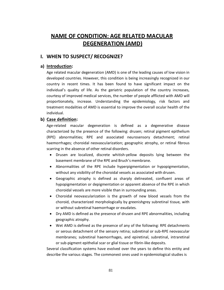# **NAME OF CONDITION: AGE RELATED MACULAR DEGENERATION (AMD)**

# **I. WHEN TO SUSPECT/ RECOGNIZE?**

## **a) Introduction:**

Age related macular degeneration (AMD) is one of the leading causes of low vision in developed countries. However, this condition is being increasingly recognized in our country in recent times. It has been found to have significant impact on the individual's quality of life. As the geriatric population of the country increases, courtesy of improved medical services, the number of people afflicted with AMD will proportionately, increase. Understanding the epidemiology, risk factors and treatment modalities of AMD is essential to improve the overall ocular health of the individual.

## **b) Case definition:**

Age-related macular degeneration is defined as a degenerative disease characterized by the presence of the following: drusen; retinal pigment epithelium (RPE) abnormalities; RPE and associated neurosensory detachment; retinal haemorrhages; choroidal neovascularization; geographic atrophy, or retinal fibrous scarring in the absence of other retinal disorders.

- · Drusen are localized, discrete whitish-yellow deposits lying between the basement membrane of the RPE and Bruch's membrane.
- · Abnormalities of the RPE include hyperpigmentation or hypopigmentation, without any visibility of the choroidal vessels as associated with drusen.
- · Geographic atrophy is defined as sharply delineated, confluent areas of hypopigmentation or depigmentation or apparent absence of the RPE in which choroidal vessels are more visible than in surrounding areas.
- · Choroidal neovascularization is the growth of new blood vessels from the choroid, characterized morphologically by greenishgrey subretinal tissue, with or without subretinal haemorrhage or exudates.
- · Dry AMD is defined as the presence of drusen and RPE abnormalities, including geographic atrophy.
- · Wet AMD is defined as the presence of any of the following: RPE detachments or serous detachment of the sensory retina; subretinal or sub-RPE neovascular membranes; subretinal haemorrhages, and epiretinal, subretinal, intraretinal or sub-pigment epithelial scar or glial tissue or fibrin-like deposits.

Several classification systems have evolved over the years to define this entity and describe the various stages. The commonest ones used in epidemiological studies is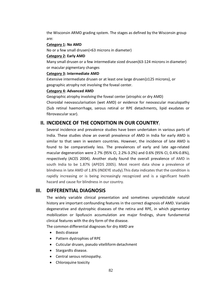the Wisconsin ARMD grading system. The stages as defined by the Wisconsin group are:

#### **Category 1: No AMD**

No or a few small drusen(<63 microns in diameter)

#### **Category 2: Early AMD**

Many small drusen or a few intermediate sized drusen(63-124 microns in diameter) or macular pigmentary changes

#### **Category 3: Intermediate AMD**

Extensive intermediate drusen or at least one large drusen(≥125 microns), or geographic atrophy not involving the foveal center.

#### **Category 4: Advanced AMD**

Geographic atrophy involving the foveal center (atrophic or dry AMD)

Choroidal neovascularisation (wet AMD) or evidence for neovascular maculopathy (Sub retinal haemorrhage, serous retinal or RPE detachments, lipid exudates or fibrovascular scar).

# **II. INCIDENCE OF THE CONDITION IN OUR COUNTRY:**

Several incidence and prevalence studies have been undertaken in various parts of India. These studies show an overall prevalence of AMD in India for early AMD is similar to that seen in western countries. However, the incidence of late AMD is found to be comparatively less. The prevalences of early and late age-related macular degeneration were 2.7% (95% CI, 2.2%-3.2%) and 0.6% (95% CI, 0.4%-0.8%), respectively (ACES 2004). Another study found the overall prevalence of AMD in south India to be 1.87% (APEDS 2005). Most recent data show a prevalence of blindness in late AMD of 1.8% (INDEYE study).This data indicates that the condition is rapidly increasing or is being increasingly recognized and is a significant health hazard and cause for blindness in our country.

# **III. DIFFERENTIAL DIAGNOSIS**

The widely variable clinical presentation and sometimes unpredictable natural history are important confounding features in the correct diagnosis of AMD. Variable degenerative and dystrophic diseases of the retina and RPE, in which pigmentary mobilization or lipofuscin accumulation are major findings, share fundamental clinical features with the dry form of the disease.

The common differential diagnoses for dry AMD are

- · Bests disease
- · Pattern dystrophies of RPE
- · Cuticular drusen, pseudo vitelliform detachment
- · Stargardts disease.
- · Central serous retinopathy.
- Chloroquine toxicity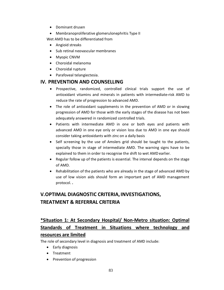- · Dominant drusen
- · Membranoproliferative glomerulonephritis Type II

Wet AMD has to be differentiated from

- · Angioid streaks
- · Sub retinal neovascular membranes
- · Myopic CNVM
- · Choroidal melanoma
- · Choroidal rupture
- · Parafoveal telangiectesia.

# **IV. PREVENTION AND COUNSELLING**

- · Prospective, randomized, controlled clinical trials support the use of antioxidant vitamins and minerals in patients with intermediate-risk AMD to reduce the rate of progression to advanced AMD.
- The role of antioxidant supplements in the prevention of AMD or in slowing progression of AMD for those with the early stages of the disease has not been adequately answered in randomized controlled trials.
- · Patients with intermediate AMD in one or both eyes and patients with advanced AMD in one eye only or vision loss due to AMD in one eye should consider taking antioxidants with zinc on a daily basis
- · Self screening by the use of Amslers grid should be taught to the patients, specially those in stage of intermediate AMD. The warning signs have to be explained to them in order to recognise the shift to wet AMDearlier.
- · Regular follow up of the patients is essential. The interval depends on the stage of AMD.
- · Rehabilitation of the patients who are already in the stage of advanced AMD by use of low vision aids should form an important part of AMD management protocol. **.**

# **V.OPTIMAL DIAGNOSTIC CRITERIA,INVESTIGATIONS, TREATMENT & REFERRAL CRITERIA**

# **\*Situation 1: At Secondary Hospital/ Non-Metro situation: Optimal Standards of Treatment in Situations where technology and resources are limited**

The role of secondary level in diagnosis and treatment of AMD include:

- · Early diagnosis
- · Treatment
- · Prevention of progression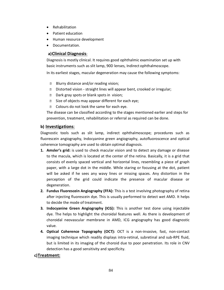- · Rehabilitation
- · Patient education
- · Human resource development
- · Documentation.

## **a)Clinical Diagnosis**:

Diagnosis is mostly clinical. It requires good ophthalmic examination set up with basic instruments such as slit lamp, 90D lenses, Indirect ophthalmoscope.

In its earliest stages, macular degeneration may cause the following symptoms:

- **B** Blurry distance and/or reading vision;
- Distorted vision straight lines will appear bent, crooked or irregular;
- **Dark gray spots or blank spots in vision;**
- Size of objects may appear different for each eye;
- Colours do not look the same for each eye.

The disease can be classified according to the stages mentioned earlier and steps for prevention, treatment, rehabilitation or referral as required can be done.

## **b) Investigations**:

Diagnostic tools such as slit lamp, indirect ophthalmoscope; procedures such as fluorescein angiography, Indocyanine green angiography, autofluoroscence and optical coherence tomography are used to obtain optimal diagnosis.

- **1. Amsler's grid:** is used to check macular vision and to detect any damage or disease to the macula, which is located at the center of the retina. Basically, it is a grid that consists of evenly spaced vertical and horizontal lines, resembling a piece of graph paper, with a large dot in the middle. While staring or focusing at the dot, patient will be asked if he sees any wavy lines or missing spaces. Any distortion in the perception of the grid could indicate the presence of macular disease or degeneration.
- **2. Fundus Fluorescein Angiography (FFA):** This is a test involving photography of retina after injecting fluorescein dye. This is usually performed to detect wet AMD. It helps to decide the mode of treatment.
- **3. Indocyanine Green Angiography (ICG):** This is another test done using injectable dye. The helps to highlight the choroidal features well. As there is development of choroidal neovascular membrane in AMD, ICG angiography has good diagnostic value.
- **4. Optical Coherence Topography (OCT):** OCT is a non-invasive, fast, non-contact imaging technique which readily displays intra-retinal, subretinal and sub-RPE fluid, but is limited in its imaging of the choroid due to poor penetration. Its role in CNV detection has a good sensitivity and specificity.

## **c)Treatment:**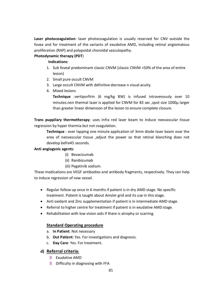**Laser photocoagulation**: laser photocoagulation is usually reserved for CNV outside the fovea and for treatment of the variants of exudative AMD, including retinal angiomatous proliferation (RAP) and polypoidal choroidal vasculopathy.

## **Photodynamic therapy (PDT**)

## **Indications:**

- 1. Sub foveal predominant classic CNVM (classic CNVM >50% of the area of entire lesion)
- 2. Small pure occult CNVM
- 3. Large occult CNVM with definitive decrease n visual acuity.
- 4. Mixed lesions

**Technique** :vertiporfirin (6 mg/kg BW) is infused intravenously over 10 minutes.non thermal laser is applied for CNVM for 83 sec, spot size 1000µ larger than greater linear dimension of the lesion to ensure complete closure.

**Trans puppilary thermotherapy**: uses infra red laser beam to induce neovascular tissue regression by hyper thermia but not coagulation.

**Technique** : over lapping one minute application of 3mm diode laser beam ovar the area of neovascular tissue ,adjust the power so that retinal blanching does not develop befre45 seconds.

## **Anti angiogenic agents**:

- (i) Bevacizumab
- (ii) Ranibizumab
- (iii) Pegatinib sodium.

These medications are VEGF antibodies and antibody fragments, respectively. They can help to induce regression of new vessel.

- · Regular follow up once in 6 months if patient is in dry AMD stage. No specific treatment. Patient is taught about Amsler grid and its use in thisstage.
- · Anti oxidant and Zinc supplementation if patient is in intermediate AMD stage.
- · Referral to higher centre for treatment if patient is in exudative AMD stage.
- Rehabilitation with low vision aids if there is atrophy or scarring.

## **Standard Operating procedure**

- a. **In Patient**: Not necessary
- b. **Out Patient**: Yes. For investigations and diagnosis.
- c. **Day Care**: Yes. For treatment.

## **d) Referral criteria:**

- Exudative AMD
- **D** Difficulty in diagnosing with FFA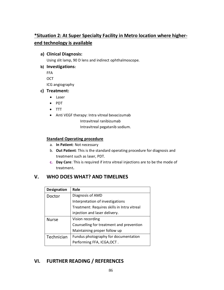# **\*Situation 2: At Super Specialty Facility in Metro location where higherend technology is available**

## **a) Clinical Diagnosis:**

Using slit lamp, 90 D lens and indirect ophthalmoscope.

## **b) Investigations:**

FFA **OCT** ICG angiography

## **c) Treatment:**

- · Laser
- · PDT
- · TTT
- · Anti VEGF therapy: Intra vitreal bevacizumab

Intravitreal ranibizumab

Intravitreal pegatanib sodium.

## **Standard Operating procedure**

- a. **In Patient**: Not necessary
- b. **Out Patient**: This is the standard operating procedure for diagnosis and treatment such as laser, PDT.
- **c. Day Care**: This is required if intra vitreal injections are to be the mode of treatment**.**

# **V. WHO DOES WHAT? AND TIMELINES**

| Designation  | Role                                        |
|--------------|---------------------------------------------|
| Doctor       | Diagnosis of AMD                            |
|              | Interpretation of investigations            |
|              | Treatment: Requires skills in Intra vitreal |
|              | injection and laser delivery.               |
| <b>Nurse</b> | Vision recording                            |
|              | Counselling for treatment and prevention    |
|              | Maintaining proper follow up                |
| Technician   | Fundus photography for documentation        |
|              | Performing FFA, ICGA, OCT.                  |

# **VI. FURTHER READING / REFERENCES**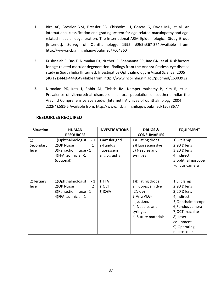- 1. Bird AC, Bressler NM, Bressler SB, Chisholm IH, Coscas G, Davis MD, et al. An international classification and grading system for age-related maculopathy and agerelated macular degeneration. The International ARM Epidemiological Study Group [Internet]. Survey of Ophthalmology. 1995 ;39(5):367-374.Available from: <http://www.ncbi.nlm.nih.gov/pubmed/7604360>
- 2. Krishnaiah S, Das T, Nirmalan PK, Nutheti R, Shamanna BR, Rao GN, et al. Risk factors for age-related macular degeneration: findings from the Andhra Pradesh eye disease study in South India [Internet]. Investigative Ophthalmology & Visual Science. 2005 ;46(12):4442-4449.Available fro[m: http://www.ncbi.nlm.nih.gov/pubmed/16303932](http://www.ncbi.nlm.nih.gov/pubmed/16303932)
- 3. Nirmalan PK, Katz J, Robin AL, Tielsch JM, Namperumalsamy P, Kim R, et al. Prevalence of vitreoretinal disorders in a rural population of southern India: the Aravind Comprehensive Eye Study. [Internet]. Archives of ophthalmology. 2004 ;122(4):581-6.Available from: http://www.ncbi.nlm.nih.gov/pubmed/15078677

| <b>Situation</b> | <b>HUMAN</b>               | <b>INVESTIGATIONS</b> | <b>DRUGS&amp;</b>   | <b>EQUIPMENT</b>  |
|------------------|----------------------------|-----------------------|---------------------|-------------------|
|                  | <b>RESOURCES</b>           |                       | <b>CONSUMABLES</b>  |                   |
| 1)               | 1) Ophthalmologist<br>$-1$ | 1) Amsler grid        | 1) Dilating drops   | 1) Slit lamp      |
| Secondary        | 2) OP Nurse<br>1           | 2) Fundus             | 2) Fluorescein dye  | 2)90 D lens       |
| level            | 3) Refraction nurse - 1    | fluorescein           | 3) Needles and      | 3)20 D lens       |
|                  | 4) FFA technician-1        | angiography           | syringes            | 4)Indirect        |
|                  | (optional)                 |                       |                     | 5) ophthalmoscope |
|                  |                            |                       |                     | Fundus camera     |
|                  |                            |                       |                     |                   |
|                  |                            |                       |                     |                   |
| 2) Tertiary      | 1) Ophthalmologist<br>$-1$ | 1) FFA                | 1) Dilating drops   | 1) Slit lamp      |
| level            | 2) OP Nurse<br>2           | $2)$ OCT              | 2 Fluorescein dye   | 2)90 D lens       |
|                  | 3) Refraction nurse - 1    | 3) ICGA               | ICG dye             | 3)20 D lens       |
|                  | 4) FFA technician-1        |                       | 3) Anti VEGF        | 4)Indirect        |
|                  |                            |                       | injections          | 5)Ophthalmoscope  |
|                  |                            |                       | 4) Needles and      | 6) Fundus camera  |
|                  |                            |                       | syringes            | 7) OCT machine    |
|                  |                            |                       | 5) Suture materials | 8) Laser          |
|                  |                            |                       |                     | equipment         |
|                  |                            |                       |                     | 9) Operating      |
|                  |                            |                       |                     | microscope        |

## **RESOURCES REQUIRED**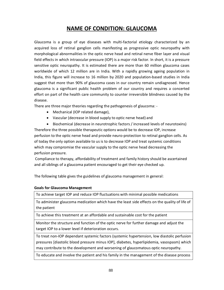# **NAME OF CONDITION: GLAUCOMA**

Glaucoma is a group of eye diseases with multi-factorial etiology characterized by an acquired loss of retinal ganglion cells manifesting as progressive optic neuropathy with morphological abnormalities in the optic nerve head and retinal nerve fiber layer and visual field effects in which intraocular pressure (IOP) is a major risk factor. In short, it is a pressure sensitive optic neuropathy. It is estimated there are more than 60 million glaucoma cases worldwide of which 12 million are in India. With a rapidly growing ageing population in India, this figure will increase to 16 million by 2020 and population-based studies in India suggest that more than 90% of glaucoma cases in our country remain undiagnosed. Hence glaucoma is a significant public health problem of our country and requires a concerted effort on part of the health care community to counter irreversible blindness caused by the disease.

There are three major theories regarding the pathogenesis of glaucoma: -

- Mechanical (IOP related damage),
- · Vascular (decrease in blood supply to optic nerve head) and
- · Biochemical (decrease in neurotrophic factors / increased levels of neurotoxins) Therefore the three possible therapeutic options would be to decrease IOP, increase perfusion to the optic nerve head and provide neuro-protection to retinal ganglion cells. As of today the only option available to us is to decrease IOP and treat systemic conditions which may compromise the vascular supply to the optic nerve head decreasing the perfusion pressure.

Compliance to therapy, affordability of treatment and family history should be ascertained and all siblings of a glaucoma patient encouraged to get their eye checked up.

The following table gives the guidelines of glaucoma management in general:

## **Goals for Glaucoma Management**

To achieve target IOP and reduce IOP fluctuations with minimal possible medications

To administer glaucoma medication which have the least side effects on the quality of life of the patient

To achieve this treatment at an affordable and sustainable cost for the patient

Monitor the structure and function of the optic nerve for further damage and adjust the target IOP to a lower level if deterioration occurs.

To treat non-IOP dependant systemic factors (systemic hypertension, low diastolic perfusion pressures [diastolic blood pressure minus IOP], diabetes, hyperlipidemia, vasospasm) which may contribute to the development and worsening of glaucomatous optic neuropathy.

To educate and involve the patient and his family in the management of the disease process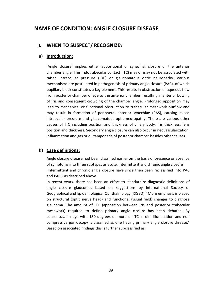# **NAME OF CONDITION: ANGLE CLOSURE DISEASE**

# **I. WHEN TO SUSPECT/ RECOGNIZE?**

## **a) Introduction:**

'Angle closure' implies either appositional or synechial closure of the anterior chamber angle. This iridotrabecular contact (ITC) may or may not be associated with raised intraocular pressure (IOP) or glaucomatous optic neuropathy. Various mechanisms are postulated in pathogenesis of primary angle closure (PAC), of which pupillary block constitutes a key element. This results in obstruction of aqueous flow from posterior chamber of eye to the anterior chamber, resulting in anterior bowing of iris and consequent crowding of the chamber angle. Prolonged apposition may lead to mechanical or functional obstruction to trabecular meshwork outflow and may result in formation of peripheral anterior synechiae (PAS), causing raised intraocular pressure and glaucomatous optic neuropathy. There are various other causes of ITC including position and thickness of ciliary body, iris thickness, lens position and thickness. Secondary angle closure can also occur in neovascularization, inflammation and gas or oil tamponade of posterior chamber besides other causes.

# **b) Case definitions:**

Angle closure disease had been classified earlier on the basis of presence or absence of symptoms into three subtypes as acute, intermittent and chronic angle closure .Intermittent and chronic angle closure have since then been reclassified into PAC and PACG as described above.

In recent years, there has been an effort to standardize diagnostic definitions of angle closure glaucomas based on suggestions by International Society of Geographical and Epidemiological Ophthalmology (ISGEO).<sup>1</sup> More emphasis is placed on structural (optic nerve head) and functional (visual field) changes to diagnose glaucoma. The amount of ITC (apposition between iris and posterior trabecular meshwork) required to define primary angle closure has been debated. By consensus, an eye with 180 degrees or more of ITC in dim illumination and non compressive gonioscopy is classified as one having primary angle closure disease.<sup>2</sup> Based on associated findings this is further subclassified as: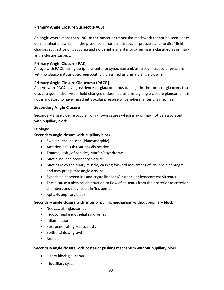# **Primary Angle Closure Suspect (PACS)**

An angle where more than 180° of the posterior trabecular meshwork cannot be seen under dim illumination, which, in the presence of normal intraocular pressure and no disc/ field changes suggestive of glaucoma and no peripheral anterior synechiae is classified as primary angle closure suspect.

## **Primary Angle Closure (PAC)**

An eye with PACS having peripheral anterior synechiae and/or raised intraocular pressure with no glaucomatous optic neuropathy is classified as primary angle closure.

## **Primary Angle Closure Glaucoma (PACG)**

An eye with PACS having evidence of glaucomatous damage in the form of glaucomatous disc changes and/or visual field changes is classified as primary angle closure glaucoma. It is not mandatory to have raised intraocular pressure or peripheral anterior synechiae.

## **Secondary Angle Closure**

Secondary angle closure occurs from known causes which may or may not be associated with pupillary block.

#### **Etiology:**

## **Secondary angle closure with pupillary block:**

- · Swollen lens induced (Phacomorphic)
- · Anterior lens subluxation/ dislocation
- · Trauma, laxity of zonules, Marfan's syndrome
- · Miotic induced secondary closure
- · Miotics relax the ciliary muscle, causing forward movement of iris-lens diaphragm and may precipitate angle closure.
- · Synechiae between iris and crystalline lens/ intraocular lens/cornea/ vitreous
- · These cause a physical obstruction to flow of aqueous from the posterior to anterior chambers and may result in 'iris bombe'.
- · Aphakic pupillary block

## **Secondary angle closure with anterior pulling mechanism without pupillary block**

- · Neovascular glaucomas
- · Iridocorneal endothelial syndromes
- · Inflammation
- · Post penetrating keratoplasty
- · Epithelial downgrowth
- · Aniridia

## **Secondary angle closure with posterior pushing mechanism without pupillary block**

- Ciliary block glaucoma
- · Iridociliary cysts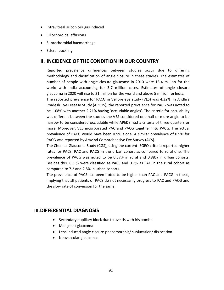- · Intravitreal silicon oil/ gas induced
- · Ciliochoroidal effusions
- · Suprachoroidal haemorrhage
- Scleral buckling

# **II. INCIDENCE OF THE CONDITION IN OUR COUNTRY**

Reported prevalence differences between studies occur due to differing methodology and classification of angle closure in these studies. The estimates of number of people with angle closure glaucoma in 2010 were 15.4 million for the world with India accounting for 3.7 million cases. Estimates of angle closure glaucoma in 2020 will rise to 21 million for the world and above 5 million for India.

The reported prevalence for PACG in Vellore eye study (VES) was 4.32%. In Andhra Pradesh Eye Disease Study (APEDS), the reported prevalence for PACG was noted to be 1.08% with another 2.21% having 'occludable angles'. The criteria for occulability was different between the studies-the VES considered one half or more angle to be narrow to be considered occludable while APEDS had a criteria of three quarters or more. Moreover, VES incorporated PAC and PACG together into PACG. The actual prevalence of PACG would have been 0.5% alone. A similar prevalence of 0.5% for PACG was reported by Aravind Comprehensive Eye Survey (ACS).

The Chennai Glaucoma Study (CGS), using the current ISGEO criteria reported higher rates for PACS, PAC and PACG in the urban cohort as compared to rural one. The prevalence of PACG was noted to be 0.87% in rural and 0.88% in urban cohorts. Besides this, 6.3 % were classified as PACS and 0.7% as PAC in the rural cohort as compared to 7.2 and 2.8% in urban cohorts.

The prevalence of PACS has been noted to be higher than PAC and PACG in these, implying that all patients of PACS do not necessarily progress to PAC and PACG and the slow rate of conversion for the same.

# **III.DIFFERENTIAL DIAGNOSIS**

- · Secondary pupillary block due to uveitis with iris bombe
- · Malignant glaucoma
- · Lens induced angle closure-phacomorphic/ subluxation/ dislocation
- · Neovascular glaucomas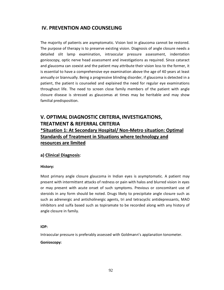# **IV. PREVENTION AND COUNSELING**

The majority of patients are asymptomatic. Vision lost in glaucoma cannot be restored. The purpose of therapy is to preserve existing vision. Diagnosis of angle closure needs a detailed slit lamp examination, intraocular pressure assessment, indentation gonioscopy, optic nerve head assessment and investigations as required. Since cataract and glaucoma can coexist and the patient may attribute their vision loss to the former, it is essential to have a comprehensive eye examination above the age of 40 years at least annually or biannually. Being a progressive blinding disorder, if glaucoma is detected in a patient, the patient is counseled and explained the need for regular eye examinations throughout life. The need to screen close family members of the patient with angle closure disease is stressed as glaucomas at times may be heritable and may show familial predisposition.

# **V. OPTIMAL DIAGNOSTIC CRITERIA, INVESTIGATIONS, TREATMENT & REFERRAL CRITERIA \*Situation 1: At Secondary Hospital/ Non-Metro situation: Optimal Standards of Treatment in Situations where technology and resources are limited**

## **a) Clinical Diagnosis**:

## **History:**

Most primary angle closure glaucoma in Indian eyes is asymptomatic. A patient may present with intermittent attacks of redness or pain with halos and blurred vision in eyes or may present with acute onset of such symptoms. Previous or concomitant use of steroids in any form should be noted. Drugs likely to precipitate angle closure such as such as adrenergic and anticholinergic agents, tri and tetracyclic antidepressants, MAO inhibitors and sulfa based such as topiramate to be recorded along with any history of angle closure in family.

## **IOP:**

Intraocular pressure is preferably assessed with Goldmann's applanation tonometer.

## **Gonioscopy:**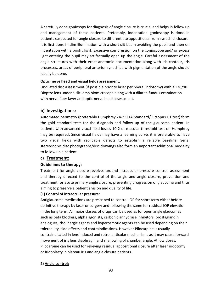A carefully done goniosopy for diagnosis of angle closure is crucial and helps in follow up and management of these patients. Preferably, indentation gonioscopy is done in patients suspected for angle closure to differentiate appositional from synechial closure. It is first done in dim illumination with a short slit beam avoiding the pupil and then on indentation with a bright light. Excessive compression on the gonioscope and/ or excess light entering the pupil may artifactually open up the angle. Careful assessment of the angle structures with their exact anatomic documentation along with iris contour, iris processes, areas of peripheral anterior synechiae with pigmentation of the angle should ideally be done.

## **Optic nerve head and visual fields assessment:**

Undilated disc assessment (if possible prior to laser peripheral iridotomy) with a +78/90 Dioptre lens under a slit lamp biomicrosope along with a dilated fundus examination with nerve fiber layer and optic nerve head assessment.

# **b) Investigations:**

Automated perimetry (preferably Humphrey 24-2 SITA Standard/ Octopus G1 test) form the gold standard tests for the diagnosis and follow up of the glaucoma patient. In patients with advanced visual field losses 10-2 or macular threshold test on Humphrey may be required. Since visual fields may have a learning curve, it is preferable to have two visual fields with replicable defects to establish a reliable baseline. Serial stereoscopic disc photographs/disc drawings also form an important additional modality to follow up a patient.

## **c) Treatment:**

## **Guidelines to therapy:**

Treatment for angle closure revolves around intraocular pressure control, assessment and therapy directed to the control of the angle and angle closure, prevention and treatment for acute primary angle closure, preventing progression of glaucoma and thus aiming to preserve a patient's vision and quality of life.

## **(1) Control of intraocular pressure:**

Antiglaucoma medications are prescribed to control IOP for short term either before definitive therapy by laser or surgery and following the same for residual IOP elevation in the long term. All major classes of drugs can be used as for open angle glaucomas such as beta blockers, alpha agonists, carbonic anhydrase inhibitors, prostaglandin analogues, cholinergic agents and hyperosmotic agents can be used depending on their tolerability, side effects and contraindications. However Pilocarpine is usually contraindicated in lens induced and retro lenticular mechanisms as it may cause forward movement of iris lens diaphragm and shallowing of chamber angle. At low doses, Pilocarpine can be used for relieving residual appositional closure after laser iridotomy or iridoplasty in plateau iris and angle closure patients.

## **2) Angle control:**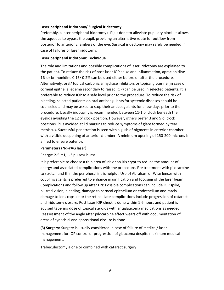#### **Laser peripheral iridotomy/ Surgical iridectomy**

Preferably, a laser peripheral iridotomy (LPI) is done to alleviate pupillary block. It allows the aqueous to bypass the pupil, providing an alternative route for outflow from posterior to anterior chambers of the eye. Surgical iridectomy may rarely be needed in case of failures of laser iridotomy.

#### **Laser peripheral iridotomy: Technique**

The role and limitations and possible complications of laser iridotomy are explained to the patient. To reduce the risk of post laser IOP spike and inflammation, apraclonidine 1% or brimonidine 0.15/ 0.2% can be used either before or after the procedure. Alternatively, oral/ topical carbonic anhydrase inhibitors or topical glycerine (in case of corneal epithelial edema secondary to raised IOP) can be used in selected patients. It is preferable to reduce IOP to a safe level prior to the procedure. To reduce the risk of bleeding, selected patients on oral anticoagulants for systemic diseases should be counseled and may be asked to stop their anticoagulants for a few days prior to the procedure. Usually iridotomy is recommended between 11-1 o' clock beneath the eyelids avoiding the 12 o' clock position. However, others prefer 3 and 9 o' clock positions. PI is avoided at lid margins to reduce symptoms of glare formed by tear meniscus. Successful penetration is seen with a gush of pigments in anterior chamber with a visible deepening of anterior chamber. A minimum opening of 150-200 microns is aimed to ensure patency.

#### **Parameters (Nd-YAG laser)**

## Energy: 2-5 mJ, 1-3 pulses/ burst

It is preferable to choose a thin area of iris or an iris crypt to reduce the amount of energy and associated complications with the procedure. Pre treatment with pilocarpine to stretch and thin the peripheral iris is helpful. Use of Abraham or Wise lenses with coupling agents is preferred to enhance magnification and focusing of the laser beam. Complications and follow up after LPI: Possible complications can include IOP spike, blurred vision, bleeding, damage to corneal epithelium or endothelium and rarely damage to lens capsule or the retina. Late complications include progression of cataract and iridotomy closure. Post laser IOP check is done within 1-6 hours and patient is advised tapering dose of topical steroids with antiglaucoma medications as needed. Reassessment of the angle after pilocarpine effect wears off with documentation of areas of synechial and appositional closure is done.

**(3) Surgery:** Surgery is usually considered in case of failure of medical/ laser management for IOP control or progression of glaucoma despite maximum medical management**.**

Trabeculectomy alone or combined with cataract surgery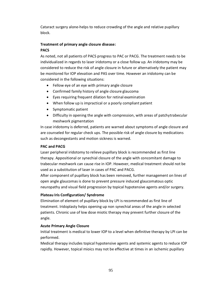Cataract surgery alone-helps to reduce crowding of the angle and relative pupillary block.

# **Treatment of primary angle closure disease:**

## **PACS**

As noted, not all patients of PACS progress to PAC or PACG. The treatment needs to be individualized in regards to laser iridotomy or a close follow up. An iridotomy may be considered to reduce the risk of angle closure in future or alternatively the patient may be monitored for IOP elevation and PAS over time. However an iridotomy can be considered in the following situations:

- · Fellow eye of an eye with primary angle closure
- · Confirmed family history of angle closure glaucoma
- · Eyes requiring frequent dilation for retinal examination
- · When follow up is impractical or a poorly compliant patient
- · Symptomatic patient
- · Difficulty in opening the angle with compression, with areas of patchytrabecular meshwork pigmentation

In case iridotomy is deferred, patients are warned about symptoms of angle closure and are counseled for regular check ups. The possible risk of angle closure by medications such as decongestants and motion sickness is warned.

## **PAC and PACG**

Laser peripheral iridotomy to relieve pupillary block is recommended as first line therapy. Appositional or synechial closure of the angle with concomitant damage to trabecular meshwork can cause rise in IOP. However, medical treatment should not be used as a substitution of laser in cases of PAC and PACG.

After component of pupillary block has been removed, further management on lines of open angle glaucomas is done to prevent pressure induced glaucomatous optic neuropathy and visual field progression by topical hypotensive agents and/or surgery.

## **Plateau Iris Configuration/ Syndrome**

Elimination of element of pupillary block by LPI is recommended as first line of treatment. Iridoplasty helps opening up non synechial areas of the angle in selected patients. Chronic use of low dose miotic therapy may prevent further closure of the angle.

## **Acute Primary Angle Closure**

Initial treatment is medical to lower IOP to a level when definitive therapy by LPI can be performed.

Medical therapy includes topical hypotensive agents and systemic agents to reduce IOP rapidly. However, topical mioics may not be effective at times in an ischemic pupillary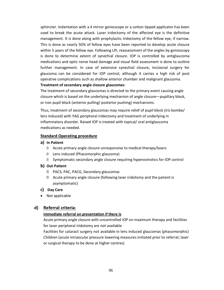sphincter. Indentation with a 4 mirror gonioscope or a cotton tipped applicator has been used to break the acute attack. Laser iridectomy of the affected eye is the definitive management. It is done along with prophylactic iridectomy of the fellow eye, if narrow. This is done as nearly 50% of fellow eyes have been reported to develop acute closure within 5 years of the fellow eye. Following LPI, reassessment of the angles by gonioscopy is done to determine extent of synechial closure. IOP is controlled by antiglaucoma medications and optic nerve head damage and visual field assessment is done to outline further management. In case of extensive synechial closure, incisional surgery for glaucoma can be considered for IOP control, although it carries a high risk of post operative complications such as shallow anterior chamber and malignant glaucoma.

#### **Treatment of secondary angle closure glaucomas:**

The treatment of secondary glaucomas is directed to the primary event causing angle closure which is based on the underlying mechanism of angle closure—pupillary block, or non pupil block (anterior pulling/ posterior pushing) mechanisms.

Thus, treatment of secondary glaucomas may require relief of pupil block (iris bombe/ lens induced) with YAG peripheral iridectomy and treatment of underlying in inflammatory disorder. Raised IOP is treated with topical/ oral antiglaucoma medications as needed.

## **Standard Operating procedure**

#### **a) In Patient**

- Acute primary angle closure unresponsive to medical therapy/lasers
- Lens induced (Phacomorphic glaucoma)
- Symptomatic secondary angle closure requiring hyperosmotics for IOP control

#### **b) Out Patient**

- **PACS, PAC, PACG, Secondary glaucomas**
- $\Box$  Acute primary angle closure (following laser iridotomy and the patient is asymptomatic)
- **c) Day Care**
- · Not applicable

## **d) Referral criteria:**

## **immediate referral on presentation if there is**

Acute primary angle closure with uncontrolled IOP on maximum therapy and facilities for laser peripheral iridotomy are not available

Facilities for cataract surgery not available in lens induced glaucomas (phacomorphic) Children (acute intraocular pressure lowering measures initiated prior to referral; laser or surgical therapy to be done at higher centres)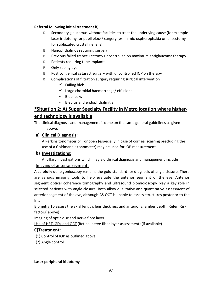## **Referral following initial treatment if,**

- Secondary glaucomas without facilities to treat the underlying cause (for example laser iridotomy for pupil block/ surgery (ex. in microspherophakia or lensectomy for subluxated crystalline lens)
- Nanophthalmos requiring surgery
- **D** Previous failed trabeculectomy uncontrolled on maximum antiglaucoma therapy
- **Patients requiring tube implants**
- Only seeing eye
- Post congenital cataract surgery with uncontrolled IOP on therapy
- Complications of filtration surgery requiring surgical intervention
	- $\checkmark$  Failing bleb
	- $\checkmark$  Large choroidal haemorrhage/ effusions
	- $\checkmark$  Bleb leaks
	- $\checkmark$  Blebitis and endophthalmitis

# **\*Situation 2: At Super Specialty Facility in Metro location where higherend technology is available**

The clinical diagnosis and management is done on the same general guidelines as given above.

## **a) Clinical Diagnosis:**

A Perkins tonometer or Tonopen (especially in case of corneal scarring precluding the use of a Goldmann's tonometer) may be used for IOP measurement.

## **b) Investigations:**

Ancillary investigations which may aid clinical diagnosis and management include

## Imaging of anterior segment**:**

A carefully done gonioscopy remains the gold standard for diagnosis of angle closure. There are various imaging tools to help evaluate the anterior segment of the eye. Anterior segment optical coherence tomography and ultrasound biomicroscopy play a key role in selected patients with angle closure. Both allow qualitative and quantitative assessment of anterior segment of the eye, although AS-OCT is unable to assess structures posterior to the iris.

Biometry To assess the axial length, lens thickness and anterior chamber depth (Refer 'Risk factors' above)

Imaging of optic disc and nerve fibre layer

Use of HRT, GDx and OCT (Retinal nerve fiber layer assessment) (if available)

## **C)Treatment:**

- (1) Control of IOP as outlined above
- (2) Angle control

**Laser peripheral iridotomy**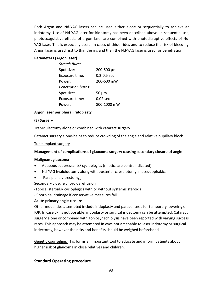Both Argon and Nd-YAG lasers can be used either alone or sequentially to achieve an iridotomy. Use of Nd-YAG laser for iridotomy has been described above. In sequential use, photocoagulative effects of argon laser are combined with photodisruptive effects of Nd-YAG laser. This is especially useful in cases of thick irides and to reduce the risk of bleeding. Argon laser is used first to thin the iris and then the Nd-YAG laser is used for penetration.

## **Parameters (Argon laser)**

| <b>Stretch Burns:</b>     |                   |
|---------------------------|-------------------|
| Spot size:                | $200 - 500 \mu m$ |
| Exposure time:            | $0.2 - 0.5$ sec   |
| Power:                    | 200-600 mW        |
| <b>Penetration burns:</b> |                   |
| Spot size:                | $50 \mu m$        |
| Exposure time:            | $0.02$ sec        |
| Power:                    | 800-1000 mW       |

## **Argon laser peripheral iridoplasty**.

## **(3) Surgery**

Trabeculectomy alone or combined with cataract surgery

Cataract surgery alone-helps to reduce crowding of the angle and relative pupillary block.

## Tube implant surgery

## **Management of complications of glaucoma surgery causing secondary closure of angle**

## **Malignant glaucoma**

- · Aqueous suppressants/ cycloplegics (miotics are contraindicated)
- · Nd-YAG hyaloidotomy along with posterior capsulotomy in pseudophakics
- · -Pars plana vitrectomy

## Secondary closure choroidal effusion

-Topical steroids/ cycloplegics with or without systemic steroids

- Choroidal drainage if conservative measures fail

## **Acute primary angle closure**

Other modalities attempted include iridoplasty and paracentesis for temporary lowering of IOP. In case LPI is not possible, iridoplasty or surgical iridectomy can be attempted. Cataract surgery alone or combined with goniosynechiolysis have been reported with varying success rates. This approach may be attempted in eyes not amenable to laser iridotomy or surgical iridectomy, however the risks and benefits should be weighed beforehand.

Genetic counseling: This forms an important tool to educate and inform patients about higher risk of glaucoma in close relatives and children.

## **Standard Operating procedure**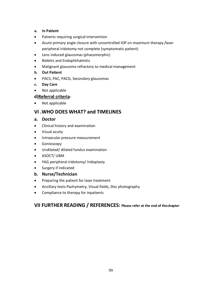## **a. In Patient**

- · Patients requiring surgical intervention
- · Acute primary angle closure with uncontrolled IOP on maximum therapy /laser peripheral iridotomy not complete (symptomatic patient)
- · Lens induced glaucomas (phacomorphic)
- · Blebitis and Endophthalmitis
- · Malignant glaucoma refractory to medical management
- **b. Out Patient**
- · PACS, PAC, PACG, Secondary glaucomas
- **c. Day Care**
- · Not applicable

# **d)Referral criteria:**

· Not applicable

# **VI .WHO DOES WHAT? and TIMELINES**

# **a. Doctor**

- · Clinical history and examination
- · Visual acuity
- · Intraocular pressure measurement
- · Gonioscopy
- · Undilated/ dilated fundus examination
- · ASOCT/ UBM
- · YAG peripheral iridotomy/ Iridoplasty
- · Surgery if indicated
- **b. Nurse/Technician**
- · Preparing the patient for laser treatment
- · Ancillary tests-Pachymetry, Visual fields, Disc photography
- · Compliance to therapy for inpatients

# **VII FURTHER READING / REFERENCES: Please refer at the end of thechapter**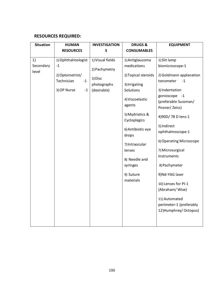# **RESOURCES REQUIRED:**

| <b>Situation</b>         | <b>HUMAN</b>                                                                               | <b>INVESTIGATION</b>                                                       | <b>DRUGS&amp;</b>                                                                                                                                                                                                                                                    | <b>EQUIPMENT</b>                                                                                                                                                                                                                                                                                                                                              |
|--------------------------|--------------------------------------------------------------------------------------------|----------------------------------------------------------------------------|----------------------------------------------------------------------------------------------------------------------------------------------------------------------------------------------------------------------------------------------------------------------|---------------------------------------------------------------------------------------------------------------------------------------------------------------------------------------------------------------------------------------------------------------------------------------------------------------------------------------------------------------|
|                          | <b>RESOURCES</b>                                                                           | S                                                                          | <b>CONSUMABLES</b>                                                                                                                                                                                                                                                   |                                                                                                                                                                                                                                                                                                                                                               |
| 1)<br>Secondary<br>level | 1) Ophthalmologist<br>$-1$<br>2) Optometrist/<br>Technician<br>$-1$<br>3) OP Nurse<br>$-1$ | 1) Visual fields<br>2) Pachymetry<br>3) Disc<br>photographs<br>(desirable) | 1) Antiglaucoma<br>medications<br>2) Topical steroids<br>3) Irrigating<br>Solutions<br>4) Viscoelastic<br>agents<br>5) Mydriatics &<br>Cycloplegics<br>6) Antibiotic eye<br>drops<br>7) Intraocular<br>lenses<br>8) Needle and<br>syringes<br>9) Suture<br>materials | 1) Slit lamp<br>biomicroscope-1<br>2) Goldmann applanation<br>tonometer<br>$-1$<br>3) Indentation<br>gonioscope -1<br>(preferable Sussman/<br>Posner/Zeiss)<br>4)90D/78 D lens-1<br>5) Indirect<br>ophthalmoscope-1<br>6) Operating Microscope<br>7) Microsurgical<br>Instruments<br>8) Pachymeter<br>9)Nd-YAG laser<br>10) Lenses for PI-1<br>(Abraham/Wise) |
|                          |                                                                                            |                                                                            |                                                                                                                                                                                                                                                                      | 11) Automated<br>perimeter-1 (preferably<br>12) Humphrey/ Octopus)                                                                                                                                                                                                                                                                                            |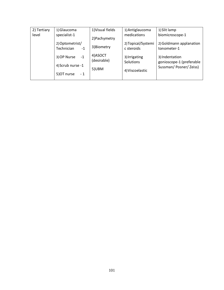| 2) Tertiary | 1) Glaucoma         | 1) Visual fields       | 1) Antiglaucoma            | 1) Slit lamp                               |
|-------------|---------------------|------------------------|----------------------------|--------------------------------------------|
| level       | specialist-1        | 2) Pachymetry          | medications                | biomicroscope-1                            |
|             | 2) Optometrist/     |                        | 2) Topical/Systemi         | 2) Goldmann applanation                    |
|             |                     | 3) Biometry            |                            |                                            |
|             | Technician<br>$-1$  |                        | c steroids                 | tonometer-1                                |
|             | 3) OP Nurse<br>$-1$ | 4)ASOCT<br>(desirable) | 3) Irrigating<br>Solutions | 3) Indentation<br>gonioscope-1 (preferable |
|             | 4) Scrub nurse -1   |                        |                            |                                            |
|             |                     | 5)UBM                  | 4) Viscoelastic            | Sussman/Posner/Zeiss)                      |
|             | 5) OT nurse<br>- 1  |                        |                            |                                            |
|             |                     |                        |                            |                                            |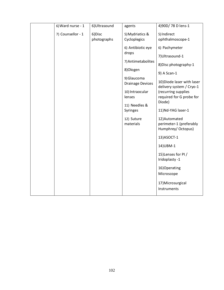| 6) Ward nurse - 1 | 6) Ultrasound         | agents                                 | 4)90D/78 D lens-1                                              |
|-------------------|-----------------------|----------------------------------------|----------------------------------------------------------------|
| 7) Counsellor - 1 | 6)Disc<br>photographs | 5) Mydriatics &<br>Cycloplegics        | 5) Indirect<br>ophthalmoscope-1                                |
|                   |                       | 6) Antibiotic eye<br>drops             | 6) Pachymeter                                                  |
|                   |                       | 7) Antimetabolites                     | 7) Ultrasound-1<br>8) Disc photography-1                       |
|                   |                       | 8)Ologen                               | 9) A Scan-1                                                    |
|                   |                       | 9) Glaucoma<br><b>Drainage Devices</b> | 10) Diode laser with laser<br>delivery system / Cryo-1         |
|                   |                       | 10) Intraocular<br>lenses              | (recurring supplies<br>required for G probe for                |
|                   |                       | 11) Needles &<br>Syringes              | Diode)<br>11) Nd-YAG laser-1                                   |
|                   |                       | 12) Suture<br>materials                | 12) Automated<br>perimeter-1 (preferably<br>Humphrey/ Octopus) |
|                   |                       |                                        | 13) ASOCT-1                                                    |
|                   |                       |                                        | 14) UBM-1                                                      |
|                   |                       |                                        | 15) Lenses for PI /<br>Iridoplasty -1                          |
|                   |                       |                                        | 16) Operating<br>Microscope                                    |
|                   |                       |                                        | 17) Microsurgical<br>Instruments                               |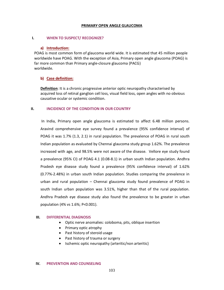#### **PRIMARY OPEN ANGLE GLAUCOMA**

#### **I. WHEN TO SUSPECT/ RECOGNIZE?**

#### **a) Introduction:**

POAG is most common form of glaucoma world wide. It is estimated that 45 million people worldwide have POAG. With the exception of Asia, Primary open angle glaucoma (POAG) is far more common than Primary angle-closure glaucoma (PACG) worldwide.

## **b) Case definition:**

**Definition**: It is a chronic progressive anterior optic neuropathy characterised by acquired loss of retinal ganglion cell loss, visual field loss, open angles with no obvious causative ocular or systemic condition.

#### **II. INCIDENCE OF THE CONDITION IN OUR COUNTRY**

In India, Primary open angle glaucoma is estimated to affect 6.48 million persons. Aravind comprehensive eye survey found a prevalence (95% confidence interval) of POAG it was 1.7% (1.3, 2.1) in rural population. The prevalence of POAG in rural south Indian population as evaluated by Chennai glaucoma study group 1.62%. The prevalence increased with age, and 98.5% were not aware of the disease. Vellore eye study found a prevalence (95% CI) of POAG 4.1 (0.08-8.1) in urban south Indian population. Andhra Pradesh eye disease study found a prevalence (95% confidence interval) of 1.62% (0.77%-2.48%) in urban south Indian population. Studies comparing the prevalence in urban and rural population – Chennai glaucoma study found prevalence of POAG in south Indian urban population was 3.51%, higher than that of the rural population. Andhra Pradesh eye disease study also found the prevalence to be greater in urban population (4% vs 1.6%; P<0.001).

#### **III. DIFFERENTIAL DIAGNOSIS**

- · Optic nerve anomalies: coloboma, pits, oblique insertion
- · Primary optic atrophy
- · Past history of steroid usage
- · Past history of trauma or surgery
- · Ischemic optic neuropathy (arteritic/non arteritic)

#### **IV. PREVENTION AND COUNSELING**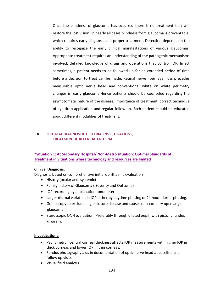Once the blindness of glaucoma has occurred there is no treatment that will restore the lost vision. In nearly all cases blindness from glaucoma is preventable, which requires early diagnosis and proper treatment. Detection depends on the ability to recognize the early clinical manifestations of various glaucomas. Appropriate treatment requires an understanding of the pathogenic mechanisms involved, detailed knowledge of drugs and operations that control IOP. Infact sometimes, a patient needs to be followed up for an extended period of time before a decision to treat can be made. Retinal nerve fiber layer loss precedes measurable optic nerve head and conventional white on white perimetry changes in early glaucoma.Hence patients should be counseled regarding the asymptomatic nature of the disease, importance of treatment, correct technique of eye drop application and regular follow up. Each patient should be educated about different modalities of treatment.

## **V. OPTIMAL DIAGNOSTIC CRITERIA, INVESTIGATIONS, TREATMENT & REFERRAL CRITERIA**

## **\*Situation 1: At Secondary Hospital/ Non-Metro situation: Optimal Standards of Treatment in Situations where technology and resources are limited**

## **Clinical Diagnosis**:

Diagnosis: based on comprehensive initial ophthalmic evaluation-

- · History (ocular and systemic)
- Family history of Glaucoma (Severity and Outcome)
- · IOP recording by applanation tonometer.
- · Larger diurnal variation in IOP either by daytime phasing or 24 hour diurnal phasing.
- · Gonioscopy to exclude angle closure disease and causes of secondary open angle glaucoma
- · Steroscopic ONH evaluation (Preferably through dilated pupil) with pictoric fundus diagram.

#### **Investigations:**

- · Pachymetry : central corneal thickness affects IOP measurements with higher IOP in thick corneas and lower IOP in thin corneas.
- · Fundus photography aids in documentation of optic nerve head at baseline and follow up visits.
- · Visual field analysis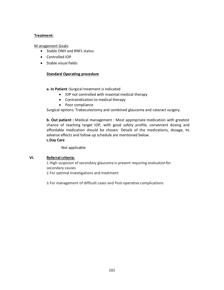## **Treatment:**

## M anagement Goals:

- Stable ONH and RNFL status
- · Controlled IOP
- · Stable visual fields

## **Standard Operating procedure**

## **a. In Patient :**Surgical treatment is indicated

- · IOP not controlled with maximal medical therapy
- · Contraindication to medical therapy
- · Poor compliance

Surgical options: Trabeculectomy and combined glaucoma and cataract surgery.

**b. Out patient :** Medical management : Most appropriate medication with greatest chance of reaching target IOP, with good safety profile, convenient dosing and affordable medication should be chosen. Details of the medications, dosage, its adverse effects and follow up schedule are mentioned below. **c.Day Care**

Not applicable

#### **VI. Referral criteria:**

1.High suspicion of secondary glaucoma is present requiring evaluationfor secondary causes

2.For optimal investigations and treatment

3.For management of difficult cases and Post-operative complications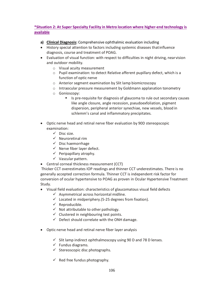## **\*Situation 2: At Super Specialty Facility in Metro location where higher-end technology is available**

- **a) Clinical Diagnosis:** Comprehensive ophthalmic evaluation including
- · History special attention to factors including systemic diseases thatinfluence diagnosis, course and treatment of POAG.
- · Evaluation of visual function: with respect to difficulties in night driving, nearvision and outdoor mobility.
	- o Visual acuity measurement
	- o Pupil examination: to detect Relative afferent pupillary defect, which is a function of optic nerve
	- o Anterior segment examination by Slit lamp biomicroscopy
	- o Intraocular pressure measurement by Goldmann applanation tonometry
	- o Gonioscopy:
		- **EXTE:** Is pre-requisite for diagnosis of glaucoma to rule out secondary causes like angle closure, angle recession, pseudoexfoliation, pigment dispersion, peripheral anterior synechiae, new vessels, blood in schlemm's canal and inflammatory precipitates.
- · Optic nerve head and retinal nerve fiber evaluation by 90D stereopscopic examination:
	- $\checkmark$  Disc size.
	- $\checkmark$  Neuroretinal rim
	- $\checkmark$  Disc haemorrhage
	- $\checkmark$  Nerve fiber layer defect.
	- $\checkmark$  Peripapillary atrophy.
	- $\checkmark$  Vascular pattern.
- · Central corneal thickness measurement (CCT)

Thicker CCT overestimates IOP readings and thinner CCT underestimates. There is no generally accepted correction formula. Thinner CCT is independent risk factor for conversion of ocular hypertensive to POAG as proven in Ocular Hypertensive Treatment Study.

- · Visual field evaluation: characteristics of glaucomatous visual field defects
	- $\checkmark$  Asymmetrical across horizontal midline.
	- $\checkmark$  Located in midperiphery. (5-25 degrees from fixation).
	- $\checkmark$  Reproducible.
	- $\checkmark$  Not attributable to other pathology.
	- $\checkmark$  Clustered in neighbouring test points.
	- $\checkmark$  Defect should correlate with the ONH damage.
- · Optic nerve head and retinal nerve fiber layer analysis
	- $\checkmark$  Slit lamp indirect ophthalmoscopy using 90 D and 78 D lenses.
	- $\checkmark$  Fundus diagrams.
	- $\checkmark$  Stereoscopic disc photographs.
	- $\checkmark$  Red free fundus photography.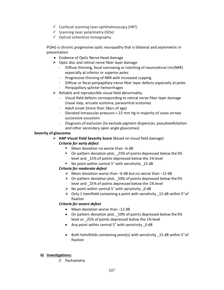- $\checkmark$  Confocal scanning laser ophthalmoscopy. (HRT)
- $\checkmark$  Scanning laser polarimetry (GDx)
- $\checkmark$  Optical coherence tomography.

POAG is chronic progressive optic neuropathy that is bilateral and asymmetric in presentation

- · Evidence of Optic Nerve Head damage
- $\triangleright$  Optic disc and retinal nerve fiber layer damage
	- Diffuse thinning, focal narrowing or notching of neuroretinal rim (NRR) especially at inferior or superior poles
	- Progressive thinning of NRR with increased cupping
	- Diffuse or focal peripapillary nerve fiber layer defects especially at poles
	- Peripapillary splinter hemorrhages
- $\triangleright$  Reliable and reproducible visual field abnormality
	- Visual field defects corresponding to retinal nerve fiber layer damage (nasal step, arcuate scotoma, paracentral scotoma)
	- Adult onset (more than 18yrs of age)
	- Elevated Intraocular pressure > 22 mm Hg in majority of cases on two successive occasions
	- Diagnosis of exclusion (to exclude pigment dispersion, pseudoexfoliation and other secondary open angle glaucomas)

## **Severity of glaucoma:**

- ÿ **HAP Visual Field Severity Score** (Based on visual field damage) *Criteria for early defect*
	- Mean deviation no worse than −6 dB
	- **•** On pattern deviation plot, 25% of points depressed below the 5% level and \_15% of points depressed below the 1% level
	- No point within central 5° with sensitivity 15 dB

## *Criteria for moderate defect*

- ÿ Mean deviation worse than −6 dB but no worse than −12 dB
- $\triangleright$  On pattern deviation plot, \_50% of points depressed below the 5% level and \_25% of points depressed below the 1% level
- $\triangleright$  No point within central 5° with sensitivity 0 dB
- $\triangleright$  Only 1 hemifield containing a point with sensitivity 15 dB within 5° of fixation

## *Criteria for severe defect*

- · Mean deviation worse than −12 dB
- · On pattern deviation plot, \_50% of points depressed below the5% level or \_25% of points depressed below the 1% level
- Any point within central 5° with sensitivity 0 dB
- Both hemifields containing point(s) with sensitivity  $15$  dB within  $5^{\circ}$  of fixation

## **b) Investigations:**

**图 Pachymetry**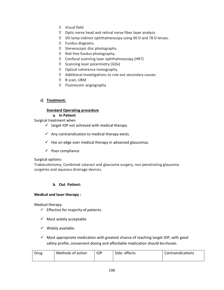- Visual field
- **D** Optic nerve head and retinal nerve fiber layer analysis
- Slit lamp indirect ophthalmoscopy using 90 D and 78 D lenses.
- **Z** Fundus diagrams.
- **E** Stereoscopic disc photographs.
- Red free fundus photography.
- Confocal scanning laser ophthalmoscopy.(HRT)
- **B** Scanning laser polarimetry (GDx)
- **D** Optical coherence tomography.
- Additional Investigations to rule out secondary causes:
- **B** scan, UBM
- **P** Fluorescein angiography

#### **c) Treatment:**

#### **Standard Operating procedure**

#### **a. In Patient**

Surgical treatment when

- $\checkmark$  target IOP not achieved with medical therapy
- $\checkmark$  Any contraindication to medical therapy exists.
- $\checkmark$  Has an edge over medical therapy in advanced glaucomas.
- $\checkmark$  Poor compliance

Surgical options:

Trabeculectomy, Combined cataract and glaucoma surgery, non penetrating glaucoma surgeries and aqueous drainage devices.

#### **b. Out Patient:**

#### **Medical and laser therapy :**

Medical therapy.

- $\checkmark$  Effective for majority of patients.
- $\checkmark$  Most widely acceptable
- $\checkmark$  Widely available.
- $\checkmark$  Most appropriate medication with greatest chance of reaching target IOP, with good safety profile, convenient dosing and affordable medication should be chosen

| Drug | Methods of action | <b>IOP</b> | Side-effects | Contraindications |
|------|-------------------|------------|--------------|-------------------|
|------|-------------------|------------|--------------|-------------------|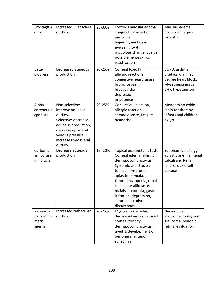| Prostaglan<br>dins                      | Increased uveoscleral<br>outflow                                                                                                                                         | 25-33%   | Cystoids macular edema<br>conjunctival injection<br>periocular<br>hyperpigmentation<br>eyelash growth<br>iris colour change, uveitis<br>possible herpes virus<br>reactivation                                                                                                                          | Macular edema<br>history of herpes<br>keratitis                                                        |
|-----------------------------------------|--------------------------------------------------------------------------------------------------------------------------------------------------------------------------|----------|--------------------------------------------------------------------------------------------------------------------------------------------------------------------------------------------------------------------------------------------------------------------------------------------------------|--------------------------------------------------------------------------------------------------------|
| Beta-<br>blockers                       | Decreased aqueous<br>production                                                                                                                                          | 20-25%   | Corneal toxicity<br>allergic reactions<br>congestive heart failure<br>bronchospasm<br>bradycardia<br>depression<br>impotence                                                                                                                                                                           | COPD, asthma,<br>bradycardia, first<br>degree heart block,<br>Myasthenia gravis<br>CHF, hypotension    |
| Alpha-<br>adrenergic<br>agonists        | Non-selective:<br>improve aqueous<br>outflow<br>Selective: decrease<br>aqueous production,<br>decrease episcleral<br>venous pressure,<br>increase uveoscleral<br>outflow | 20-25%   | Conjuctival injection,<br>allergic reaction,<br>somnolosence, fatigue,<br>headache                                                                                                                                                                                                                     | Monoamino oxide<br>inhibitor therapy<br>infants and children<br><2 yrs                                 |
| Carbonic<br>anhydrase<br>inhibitors     | Decrease aqueous<br>production                                                                                                                                           | 15 - 20% | Topical use: metallic taste<br>Corneal edema, allergic<br>dermatoconjunctivitis,<br>Systemic use: Steven<br>Johnson syndrome,<br>aplastic anemaia,<br>thrombocytopenia, renal<br>calculi, metallic taste,<br>malaise, anorexia, gastric<br>irritation, depression,<br>serum electrolyte<br>disturbance | Sulfonamide allergy,<br>aplastic anemia, Renal<br>calculi and Renal<br>failure, sickle cell<br>disease |
| Parasyma<br>pathomim<br>metic<br>agents | Increased trabecular<br>outflow                                                                                                                                          | 20-25%   | Myopia, brow ache,<br>decreased vision, cataract,<br>corneal toxicity,<br>dermatoconjunctivitis,<br>uveitis, development of<br>peripheral anterior<br>synechiae.                                                                                                                                       | Neovascular<br>glaucoma, malignant<br>glaucoma, periodic<br>retinal evaluation                         |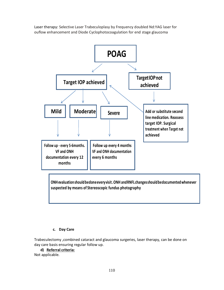Laser therapy: Selective Laser Trabeculoplasy by Frequency doubled Nd:YAG laser for ouflow enhancement and Diode Cyclophotocoagulation for end stage glaucoma



**ONHevaluationshouldbedoneeveryvisit.ONH andRNFL changesshouldbedocumentedwhenever suspected by means of Stereoscopic fundus photography**

#### **c. Day Care**

Trabeculectomy ,combined cataract and glaucoma surgeries, laser therapy, can be done on day care basis ensuring regular follow up.

#### **d) Referral criteria:**

Not applicable.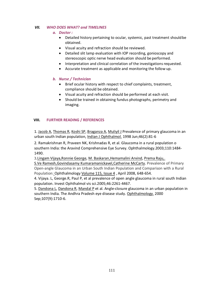#### *VII. WHO DOES WHAT? and TIMELINES*

#### *a. Doctor :*

- Detailed history pertaining to ocular, systemic, past treatment should be obtained.
- · Visual acuity and refraction should be reviewed.
- · Detailed slit lamp evaluation with IOP recording, gonioscopy and stereoscopic optic nerve head evaluation should be performed.
- Interpretation and clinical correlation of the investigations requested.
- · Accurate treatment as applicable and monitoring the follow up.

#### *b. Nurse / Technician*

- · Brief ocular history with respect to chief complaints, treatment, compliance should be obtained.
- · Visual acuity and refraction should be performed at each visit.
- · Should be trained in obtaining fundus photographs, perimetry and imaging.

#### **VIII. FURTHER READING / REFERENCES**

1. Jacob A, Thomas R, Koshi SP, Braganza A, Muliyil J Prevalence of primary glaucoma in an [urban](http://www.ncbi.nlm.nih.gov/pubmed?term=%22Jacob%20A%22%5BAuthor%5D) [south India](http://www.ncbi.nlm.nih.gov/pubmed?term=%22Thomas%20R%22%5BAuthor%5D)[n populati](http://www.ncbi.nlm.nih.gov/pubmed?term=%22Koshi%20SP%22%5BAuthor%5D)[on, Indian J O](http://www.ncbi.nlm.nih.gov/pubmed?term=%22Braganza%20A%22%5BAuthor%5D)[phthalmol](http://www.ncbi.nlm.nih.gov/pubmed?term=%22Muliyil%20J%22%5BAuthor%5D). 1998 Jun;46(2):81-6

2. Ramakrishnan R, Praveen NK, Krishnadas R, et al. Glaucoma in a rural population o southern India: the Aravind Comprehensive Eye Survey. Ophthalmology.2003;110:1484- 1490.

3.Lingam Vijaya,Ronnie George, M. Baskaran,Hemamalini Arvind, Prema Raju,.

S.Ve Ramesh,Govindasamy Kumaramanickavel,Catherine McCarty. Prevalence of Primary [Open-angle Glaucoma in an Urban South Indian Population and Comparison w](http://www.ophthalmologyjournaloftheaao.com/article/S0161-6420(07)00591-X/abstract)ith a Rural [Population: Ophthalmology](http://www.ophthalmologyjournaloftheaao.com/article/S0161-6420(07)00591-X/abstract) Volume 115, Issue 4 [, April 2008, 648-](http://www.ophthalmologyjournaloftheaao.com/article/S0161-6420(07)00591-X/abstract)654.

4. Vijaya. L, George.R, Paul P, et al prevalence of open angle glaucoma in rural south Indian population. Invest Opht[halmol vis sci.2005;46:2](http://www.ophthalmologyjournaloftheaao.com/issues?issue_key=S0161-6420(08)X0003-X)261-4467.

5. Dandona L, Dandona R, Mandal P et al. Angle-closure glaucoma in an urban population in southern India. The Andhra Pradesh eye disease study. Ophthalmology. 2000 [Sep;107\(9](http://www.ncbi.nlm.nih.gov/pubmed?term=%22Dandona%20L%22%5BAuthor%5D)[\):1710-6.](http://www.ncbi.nlm.nih.gov/pubmed?term=%22Dandona%20R%22%5BAuthor%5D)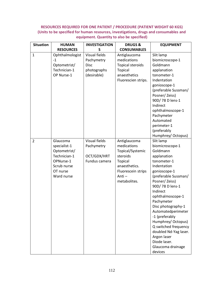## **RESOURCES REQUIRED FOR ONE PATIENT / PROCEDURE (PATIENT WEIGHT 60 KGS) (Units to be specified for human resources, investigations, drugs and consumables and equipment. Quantity to also be specified)**

| <b>Situation</b> | <b>HUMAN</b>                                                                                                   | <b>INVESTIGATION</b>                                                            | <b>DRUGS&amp;</b>                                                                                                                      | <b>EQUIPMENT</b>                                                                                                                                                                                                                                                                                                                                                                                                    |
|------------------|----------------------------------------------------------------------------------------------------------------|---------------------------------------------------------------------------------|----------------------------------------------------------------------------------------------------------------------------------------|---------------------------------------------------------------------------------------------------------------------------------------------------------------------------------------------------------------------------------------------------------------------------------------------------------------------------------------------------------------------------------------------------------------------|
|                  | <b>RESOURCES</b>                                                                                               | S                                                                               | <b>CONSUMABLES</b>                                                                                                                     |                                                                                                                                                                                                                                                                                                                                                                                                                     |
| $\mathbf{1}$     | Ophthalmologist<br>$-1$<br>Optometrist/<br>Technician-1<br>OP Nurse-1                                          | <b>Visual fields</b><br>Pachymetry<br><b>Disc</b><br>photographs<br>(desirable) | Antiglaucoma<br>medications<br>Topical steroids<br>Topical<br>anaesthetics<br>Fluorescien strips.                                      | Slit lamp<br>biomicroscope-1<br>Goldmann<br>applanation<br>tonometer-1<br>Indentation<br>gonioscope-1<br>(preferable Sussman/<br>Posner/Zeiss)<br>90D/78 D lens-1<br>Indirect<br>ophthalmoscope-1<br>Pachymeter<br>Automated<br>perimeter-1<br>(preferably<br>Humphrey/ Octopus)                                                                                                                                    |
| 2                | Glaucoma<br>specialist-1<br>Optometrist/<br>Technician-1<br>OPNurse-1<br>Scrub nurse<br>OT nurse<br>Ward nurse | Visual fields<br>Pachymetry<br>OCT/GDX/HRT<br>Fundus camera                     | Antiglaucoma<br>medications<br>Topical/Systemic<br>steroids<br>Topical<br>anaesthetics.<br>Fluorescein strips<br>Anti-<br>metabolites. | Slit lamp<br>biomicroscope-1<br>Goldmann<br>applanation<br>tonometer-1<br>Indentation<br>gonioscope-1<br>(preferable Sussman/<br>Posner/Zeiss)<br>90D/78 D lens-1<br>Indirect<br>ophthalmoscope-1<br>Pachymeter<br>Disc photography-1<br>Automatedperimeter<br>-1 (preferably<br>Humphrey/ Octopus)<br>Q switched frequency<br>doubled Nd-Yag laser.<br>Argon laser<br>Diode laser.<br>Glaucoma drainage<br>devices |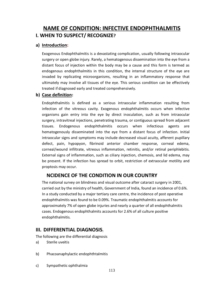# **NAME OF CONDITION: INFECTIVE ENDOPHTHALMITIS I. WHEN TO SUSPECT/ RECOGNIZE?**

## **a) Introduction:**

Exogenous Endophthalmitis is a devastating complication, usually following intraocular surgery or open globe injury. Rarely, a hematogenous dissemination into the eye from a distant focus of injection within the body may be a cause and this form is termed as endogenous endophthalmitis in this condition, the internal structure of the eye are invaded by replicating microorganisms, resulting in an inflammatory response that ultimately may involve all tissues of the eye. This serious condition can be effectively treated if diagnosed early and treated comprehensively.

## **b) Case definition:**

Endophthalmitis is defined as a serious intraocular inflammation resulting from infection of the vitreous cavity. Exogenous endophthalmitis occurs when infective organisms gain entry into the eye by direct inoculation, such as from intraocular surgery, intravitreal injections, penetrating trauma, or contiguous spread from adjacent tissues. Endogenous endophthalmitis occurs when infectious agents are hematogenously disseminated into the eye from a distant focus of infection. Initial intraocular signs and symptoms may include decreased visual acuity, afferent pupillary defect, pain, hypopyon, fibrinoid anterior chamber response, corneal edema, corneal/wound infiltrate, vitreous inflammation, retinitis, and/or retinal periphlebitis. External signs of inflammation, such as ciliary injection, chemosis, and lid edema, may be present. If the infection has spread to orbit, restriction of extraocular motility and proptosis may occur.

# **NCIDENCE OF THE CONDITION IN OUR COUNTRY**

The national survey on blindness and visual outcome after cataract surgery in 2001, carried out by the ministry of health, Government of India, found an incidence of 0.6%. In a study conducted by a major tertiary care centre, the incidence of post operative endophthalmitis was found to be 0.09%. Traumatic endophthalmitis accounts for approximately 7% of open globe injuries and nearly a quarter of all endophthalmitis cases. Endogenous endophthalmits accounts for 2.6% of all culture positive endophthalmitis.

# **III. DIFFERENTIAL DIAGNOSIS:**

The following are the differential diagnosis

- a) Sterile uveitis
- b) Phacoanaphylactic endophthtalmitis
- c) Sympathetic ophthalmia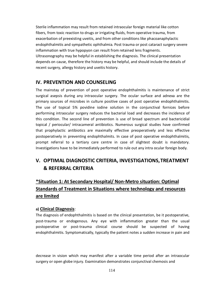Sterile inflammation may result from retained intraocular foreign material like cotton fibers, from toxic reaction to drugs or irrigating fluids, from operative trauma, from exacerbation of preexisting uveitis, and from other conditions like phacoanaphylactic endophthalmitis and sympathetic ophthalmia. Post trauma or post cataract surgery severe inflammation with true hypopyon can result from retained lens fragments. Ultrasonography may be helpful in establishing the diagnosis. The clinical presentation depends on cause, therefore the history may be helpful, and should include the details of recent surgery, allergy history and uveitis history.

## **IV. PREVENTION AND COUNSELING**

The mainstay of prevention of post operative endophthalmitis is maintenance of strict surgical asepsis during any intraocular surgery. The ocular surface and adnexa are the primary sources of microbes in culture positive cases of post operative endophthalmitis. The use of topical 5% povidine iodine solution in the conjunctival fornices before performing intraocular surgery reduces the bacterial load and decreases the incidence of this condition. The second line of prevention is use of broad spectrum and bactericidial topical / periocular/ intracameral antibiotics. Numerous surgical studies have confirmed that prophylactic antibiotics are maximally effective preoperatively and less effective postoperatively in preventing endophthalmits. In case of post operative endophthalmitis, prompt referral to a tertiary care centre in case of slightest doubt is mandatory. Investigations have to be immediately performed to rule out any intra ocular foreign body.

# **V. OPTIMAL DIAGNOSTIC CRITERIA, INVESTIGATIONS,TREATMENT & REFERRAL CRITERIA**

# **\*Situation 1: At Secondary Hospital/ Non-Metro situation: Optimal Standards of Treatment in Situations where technology and resources are limited**

#### **a) Clinical Diagnosis**:

The diagnosis of endophthalmitis is based on the clinical presentation, be it postoperative, post-trauma or endogenous. Any eye with inflammation greater than the usual postoperative or post-trauma clinical course should be suspected of having endophthalmitis. Symptomatically, typically the patient notes a sudden increase in pain and

decrease in vision which may manifest after a variable time period after an intraocular surgery or open globe injury. Examination demonstrates conjunctival chemosis and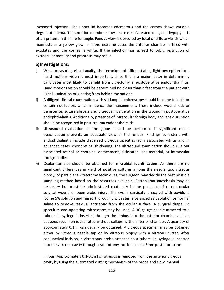increased injection. The upper lid becomes edematous and the cornea shows variable degree of edema. The anterior chamber shows increased flare and cells, and hypopyon is often present in the inferior angle. Fundus view is obscured by focal or diffuse vitritis which manifests as a yellow glow. In more extreme cases the anterior chamber is filled with exudates and the cornea is white. If the infection has spread to orbit, restriction of extraocular motility and proptosis may occur.

#### **b)Investigations**:

- i) When measuring **visual acuity**, the technique of differentiating light perception from hand motions vision is most important, since this is a major factor in determining candidates most likely to benefit from vitrectomy in postoperative endophthalmitis. Hand motions vision should be determined no closer than 2 feet from the patient with light illumination originating from behind the patient.
- ii) A diligent **clinical examination** with slit lamp biomicroscopy should be done to look for certain risk factors which influence the management. These include wound leak or dehiscence, suture abscess and vitreous incarceration in the wound in postoperative endophthalmitis. Additionally, presence of intraocular foreign body and lens disruption should be recognized in post-trauma endophthalmitis.
- iii) **Ultrasound evaluation** of the globe should be performed if significant media opacification prevents an adequate view of the fundus. Findings consistent with endophthalmitis include dispersed vitreous opacities from associated vitritis and in advanced cases, chorioretinal thickening. The ultrasound examination should rule out associated retinal or choroidal detachment, dislocated lens material, or intraocular foreign bodies.
- iv) Ocular samples should be obtained for **microbial identification**. As there are no significant differences in yield of positive cultures among the needle tap, vitreous biopsy, or pars plana vitrectomy techniques, the surgeon may decide the best possible sampling method based on the resources available. Retrobulbar anesthesia may be necessary but must be administered cautiously in the presence of recent ocular surgical wound or open globe injury. The eye is surgically prepared with povidone iodine 5% solution and rinsed thoroughly with sterile balanced salt solution or normal saline to remove residual antiseptic from the ocular surface. A surgical drape, lid speculum and operating microscope may be used. A 30 gauge needle attached to a tuberculin syringe is inserted through the limbus into the anterior chamber and an aqueous specimen is aspirated without collapsing the anterior chamber. A quantity of approximately 0.1ml can usually be obtained. A vitreous specimen may be obtained either by vitreous needle tap or by vitreous biopsy with a vitreous cutter. After conjunctival incision, a vitrectomy probe attached to a tuberculin syringe is inserted into the vitreous cavity through a sclerotomy incision placed 3mm posterior to the

limbus. Approximately 0.1-0.3ml of vitreous is removed from the anterior vitreous cavity by using the automated cutting mechanism of the probe and slow, manual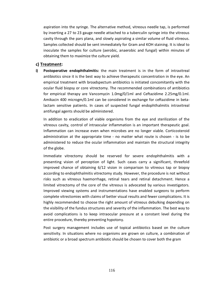aspiration into the syringe. The alternative method, vitreous needle tap, is performed by inserting a 27 to 23 gauge needle attached to a tuberculin syringe into the vitreous cavity through the pars plana, and slowly aspirating a similar volume of fluid vitreous. Samples collected should be sent immediately for Gram and KOH staining. It is ideal to inoculate the samples for culture (aerobic, anaerobic and fungal) within minutes of obtaining them to maximize the culture yield.

#### **c) Treatment:**

**i) Postoperative endophthalmitis:** the main treatment is in the form of intravitreal antibiotics since it is the best way to achieve therapeutic concentration in the eye. An empirical treatment with broadspectum antibiotics is initiated concomitantly with the ocular fluid biopsy or core vitrectomy. The recommended combinations of antibiotics for empirical therapy are Vancomycin 1.0mg/0/1ml and Ceftazidime 2.25mg/0.1ml. Amikacin 400 microgm/0.1ml can be considered in exchange for ceftazidime in betalactam sensitive patients. In cases of suspected fungal endophthalmitis intravitreal antifungal agents should be administered.

In addition to eradication of viable organisms from the eye and sterilization of the vitreous cavity, control of intraocular inflammation is an important therapeutic goal. Inflammation can increase even when microbes are no longer viable. Corticosteroid administration at the appropriate time - no matter what route is chosen - is to be administered to reduce the ocular inflammation and maintain the structural integrity of the globe.

Immediate vitrectomy should be reserved for severe endophthalmitis with a presenting vision of perception of light. Such cases carry a significant, threefold improved chance of obtaining 6/12 vision in comparison to vitreous tap or biopsy according to endophthalmitis vitrectomy study. However, the procedure is not without risks such as vitreous haemorrhage, retinal tears and retinal detachment. Hence a limited vitrectomy of the core of the vitreous is advocated by various investigators. Improved viewing systems and instrumentations have enabled surgeons to perform complete vitrectomies with claims of better visual results and fewer complications. It is highly recommended to choose the right amount of vitreous debulking depending on the visibility of the fundus structures and severity of the inflammation. The best way to avoid complications is to keep intraocular pressure at a constant level during the entire procedure, thereby preventing hypotony.

Post surgery management includes use of topical antibiotics based on the culture sensitivity. In situations where no organisms are grown on culture, a combination of antibiotic or a broad spectrum antibiotic should be chosen to cover both the gram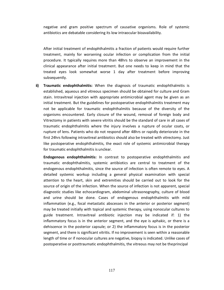negative and gram positive spectrum of causative organisms. Role of systemic antibiotics are debatable considering its low intraocular bioavailability.

After initial treatment of endophthalmitis a fraction of patients would require further treatment, mainly for worsening ocular infection or complication from the initial procedure. It typically requires more than 48hrs to observe an improvement in the clinical appearance after initial treatment. But one needs to keep in mind that the treated eyes look somewhat worse 1 day after treatment before improving subsequently.

**ii) Traumatic endophthalmitis:** When the diagnosis of traumatic endophthalmitis is established, aqueous and vitreous specimen should be obtained for culture and Gram stain. Intravitreal injection with appropriate antimicrobial agent may be given as an initial treatment. But the guidelines for postoperative endophthalmitis treatment may not be applicable for traumatic endophthalmitis because of the diversity of the organisms encountered. Early closure of the wound, removal of foreign body and Vitrectomy in patients with severe vitritis should be the standard of care in all cases of traumatic endophthalmitis where the injury involves a rupture of ocular coats, or rupture of lens. Patients who do not respond after 48hrs or rapidly deteriorate in the first 24hrs following intravitreal antibiotics should also be treated with vitrectomy. Just like postoperative endophthalmitis, the exact role of systemic antimicrobial therapy for traumatic endophthalmitis is unclear.

**Endogenous endophthalmitis:** In contrast to postoperative endophthalmitis and traumatic endophthalmitis, systemic antibiotics are central to treatment of the endogenous endophthalmitis, since the source of infection is often remote to eyes. A detailed systemic workup including a general physical examination with special attention to the heart, skin and extremities should be carried out to look for the source of origin of the infection. When the source of infection is not apparent, special diagnostic studies like echocardiogram, abdominal ultrasonography, culture of blood and urine should be done. Cases of endogenous endophthalmitis with mild inflammation (e.g., focal metastatic abscesses in the anterior or posterior segment) may be treated initially with topical and systemic therapy, using nonocular cultures to guide treatment. Intravitreal antibiotic injection may be indicated if: 1) the inflammatory focus is in the anterior segment, and the eye is aphakic, or there is a dehiscence in the posterior capsule; or 2) the inflammatory focus is in the posterior segment, and there is significant vitritis. If no improvement is seen within a reasonable length of time or if nonocular cultures are negative, biopsy is indicated. Unlike cases of postoperative or posttraumatic endophthalmitis, the vitreous may not be theprincipal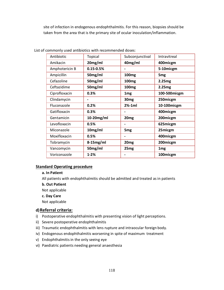site of infection in endogenous endophthalmitis. For this reason, biopsies should be taken from the area that is the primary site of ocular inoculation/inflammation.

| Antibiotic     | Topical       | Subconjunctival   | Intravitreal    |
|----------------|---------------|-------------------|-----------------|
| Amikacin       | 20mg/ml       | 40mg/ml           | 400micgm        |
| Amphotericin B | $0.15 - 0.5%$ |                   | 5-10micgm       |
| Ampicillin     | 50mg/ml       | 100 <sub>mg</sub> | 5 <sub>mg</sub> |
| Cefazoline     | 50mg/ml       | 100 <sub>mg</sub> | 2.25mg          |
| Ceftazidime    | 50mg/ml       | 100 <sub>mg</sub> | 2.25mg          |
| Ciprofloxacin  | 0.3%          | 1 <sub>mg</sub>   | 100-500micgm    |
| Clindamycin    |               | 30 <sub>mg</sub>  | 250micgm        |
| Fluconazole    | 0.2%          | $2%-1ml$          | 10-100micgm     |
| Gatifloxacin   | 0.3%          |                   | 400micgm        |
| Gentamicin     | 10-20mg/ml    | 20 <sub>mg</sub>  | 200micgm        |
| Levofloxacin   | 0.5%          |                   | 625micgm        |
| Miconazole     | 10mg/ml       | 5 <sub>mg</sub>   | 25micgm         |
| Moxifloxacin   | 0.5%          |                   | 400micgm        |
| Tobramycin     | $8-15mg/ml$   | 20 <sub>mg</sub>  | 200micgm        |
| Vancomycin     | 50mg/ml       | 25mg              | 1 <sub>mg</sub> |
| Voriconazole   | $1 - 2%$      |                   | 100micgm        |

List of commonly used antibiotics with recommended doses:

#### **Standard Operating procedure**

#### **a. In Patient**

All patients with endophthalmitis should be admitted and treated as in patients

#### **b. Out Patient**

Not applicable

**c. Day Care**

Not applicable

#### **d)Referral criteria:**

- i) Postoperative endophthalmitis with presenting vision of light perceptions.
- ii) Severe postoperative endophthalmitis
- iii) Traumatic endophthalmitis with lens rupture and intraocular foreign body.
- iv) Endogenous endophthalmitis worsening in spite of maximum treatment
- v) Endophthalmitis in the only seeing eye
- vi) Paediatric patients needing general anaesthesia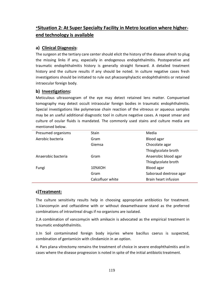# **\*Situation 2: At Super Specialty Facility in Metro location where higherend technology is available**

## **a) Clinical Diagnosis:**

The surgeon at the tertiary care center should elicit the history of the disease afresh to plug the missing links if any, especially in endogenous endophthalmitis. Postoperative and traumatic endophthalmitis history is generally straight forward. A detailed treatment history and the culture results if any should be noted. In culture negative cases fresh investigations should be initiated to rule out phacoanphylactic endophthalmitis or retained intraocular foreign body.

## **b) Investigations:**

Meticulous ultrasonogram of the eye may detect retained lens matter. Compuerised tomography may detect occult intraocular foreign bodies in traumatic endophthalmitis. Special investigations like polymerase chain reaction of the vitreous or aqueous samples may be an useful additional diagnostic tool in culture negative cases. A repeat smear and culture of ocular fluids is mandated. The commonly used stains and culture media are mentioned below.

| Presumed organisms | Stain            | Media                  |
|--------------------|------------------|------------------------|
| Aerobic bacteria   | Gram             | Blood agar             |
|                    | Giemsa           | Chocolate agar         |
|                    |                  | Thioglycolate broth    |
| Anaerobic bacteria | Gram             | Anaerobic blood agar   |
|                    |                  | Thioglycolate broth    |
| Fungi              | 10%KOH           | Blood agar             |
|                    | Gram             | Saboraud dextrose agar |
|                    | Calcofluor white | Brain heart infusion   |

## **c)Treatment:**

The culture sensitivity results help in choosing appropriate antibiotics for treatment. 1.Vancomycin and ceftazidime with or without dexamethasone stand as the preferred combinations of intravitreal drugs if no organisms are isolated.

2.A combination of vancomycin with amikacin is advocated as the empirical treatment in traumatic endophthalmitis.

3.In Soil contaminated foreign body injuries where bacillus caerus is suspected, combination of gentamicin with clindamicin in an option.

4. Pars plana vitrectomy remains the treatment of choice in severe endophthalmitis and in cases where the disease progression is noted in spite of the initial antibiotic treatment.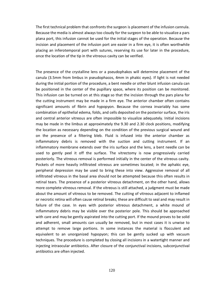The first technical problem that confronts the surgeon is placement of the infusion cannula. Because the media is almost always too cloudy for the surgeon to be able to visualize a pars plana port, this infusion cannot be used for the initial stages of the operation. Because the incision and placement of the infusion port are easier in a firm eye, it is often worthwhile placing an inferotemporal port with sutures, reserving its use for later in the procedure, once the location of the tip in the vitreous cavity can be verified.

The presence of the crystalline lens or a pseudophakos will determine placement of the canula (3.5mm from limbus in pseudophacos, 4mm in phakic eyes). If light is not needed during the initial portion of the procedure, a bent needle or other blunt infusion canula can be positioned in the center of the pupillary space, where its position can be monitored. This infusion can be turned on at this stage so that the incision through the pars plana for the cutting instrument may be made in a firm eye. The anterior chamber often contains significant amounts of fibrin and hypopyon. Because the cornea invariably has some combination of epithelial edema, folds, and cells deposited on the posterior surface, the iris and central anterior vitreous are often impossible to visualize adequately. Initial incisions may be made in the limbus at approximately the 9.30 and 2.30 clock positions, modifying the location as necessary depending on the condition of the previous surgical wound and on the presence of a filtering bleb. Fluid is infused into the anterior chamber as inflammatory debris is removed with the suction and cutting instrument. If an inflammatory membrane extends over the iris surface and the lens, a bent needle can be used to gently peel it off the surface. The vitrectomy is now progressively carried posteriorly. The vitreous removal is performed initially in the center of the vitreous cavity. Pockets of more heavily infiltrated vitreous are sometimes located; in the aphakic eye, peripheral depression may be used to bring these into view. Aggressive removal of all infiltrated vitreous in the basal area should not be attempted because this often results in retinal tears. The presence of a posterior vitreous detachment, on the other hand, allows more complete vitreous removal. If the vitreous is still attached, a judgment must be made about the amount of vitreous to be removed. The cutting of vitreous adjacent to inflamed or necrotic retina will often cause retinal breaks; these are difficult to seal and may result in failure of the case. In eyes with posterior vitreous detachment, a white mound of inflammatory debris may be visible over the posterior pole. This should be approached with care and may be gently aspirated into the cutting port. If the mound proves to be solid and adherent, small amounts can usually be removed, but in most cases it is unwise to attempt to remove large portions. In some instances the material is flocculent and equivalent to an unorganized hypopyon; this can be gently sucked up with vacuum techniques. The procedure is completed by closing all incisions in a watertight manner and injecting intraocular antibiotics. After closure of the conjunctival incisions, subconjunctival antibiotics are often injected.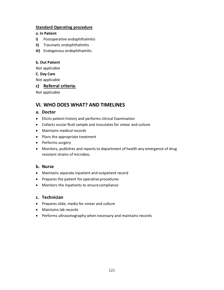#### **Standard Operating procedure**

#### **a. In Patient**

- **i)** Postoperative endophthalmitis
- **ii)** Traumatic endophthalmitis
- **iii)** Endogenous endophthamitis

#### **b. Out Patient**

Not applicable

#### **C. Day Care**

Not applicable

## **c) Referral criteria:**

Not applicable

# **VI. WHO DOES WHAT? AND TIMELINES**

#### **a. Doctor**

- · Elicits patient history and performs clinical Examination
- · Collects ocular fluid sample and inoculates for smear and culture
- · Maintains medical records
- · Plans the appropriate treatment
- Performs surgery
- · Monitors, publishes and reports to department of health any emergence of drug resistant strains of microbes.

## **b. Nurse**

- · Maintains separate inpatient and outpatient record
- · Prepares the patient for operative procedures
- · Monitors the inpatients to ensurecompliance

## **c. Technician**

- · Prepares slide, media for smear and culture
- · Maintains lab records
- · Performs ultrasonography when necessary and maintains records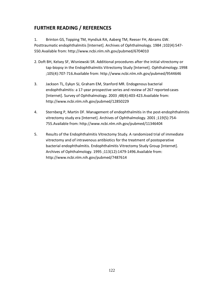# **FURTHER READING / REFERENCES**

1. Brinton GS, Topping TM, Hyndiuk RA, Aaberg TM, Reeser FH, Abrams GW. Posttraumatic endophthalmitis [Internet]. Archives of Ophthalmology. 1984 ;102(4):547- 550.Available from: <http://www.ncbi.nlm.nih.gov/pubmed/6704010>

- 2. Doft BH, Kelsey SF, Wisniewski SR. Additional procedures after the initial vitrectomy or tap-biopsy in the Endophthalmitis Vitrectomy Study [Internet]. Ophthalmology.1998 ;105(4):707-716.Available fro[m: http://www.ncbi.nlm.nih.gov/pubmed/9544646](http://www.ncbi.nlm.nih.gov/pubmed/9544646)
- 3. Jackson TL, Eykyn SJ, Graham EM, Stanford MR. Endogenous bacterial endophthalmitis: a 17-year prospective series and review of 267 reported cases [Internet]. Survey of Ophthalmology. 2003 ;48(4):403-423.Available from: http://www.ncbi.nlm.nih.gov/pubmed/12850229
- 4. Sternberg P, Martin DF. Management of endophthalmitis in the post-endophthalmitis vitrectomy study era [Internet]. Archives of Ophthalmology. 2001 ;119(5):754- 755.Available from: http://www.ncbi.nlm.nih.gov/pubmed/11346404
- 5. Results of the En[dophthalmitis Vitrectomy Study. A randomized trial o](http://www.ncbi.nlm.nih.gov/pubmed/11346404)f immediate vitrectomy and of intravenous antibiotics for the treatment of postoperative bacterial endophthalmitis. Endophthalmitis Vitrectomy Study Group [Internet]. Archives of Ophthalmology. 1995 ;113(12):1479-1496.Available from: http://www.ncbi.nlm.nih.gov/pubmed/7487614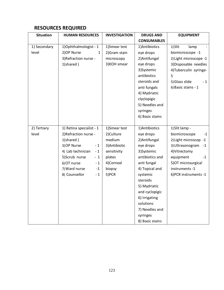# **RESOURCES REQUIRED**

| <b>Situation</b> | <b>HUMAN RESOURCES</b>      | <b>INVESTIGATION</b> | <b>DRUGS AND</b>   | <b>EQUIPMENT</b>         |
|------------------|-----------------------------|----------------------|--------------------|--------------------------|
|                  |                             |                      | <b>CONSUMABLES</b> |                          |
| 1) Secondary     | 1) Ophthalmologist - 1      | 1)Smear test         | 1) Antibiotics     | 1) Slit<br>lamp          |
| level            | 2) OP Nurse<br>$\mathbf{1}$ | 2) Gram stain        | eye drops          | biomicroscope -1         |
|                  | 3) Refraction nurse -       | microscopy           | 2) Antifungal      | 2) Light microscope -1   |
|                  | $1$ (shared)                | 3) KOH smear         | eye drops          | 3) Disposable needles    |
|                  |                             |                      | 3) Systemic        | 4) Tuberculin syringe-   |
|                  |                             |                      | antibiotics        | 5                        |
|                  |                             |                      | steroids and       | 5) Glass slide<br>$-1$   |
|                  |                             |                      | anti fungals       | 6) Basic stains - 1      |
|                  |                             |                      | 4) Mydriatic       |                          |
|                  |                             |                      | clyclopigic        |                          |
|                  |                             |                      | 5) Needles and     |                          |
|                  |                             |                      | syringes           |                          |
|                  |                             |                      | 6) Basic stains    |                          |
|                  |                             |                      |                    |                          |
| 2) Tertiary      | 1) Retina specialist - 1    | 1)Smear test         | 1) Antibiotics     | 1) Slit lamp -           |
| level            | 2) Refraction nurse -       | 2)Culture            | eye drops          | biomicroscope<br>$-1$    |
|                  | $1$ (shared)                | medium               | 2) Antifungal      | 2) Light microscop -1    |
|                  | 3) OP Nurse<br>$-1$         | 3) Antibiotic        | eye drops          | 3) Ultrasonogram<br>$-1$ |
|                  | 4) Lab technician<br>$-1$   | sensitivity          | 3) Systemic        | 4) Vitrectomy            |
|                  | 5)Scrub nurse<br>$-1$       | plates               | antibiotics and    | equipment<br>$-1$        |
|                  | 6) OT nurse<br>- 1          | 4)Corneal            | anti fungal        | 5) OT microsurgical      |
|                  | 7) Ward nurse<br>$-1$       | biopsy               | 4) Topical and     | instruments -1           |
|                  | 8) Counsellor<br>$-1$       | 5)PCR                | systemic           | 6) PCR instruments -1    |
|                  |                             |                      | steroids           |                          |
|                  |                             |                      | 5) Mydriatic       |                          |
|                  |                             |                      | and cyclopigic     |                          |
|                  |                             |                      | 6) Irrigating      |                          |
|                  |                             |                      | solutions          |                          |
|                  |                             |                      | 7) Needles and     |                          |
|                  |                             |                      | syringes           |                          |
|                  |                             |                      | 8) Basic stains    |                          |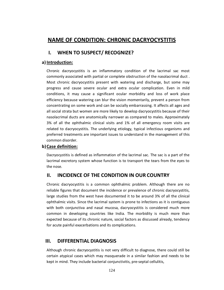# **NAME OF CONDITION: CHRONIC DACRYOCYSTITIS**

## **I. WHEN TO SUSPECT/ RECOGNIZE?**

#### **a) Introduction:**

Chronic dacryocystitis is an inflammatory condition of the lacrimal sac most commonly associated with partial or complete obstruction of the nasolacrimal duct . Most chronic dacryocystitis present with watering and discharge, but some may progress and cause severe ocular and extra ocular complication. Even in mild conditions, it may cause a significant ocular morbidity and loss of work place efficiency because watering can blur the vision momentarily, prevent a person from concentrating on some work and can be socially embarrassing. It affects all ages and all social strata but women are more likely to develop dacryocystitis because of their nasolacrimal ducts are anatomically narrower as compared to males. Approximately 3% of all the ophthalmic clinical visits and 1% of all emergency room visits are related to dacryocystitis. The underlying etiology, typical infectious organisms and preferred treatments are important issues to understand in the management of this common disorder.

## **b)Case definition:**

Dacryocystitis is defined as inflammation of the lacrimal sac. The sac is a part of the lacrimal excretory system whose function is to transport the tears from the eyes to the nose.

## **II. INCIDENCE OF THE CONDITION IN OUR COUNTRY**

Chronic dacryocystitis is a common ophthalmic problem. Although there are no reliable figures that document the incidence or prevalence of chronic dacryocystitis, large studies from the west have documented it to be around 3% of all the clinical ophthalmic visits. Since the lacrimal system is prone to infections as it is contiguous with both conjunctiva and nasal mucosa, dacryocystitis is considered much more common in developing countries like India. The morbidity is much more than expected because of its chronic nature, social factors as discussed already, tendency for acute painful exacerbations and its complications.

## **III. DIFFERENTIAL DIAGNOSIS**

Although chronic dacryocystitis is not very difficult to diagnose, there could still be certain atypical cases which may masquerade in a similar fashion and needs to be kept in mind. They include bacterial conjunctivitis, pre-septal cellulitis,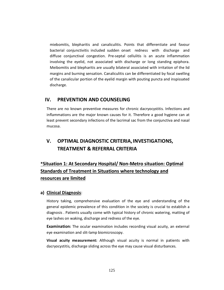miebomitis, blepharitis and canaliculitis. Points that differentiate and favour bacterial conjunctivitis included sudden onset redness with discharge and diffuse conjunctival congestion. Pre-septal cellulitis is an acute inflammation involving the eyelid, not associated with discharge or long standing epiphora. Meibomitis and blepharitis are usually bilateral associated with irritation of the lid margins and burning sensation. Canaliculitis can be differentiated by focal swelling of the canalicular portion of the eyelid margin with pouting puncta and inspissated discharge.

## **IV. PREVENTION AND COUNSELING**

There are no known preventive measures for chronic dacryocystitis. Infections and inflammations are the major known causes for it. Therefore a good hygiene can at least prevent secondary infections of the lacrimal sac from the conjunctiva and nasal mucosa.

# **V. OPTIMAL DIAGNOSTIC CRITERIA,INVESTIGATIONS, TREATMENT & REFERRAL CRITERIA**

# **\*Situation 1: At Secondary Hospital/ Non-Metro situation: Optimal Standards of Treatment in Situations where technology and resources are limited**

## **a) Clinical Diagnosis**:

History taking, comprehensive evaluation of the eye and understanding of the general epidemic prevalence of this condition in the society is crucial to establish a diagnosis . Patients usually come with typical history of chronic watering, matting of eye lashes on waking, discharge and redness of the eye.

**Examination:** The ocular examination includes recording visual acuity, an external eye examination and slit-lamp biomicroscopy.

**Visual acuity measurement:** Although visual acuity is normal in patients with dacryocystitis, discharge sliding across the eye may cause visual disturbances.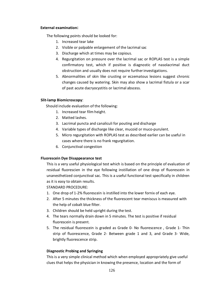#### **External examination:**

The following points should be looked for:

- 1. Increased tear lake
- 2. Visible or palpable enlargement of the lacrimal sac
- 3. Discharge which at times may be copious.
- 4. Regurgitation on pressure over the lacrimal sac or ROPLAS test is a simple confirmatory test, which if positive is diagnostic of nasolacrimal duct obstruction and usually does not require further investigations.
- 5. Abnormalities of skin like crusting or eczematous lesions suggest chronic changes caused by watering. Skin may also show a lacrimal fistula or a scar of past acute dacryocystitis or lacrimal abscess.

#### **Slit-lamp Biomicroscopy**:

Should include evaluation of the following:

- 1. Increased tear film height.
- 2. Matted lashes.
- 3. Lacrimal puncta and canaliculi for pouting and discharge
- 4. Variable types of discharge like clear, mucoid or muco-purulent.
- 5. Micro regurgitation with ROPLAS test as described earlier can be useful in cases where there is no frank regurgitation.
- 6. Conjunctival congestion

#### **Fluorescein Dye Disappearance test**

This is a very useful physiological test which is based on the principle of evaluation of residual fluorescien in the eye following instillation of one drop of fluorescein in unanesthetized conjunctival sac. This is a useful functional test specifically in children as it is easy to obtain results.

STANDARD PROCEDURE:

- 1. One drop of 1-2% fluorescein is instilled into the lower fornix of each eye.
- 2. After 5 minutes the thickness of the fluorescent tear meniscus is measured with the help of cobalt blue filter.
- 3. Children should be held upright during the test.
- 4. The tears normally drain down in 5 minutes. The test is positive if residual fluorescein is present.
- 5. The residual fluorescein is graded as Grade 0- No fluorescence , Grade 1- Thin strip of fluorescence, Grade 2- Between grade 1 and 3, and Grade 3- Wide, brightly fluorescence strip.

#### **Diagnostic Probing and Syringing**

This is a very simple clinical method which when employed appropriately give useful clues that helps the physician in knowing the presence, location and the form of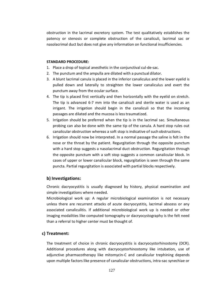obstruction in the lacrimal excretory system. The test qualitatively establishes the patency or stenosis or complete obstruction of the canaliculi, lacrimal sac or nasolacrimal duct but does not give any information on functional insufficiencies.

#### **STANDARD PROCEDURE:**

- 1. Place a drop of topical anesthetic in the conjunctival cul-de-sac.
- 2. The punctum and the ampulla are dilated with a punctual dilator.
- 3. A blunt lacrimal canula is placed in the inferior canaliculus and the lower eyelid is pulled down and laterally to straighten the lower canaliculus and evert the punctum away from the ocular surface.
- 4. The tip is placed first vertically and then horizontally with the eyelid on stretch. The tip is advanced 6-7 mm into the canaliculi and sterile water is used as an irrigant. The irrigation should begin in the canaliculi so that the incoming passages are dilated and the mucosa is lesstraumatized.
- 5. Irrigation should be preferred when the tip is in the lacrimal sac. Simultaneous probing can also be done with the same tip of the canula. A hard stop rules out canalicular obstruction whereas a soft stop is indicative of such obstructions.
- 6. Irrigation should now be interpreted. In a normal passage the saline is felt in the nose or the throat by the patient. Regurgitation through the opposite punctum with a hard stop suggests a nasolacrimal duct obstruction. Regurgitation through the opposite punctum with a soft stop suggests a common canalicular block. In cases of upper or lower canalicular block, regurgitation is seen through the same puncta. Partial regurgitation is associated with partial blocks respectively.

#### **b) Investigations:**

Chronic dacryocystitis is usually diagnosed by history, physical examination and simple investigations where needed.

Microbiological work up: A regular microbiological examination is not necessary unless there are recurrent attacks of acute dacryocystitis, lacrimal abscess or any associated canaliculitis. If additional microbiological work up is needed or other imaging modalities like computed tomography or dacryocystography is the felt need than a referral to higher center must be thought of.

#### **c) Treatment:**

The treatment of choice in chronic dacryocystitis is dacryocystorhinostomy (DCR). Additional procedures along with dacryocystorhinostomy like intubation, use of adjunctive pharmacotherapy like mitomycin-C and canalicular trephining depends upon multiple factors like presence of canalicular obstructions, intra-sac synechiae or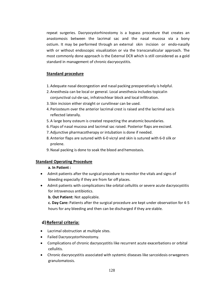repeat surgeries. Dacryocystorhinostomy is a bypass procedure that creates an anastomosis between the lacrimal sac and the nasal mucosa via a bony ostium. It may be performed through an external skin incision or endo-nasally with or without endoscopic visualization or via the transcanalicular approach. The most commonly done approach is the External DCR which is still considered as a gold standard in management of chronic dacryocystitis.

## **Standard procedure**

- 1.Adequate nasal decongestion and nasal packing preoperatively is helpful.
- 2.Anesthesia can be local or general. Local anesthesia includes topicalin conjunctival cul-de-sac, infratrochlear block and local infiltration.
- 3. Skin incision either straight or curvilinear can be used.
- 4. Periosteum over the anterior lacrimal crest is raised and the lacrimal sacis reflected laterally.
- 5.A large bony osteum is created respecting the anatomic boundaries.
- 6. Flaps of nasal mucosa and lacrimal sac raised. Posterior flaps are excised.
- 7.Adjunctive pharmacotherapy or intubation is done if needed.
- 8.Anterior flaps are sutured with 6-0 vicryl and skin is sutured with 6-0 silk or prolene.
- 9.Nasal packing is done to soak the blood and hemostasis.

#### **Standard Operating Procedure**

#### **a. In Patient :**

- · Admit patients after the surgical procedure to monitor the vitals and signs of bleeding especially if they are from far off places.
- · Admit patients with complications like orbital cellulitis or severe acute dacryocystitis for intravenous antibiotics.

**b. Out Patient:** Not applicable.

**c. Day Care:** Patients after the surgical procedure are kept under observation for 4-5 hours for any bleeding and then can be discharged if they are stable.

## **d)Referral criteria:**

- Lacrimal obstruction at multiple sites.
- Failed Dacryocystorhinostomy.
- Complications of chronic dacryocystitis like recurrent acute exacerbations or orbital cellulitis.
- · Chronic dacryocystitis associated with systemic diseases like sarcoidosis orwegeners granulomatosis.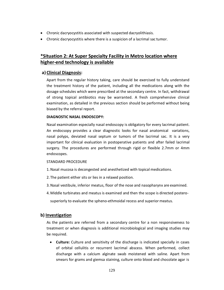- · Chronic dacryocystitis associated with suspected dacryolithiasis.
- Chronic dacryocystitis where there is a suspicion of a lacrimal sac tumor.

# **\*Situation 2: At Super Specialty Facility in Metro location where higher-end technology is available**

#### **a) Clinical Diagnosis:**

Apart from the regular history taking, care should be exercised to fully understand the treatment history of the patient, including all the medications along with the dosage schedules which were prescribed at the secondary centre. In fact, withdrawal of strong topical antibiotics may be warranted. A fresh comprehensive clinical examination, as detailed in the previous section should be performed without being biased by the referral report.

#### **DIAGNOSTIC NASAL ENDOSCOPY:**

Nasal examination especially nasal endoscopy is obligatory for every lacrimal patient. An endocsopy provides a clear diagnostic looks for nasal anatomical variations, nasal polyps, deviated nasal septum or tumors of the lacrimal sac. It is a very important for clinical evaluation in postoperative patients and after failed lacrimal surgery. The procedures are performed through rigid or flexible 2.7mm or 4mm endoscopes.

#### STANDARD PROCEDURE

- 1.Nasal mucosa is decongested and anesthetized with topical medications.
- 2. The patient either sits or lies in a relaxed position.
- 3.Nasal vestibule, inferior meatus, floor of the nose and nasopharynx are examined.
- 4.Middle turbinates and meatus is examined and then the scope is directed postero-

superiorly to evaluate the spheno-ethmoidal recess and superior meatus.

#### **b) Investigation**

As the patients are referred from a secondary centre for a non responsiveness to treatment or when diagnosis is additional microbiological and imaging studies may be required.

· **Culture:** Culture and sensitivity of the discharge is indicated specially in cases of orbital cellulitis or recurrent lacrimal abscess. When performed, collect discharge with a calcium alginate swab moistened with saline. Apart from smears for grams and giemsa staining, culture onto blood and chocolate agar is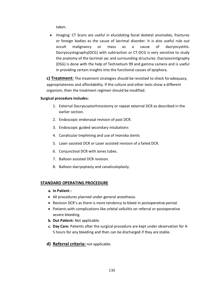taken.

· Imaging: CT Scans are useful in elucidating facial skeletal anomalies, fractures or foreign bodies as the cause of lacrimal disorder. It is also useful rule out occult malignancy or mass as a cause of dacryocystitis. Dacryocystography(DCG) with subtraction or CT-DCG is very sensitive to study the anatomy of the lacrimal sac and surrounding structures. Dacryoscintigraphy (DSG) is done with the help of Technetium 99 and gamma camera and is useful in providing certain insights into the functional causes of epiphora.

**c) Treatment:** The treatment strategies should be revisited to check foradequacy, appropriateness and affordability. If the culture and other tests show a different organism, then the treatment regimen should be modified.

#### **Surgical procedure includes:**

- 1. External Dacryocystorhinostomy or repeat external DCR as described in the earlier section.
- 2. Endoscopic endonasal revision of past DCR.
- 3. Endoscopic guided secondary intubations
- 4. Canalicular trephining and use of monoka stents
- 5. Laser assisted DCR or Laser assisted revision of a failed DCR.
- 6. Conjunctival DCR with Jones tubes.
- 7. Balloon assisted DCR revision.
- 8. Balloon dacryoplasty and canaliculoplasty.

## **STANDARD OPERATING PROCEDURE**

#### **a. In Patient :**

- · All procedures planned under general anesthesia.
- · Revision DCR's as there is more tendency to bleed in postoperative period.
- · Patients with complications like orbital cellulitis on referral or postoperative severe bleeding.
- **b. Out Patient:** Not applicable.
- **c. Day Care:** Patients after the surgical procedure are kept under observation for 4- 5 hours for any bleeding and then can be discharged if they are stable.
- **d) Referral criteria:** not applicable.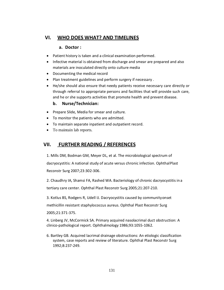# **VI. WHO DOES WHAT? AND TIMELINES**

## **a. Doctor :**

- · Patient history is taken and a clinical examination performed.
- · Infective material is obtained from discharge and smear are prepared and also materials are inoculated directly onto culture media
- · Documenting the medical record
- · Plan treatment guidelines and perform surgery if necessary .
- · He/she should also ensure that needy patients receive necessary care directly or through referral to appropriate persons and facilities that will provide such care, and he or she supports activities that promote health and prevent disease.

## **b. Nurse/Technician:**

- · Prepare Slide, Media for smear and culture.
- · To monitor the patients who are admitted.
- · To maintain separate inpatient and outpatient record.
- To maintain lab reports.

# **VII. FURTHER READING / REFERENCES**

1. Mills DM, Bodman GM, Meyer DL, et al. The microbiological spectrum of dacryocystitis: A national study of acute versus chronic infection. OphthalPlast Reconstr Surg 2007;23:302-306.

2. Chaudhry IA, Shamsi FA, Rashed WA. Bacteriology of chronic dacryocystitis in a tertiary care center. Ophthal Plast Reconstr Surg 2005;21:207-210.

3. Kotlus BS, Rodgers R, Udell IJ. Dacryocystitis caused by communityonset

methicillin resistant staphylococcus aureus. Ophthal Plast Reconstr Surg

2005;21:371-375.

4. Linberg JV, McCormick SA. Primary acquired nasolacrimal duct obstruction: A clinico-pathological report. Ophthalmology 1986;93:1055-1062.

6. Bartley GB. Acquired lacrimal drainage obstructions: An etiologic classification system, case reports and review of literature. Ophthal Plast Reconstr Surg 1992;8:237-249.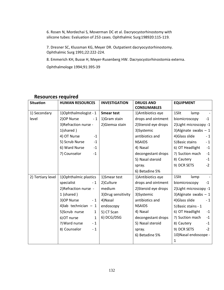6. Rosen N, Mordechai S, Moverman DC et al. Dacryocystorhinostomy with silicone tubes: Evaluation of 253 cases. Ophthalmic Surg198920:115-119.

7. Dresner SC, Klussman KG, Meyer DR. Outpatient dacryocystorhinostomy. Ophthalmic Surg 1991;22:222-224.

8. Emmerich KH, Busse H, Meyer-Rusenberg HW. Dacryocystorhinostomia externa.

Ophthalmologe 1994;91:395-39

| <b>Situation</b>  | <b>HUMAN RESOURCES</b>        | <b>INVESTIGATION</b> | <b>DRUGS AND</b><br><b>CONSUMABLES</b> | <b>EQUIPMENT</b>        |
|-------------------|-------------------------------|----------------------|----------------------------------------|-------------------------|
| 1) Secondary      | 1) Ophthalmologist - 1        | <b>Smear test</b>    | 1) Antibiotics eye                     | 1Slit<br>lamp           |
| level             | 2) OP Nurse<br>$-1$           | 1) Gram stain        | drops and ointment                     | biomicroscopy<br>$-1$   |
|                   | 3) Refraction nurse -         | 2) Giemsa stain      | 2) Steroid eye drops                   | 2) Light microscopy -1  |
|                   | $1$ (shared)                  |                      | 3)Systemic                             | 3) Alginate swabs $-1$  |
|                   | 4) OT Nurse<br>$-1$           |                      | antibiotics and                        | 4) Glass slide<br>- 1   |
|                   | 5) Scrub Nurse<br>$-1$        |                      | <b>NSAIDS</b>                          | 5) Basic stains<br>$-1$ |
|                   | 6) Ward Nurse<br>$-1$         |                      | 4) Nasal                               | 6) OT Headlight<br>$-1$ |
|                   | 7) Counselor<br>$-1$          |                      | decongestant drops                     | 7) Suction mach<br>$-1$ |
|                   |                               |                      | 5) Nasal steroid                       | 8) Cautery<br>$-1$      |
|                   |                               |                      | spray.                                 | 9) DCR SETS<br>$-2$     |
|                   |                               |                      | 6) Betadine 5%                         |                         |
| 2) Tertiary level | 1) Ophthalmic plastics        | 1)Smear test         | 1) Antibiotics eye                     | 1Slit<br>lamp           |
|                   | specialist<br>$-1$            | 2)Culture            | drops and ointment                     | biomicroscopy<br>$-1$   |
|                   | 2) Refraction nurse -         | medium               | 2) Steroid eye drops                   | 2) Light microscopy -1  |
|                   | 1 (shared)                    | 3) Drug sensitivity  | 3)Systemic                             | 3) Alginate swabs $-1$  |
|                   | 3) OP Nurse<br>$-1$           | 4) Nasal             | antibiotics and                        | 4) Glass slide<br>$-1$  |
|                   | 4) lab technician $-1$        | endoscopy            | <b>NSAIDS</b>                          | 5) Basic stains - 1     |
|                   | 5)Scrub nurse<br>$\mathbf{1}$ | 5) CT Scan           | 4) Nasal                               | 6) OT Headlight<br>$-1$ |
|                   | 6) OT nurse<br>$\mathbf{1}$   | 6) DCG/DSG           | decongestant drops                     | 7) Suction mach<br>$-1$ |
|                   | 7) Ward nurse<br>$-1$         |                      | 5) Nasal steroid                       | 8) Cautery<br>$-1$      |
|                   | 8) Counselor<br>$-1$          |                      | spray.                                 | 9) DCR SETS<br>$-2$     |
|                   |                               |                      | 6) Betadine 5%                         | 10) Nasal endoscope -   |
|                   |                               |                      |                                        | 1                       |

# **Resources required**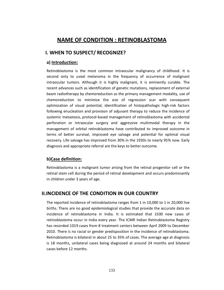# **NAME OF CONDITION : RETINOBLASTOMA**

## **I. WHEN TO SUSPECT/ RECOGNIZE?**

#### **a) Introduction:**

Retinoblastoma is the most common intraocular malignancy of childhood. It is second only to uveal melanoma in the frequency of occurrence of malignant intraocular tumors. Although it is highly malignant, it is eminently curable. The recent advances such as identification of genetic mutations, replacement of external beam radiotherapy by chemoreduction as the primary management modality, use of chemoreduction to minimize the size of regression scar with consequent optimization of visual potential, identification of histopathologic high-risk factors following enucleation and provision of adjuvant therapy to reduce the incidence of systemic metastasis, protocol-based management of retinoblastoma with accidental perforation or intraocular surgery and aggressive multimodal therapy in the management of orbital retinoblastoma have contributed to improved outcome in terms of better survival, improved eye salvage and potential for optimal visual recovery. Life salvage has improved from 30% in the 1930s to nearly 95% now. Early diagnosis and appropriate referral are the keys to better outcome.

## **b)Case definition:**

Retinoblastoma is a malignant tumor arising from the retinal progenitor cell or the retinal stem cell during the period of retinal development and occurs predominantly in children under 3 years of age.

## **II.INCIDENCE OF THE CONDITION IN OUR COUNTRY**

The reported incidence of retinoblastoma ranges from 1 in 10,000 to 1 in 20,000 live births. There are no good epidemiological studies that provide the accurate data on incidence of retinoblastoma in India. It is estimated that 1500 new cases of retinoblastoma occur in India every year. The ICMR Indian Retinoblastoma Registry has recorded 1019 cases from 8 treatment centers between April 2009 to December 2010. There is no racial or gender predisposition in the incidence of retinoblastoma. Retinoblastoma is bilateral in about 25 to 35% of cases. The average age at diagnosis is 18 months, unilateral cases being diagnosed at around 24 months and bilateral cases before 12 months.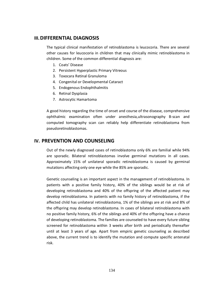## **III.DIFFERENTIAL DIAGNOSIS**

The typical clinical manifestation of retinoblastoma is leucocoria. There are several other causes for leucocoria in children that may clinically mimic retinoblastoma in children. Some of the common differential diagnosis are:

- 1. Coats' Disease
- 2. Persistent Hyperplastic Primary Vitreous
- 3. Toxocara Retinal Granuloma
- 4. Congenital or Developmental Cataract
- 5. Endogenous Endophthalmitis
- 6. Retinal Dysplasia
- 7. Astrocytic Hamartoma

A good history regarding the time of onset and course of the disease, comprehensive ophthalmic examination often under anesthesia,ultrasonography B-scan and computed tomography scan can reliably help differentiate retinoblastoma from pseudoretinoblastomas.

## **IV. PREVENTION AND COUNSELING**

Out of the newly diagnosed cases of retinoblastoma only 6% are familial while 94% are sporadic. Bilateral retinoblastomas involve germinal mutations in all cases. Approximately 15% of unilateral sporadic retinoblastoma is caused by germinal mutations affecting only one eye while the 85% are sporadic.

Genetic counseling is an important aspect in the management of retinoblastoma. In patients with a positive family history, 40% of the siblings would be at risk of developing retinoblastoma and 40% of the offspring of the affected patient may develop retinoblastoma. In patients with no family history of retinoblastoma, if the affected child has unilateral retinoblastoma, 1% of the siblings are at risk and 8% of the offspring may develop retinoblastoma. In cases of bilateral retinoblastoma with no positive family history, 6% of the siblings and 40% of the offspring have a chance of developing retinoblastoma. The families are counseled to have every future sibling screened for retinoblastoma within 3 weeks after birth and periodically thereafter until at least 3 years of age. Apart from empiric genetic counseling as described above, the current trend is to identify the mutation and compute specific antenatal risk.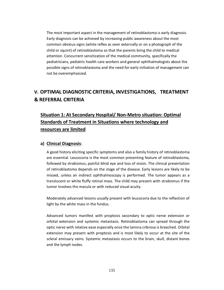The most important aspect in the management of retinoblastoma is early diagnosis. Early diagnosis can be achieved by increasing public awareness about the most common obvious signs (white reflex as seen externally or on a photograph of the child or squint) of retinoblastoma so that the parents bring the child to medical attention. Concurrent sensitization of the medical community, specifically the pediatricians, pediatric health care workers and general ophthalmologists about the possible signs of retinoblastoma and the need for early initiation of management can not be overemphasized.

# **V. OPTIMAL DIAGNOSTIC CRITERIA, INVESTIGATIONS, TREATMENT & REFERRAL CRITERIA**

# **Situation 1: At Secondary Hospital/ Non-Metro situation: Optimal Standards of Treatment in Situations where technology and resources are limited**

#### **a) Clinical Diagnosis**:

A good history eliciting specific symptoms and also a family history of retinoblastoma are essential. Leucocoria is the most common presenting feature of retinoblastoma, followed by strabismus, painful blind eye and loss of vision. The clinical presentation of retinoblastoma depends on the stage of the disease. Early lesions are likely to be missed, unless an indirect ophthalmoscopy is performed. The tumor appears as a translucent or white fluffy retinal mass. The child may present with strabismus if the tumor involves the macula or with reduced visual acuity.

Moderately advanced lesions usually present with leucocoria due to the reflection of light by the white mass in the fundus.

Advanced tumors manifest with proptosis secondary to optic nerve extension or orbital extension and systemic metastasis. Retinoblastoma can spread through the optic nerve with relative ease especially once the lamina cribrosa is breached. Orbital extension may present with proptosis and is most likely to occur at the site of the scleral emissary veins. Systemic metastasis occurs to the brain, skull, distant bones and the lymph nodes.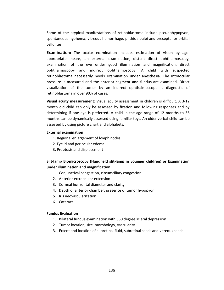Some of the atypical manifestations of retinoblastoma include pseudohypopyon, spontaneous hyphema, vitreous hemorrhage, phthisis bulbi and preseptal or orbital cellulites.

**Examination:** The ocular examination includes estimation of vision by ageappropriate means, an external examination, distant direct ophthalmoscopy, examination of the eye under good illumination and magnification, direct ophthalmoscopy and indirect ophthalmoscopy. A child with suspected retinoblastoma necessarily needs examination under anesthesia. The intraocular pressure is measured and the anterior segment and fundus are examined. Direct visualization of the tumor by an indirect ophthalmoscope is diagnostic of retinoblastoma in over 90% of cases.

**Visual acuity measurement:** Visual acuity assessment in children is difficult. A 3-12 month old child can only be assessed by fixation and following responses and by determining if one eye is preferred. A child in the age range of 12 months to 36 months can be dynamically assessed using familiar toys. An older verbal child can be assessed by using picture chart and alphabets.

#### **External examination**

- 1. Regional enlargement of lymph nodes
- 2. Eyelid and periocular edema
- 3. Proptosis and displacement

## **Slit-lamp Biomicroscopy (Handheld slit-lamp in younger children) or Examination under illumination and magnification**

- 1. Conjunctival congestion, circumciliary congestion
- 2. Anterior extraocular extension
- 3. Corneal horizontal diameter and clarity
- 4. Depth of anterior chamber, presence of tumor hypopyon
- 5. Iris neovascularization
- 6. Cataract

#### **Fundus Evaluation**

- 1. Bilateral fundus examination with 360 degree scleral depression
- 2. Tumor location, size, morphology, vascularity
- 3. Extent and location of subretinal fluid, subretinal seeds and vitreousseeds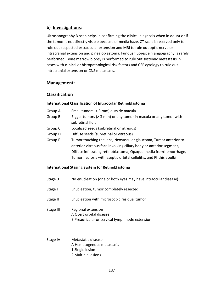## **b) Investigations**:

Ultrasonography B-scan helps in confirming the clinical diagnosis when in doubt or if the tumor is not directly visible because of media haze. CT-scan is reserved only to rule out suspected extraocular extension and MRI to rule out optic nerve or intracranial extension and pinealoblastoma. Fundus fluorescein angiography is rarely performed. Bone marrow biopsy is performed to rule out systemic metastasis in cases with clinical or histopathological risk factors and CSF cytology to rule out intracranial extension or CNS metastasis.

#### **Management:**

#### **Classification**

#### **International Classification of Intraocular Retinoblastoma**

| Group A | Small tumors (< 3 mm) outside macula                               |
|---------|--------------------------------------------------------------------|
| Group B | Bigger tumors (> 3 mm) or any tumor in macula or any tumor with    |
|         | subretinal fluid                                                   |
| Group C | Localized seeds (subretinal or vitreous)                           |
| Group D | Diffuse seeds (subretinal or vitreous)                             |
| Group E | Tumor touching the lens, Neovascular glaucoma, Tumor anterior to   |
|         | anterior vitreous face involving ciliary body or anterior segment, |
|         | Diffuse infiltrating retinoblastoma, Opaque media from hemorrhage, |
|         | Tumor necrosis with aseptic orbital cellulitis, and Phthisis bulbi |

#### **International Staging System for Retinoblastoma**

- Stage 0 No enucleation (one or both eyes may have intraocular disease)
- Stage I Enucleation, tumor completely resected
- Stage II Enucleation with microscopic residual tumor

Stage III Regional extension A Overt orbital disease B Preauricular or cervical lymph node extension

Stage IV Metastatic disease A Hematogenous metastasis 1 Single lesion 2 Multiple lesions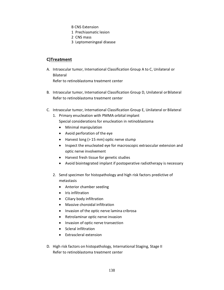- B CNS Extension
- 1 Prechiasmatic lesion
- 2 CNS mass
- 3 Leptomeningeal disease

# **C)Treatment**

- A. Intraocular tumor, International Classification Group A to C, Unilateral or Bilateral Refer to retinoblastoma treatment center
- B. Intraocular tumor, International Classification Group D, Unilateral or Bilateral Refer to retinoblastoma treatment center
- C. Intraocular tumor, International Classification Group E, Unilateral or Bilateral
	- 1. Primary enucleation with PMMA orbital implant Special considerations for enucleation in retinoblastoma
		- · Minimal manipulation
		- · Avoid perforation of the eye
		- Harvest long (> 15 mm) optic nerve stump
		- · Inspect the enucleated eye for macroscopic extraocular extension and optic nerve involvement
		- · Harvest fresh tissue for genetic studies
		- · Avoid biointegrated implant if postoperative radiotherapy is necessary
	- 2. Send specimen for histopathology and high risk factors predictive of metastasis
		- · Anterior chamber seeding
		- · Iris infiltration
		- · Ciliary body infiltration
		- · Massive choroidal infiltration
		- · Invasion of the optic nerve lamina cribrosa
		- · Retrolaminar optic nerve invasion
		- · Invasion of optic nerve transection
		- · Scleral infiltration
		- Extrascleral extension
- D. High risk factors on histopathology, International Staging, Stage II Refer to retinoblastoma treatment center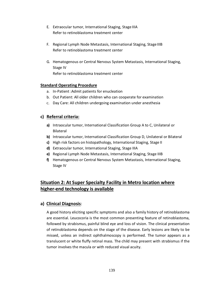- E. Extraocular tumor, International Staging, Stage IIIA Refer to retinoblastoma treatment center
- F. Regional Lymph Node Metastasis, International Staging, Stage IIIB Refer to retinoblastoma treatment center
- G. Hematogenous or Central Nervous System Metastasis, International Staging, Stage IV Refer to retinoblastoma treatment center

#### **Standard Operating Procedure**

- a. In-Patient :Admit patients for enucleation
- b. Out Patient: All older children who can cooperate for examination
- c. Day Care: All children undergoing examination under anesthesia

#### **c) Referral criteria:**

- **a)** Intraocular tumor, International Classification Group A to C, Unilateral or Bilateral
- **b)** Intraocular tumor, International Classification Group D, Unilateral or Bilateral
- **c)** High risk factors on histopathology, International Staging, Stage II
- **d)** Extraocular tumor, International Staging, Stage IIIA
- **e)** Regional Lymph Node Metastasis, International Staging, Stage IIIB
- **f)** Hematogenous or Central Nervous System Metastasis, International Staging, Stage IV

# **Situation 2: At Super Specialty Facility in Metro location where higher-end technology is available**

#### **a) Clinical Diagnosis**:

A good history eliciting specific symptoms and also a family history of retinoblastoma are essential. Leucocoria is the most common presenting feature of retinoblastoma, followed by strabismus, painful blind eye and loss of vision. The clinical presentation of retinoblastoma depends on the stage of the disease. Early lesions are likely to be missed, unless an indirect ophthalmoscopy is performed. The tumor appears as a translucent or white fluffy retinal mass. The child may present with strabismus if the tumor involves the macula or with reduced visual acuity.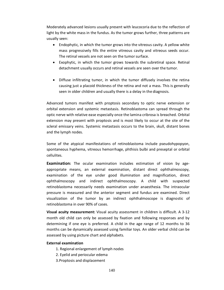Moderately advanced lesions usually present with leucocoria due to the reflection of light by the white mass in the fundus. As the tumor grows further, three patterns are usually seen:

- Endophytic, in which the tumor grows into the vitreous cavity. A yellow white mass progressively fills the entire vitreous cavity and vitreous seeds occur. The retinal vessels are not seen on the tumor surface.
- · Exophytic, in which the tumor grows towards the subretinal space. Retinal detachment usually occurs and retinal vessels are seen over the tumor.
- · Diffuse infiltrating tumor, in which the tumor diffusely involves the retina causing just a placoid thickness of the retina and not a mass. This is generally seen in older children and usually there is a delay in the diagnosis.

Advanced tumors manifest with proptosis secondary to optic nerve extension or orbital extension and systemic metastasis. Retinoblastoma can spread through the optic nerve with relative ease especially once the lamina cribrosa is breached. Orbital extension may present with proptosis and is most likely to occur at the site of the scleral emissary veins. Systemic metastasis occurs to the brain, skull, distant bones and the lymph nodes.

Some of the atypical manifestations of retinoblastoma include pseudohypopyon, spontaneous hyphema, vitreous hemorrhage, phthisis bulbi and preseptal or orbital cellulites.

**Examination:** The ocular examination includes estimation of vision by ageappropriate means, an external examination, distant direct ophthalmoscopy, examination of the eye under good illumination and magnification, direct ophthalmoscopy and indirect ophthalmoscopy. A child with suspected retinoblastoma necessarily needs examination under anaesthesia. The intraocular pressure is measured and the anterior segment and fundus are examined. Direct visualization of the tumor by an indirect ophthalmoscope is diagnostic of retinoblastoma in over 90% of cases.

**Visual acuity measurement:** Visual acuity assessment in children is difficult. A 3-12 month old child can only be assessed by fixation and following responses and by determining if one eye is preferred. A child in the age range of 12 months to 36 months can be dynamically assessed using familiar toys. An older verbal child can be assessed by using picture chart and alphabets.

#### **External examination**

- 1. Regional enlargement of lymph nodes
- 2. Eyelid and periocular edema
- 3.Proptosis and displacement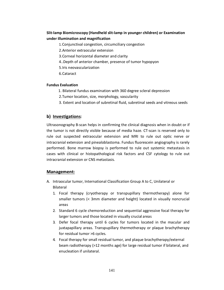## **Slit-lamp Biomicroscopy (Handheld slit-lamp in younger children) or Examination under illumination and magnification**

- 1.Conjunctival congestion, circumciliary congestion
- 2.Anterior extraocular extension
- 3.Corneal horizontal diameter and clarity
- 4..Depth of anterior chamber, presence of tumor hypopyon
- 5.Iris neovascularization
- 6.Cataract

#### **Fundus Evaluation**

- 1. Bilateral fundus examination with 360 degree scleral depression
- 2.Tumor location, size, morphology, vascularity
- 3. Extent and location of subretinal fluid, subretinal seeds and vitreous seeds

## **b) Investigations**:

Ultrasonography B-scan helps in confirming the clinical diagnosis when in doubt or if the tumor is not directly visible because of media haze. CT-scan is reserved only to rule out suspected extraocular extension and MRI to rule out optic nerve or intracranial extension and pinealoblastoma. Fundus fluorescein angiography is rarely performed. Bone marrow biopsy is performed to rule out systemic metastasis in cases with clinical or histopathological risk factors and CSF cytology to rule out intracranial extension or CNS metastasis.

#### **Management:**

- A. Intraocular tumor, International Classification Group A to C, Unilateral or Bilateral
	- 1. Focal therapy (cryotherapy or transpupillary thermotherapy) alone for smaller tumors (< 3mm diameter and height) located in visually noncrucial areas
	- 2. Standard 6 cycle chemoreduction and sequential aggressive focal therapy for larger tumors and those located in visually crucial areas
	- 3. Defer focal therapy until 6 cycles for tumors located in the macular and juxtapapillary areas. Transpupillary thermotherapy or plaque brachytherapy for residual tumor >6 cycles.
	- 4. Focal therapy for small residual tumor, and plaque brachytherapy/external beam radiotherapy (>12 months age) for large residual tumor if bilateral, and enucleation if unilateral.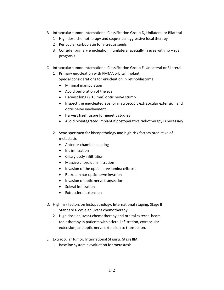- B. Intraocular tumor, International Classification Group D, Unilateral or Bilateral
	- 1. High dose chemotherapy and sequential aggressive focal therapy
	- 2. Periocular carboplatin for vitreous seeds
	- 3. Consider primary enucleation if unilateral specially in eyes with no visual prognosis
- C. Intraocular tumor, International Classification Group E, Unilateral or Bilateral
	- 1. Primary enucleation with PMMA orbital implant Special considerations for enucleation in retinoblastoma
		- · Minimal manipulation
		- · Avoid perforation of the eye
		- Harvest long (> 15 mm) optic nerve stump
		- · Inspect the enucleated eye for macroscopic extraocular extension and optic nerve involvement
		- · Harvest fresh tissue for genetic studies
		- · Avoid biointegrated implant if postoperative radiotherapy is necessary
	- 2. Send specimen for histopathology and high risk factors predictive of metastasis
		- · Anterior chamber seeding
		- · Iris infiltration
		- · Ciliary body infiltration
		- · Massive choroidal infiltration
		- · Invasion of the optic nerve lamina cribrosa
		- · Retrolaminar optic nerve invasion
		- · Invasion of optic nerve transection
		- · Scleral infiltration
		- · Extrascleral extension
- D. High risk factors on histopathology, International Staging, Stage II
	- 1. Standard 6 cycle adjuvant chemotherapy
	- 2. High dose adjuvant chemotherapy and orbital external beam radiotherapy in patients with scleral infiltration, extraocular extension, and optic nerve extension to transection.
- E. Extraocular tumor, International Staging, Stage IIIA
	- 1. Baseline systemic evaluation for metastasis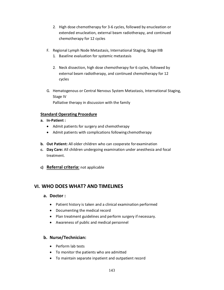- 2. High dose chemotherapy for 3-6 cycles, followed by enucleation or extended enucleation, external beam radiotherapy, and continued chemotherapy for 12 cycles
- F. Regional Lymph Node Metastasis, International Staging, Stage IIIB
	- 1. Baseline evaluation for systemic metastasis
	- 2. Neck dissection, high dose chemotherapy for 6 cycles, followed by external beam radiotherapy, and continued chemotherapy for 12 cycles
- G. Hematogenous or Central Nervous System Metastasis, International Staging, Stage IV Palliative therapy in discussion with the family

#### **Standard Operating Procedure**

- **a. In-Patient :**
	- · Admit patients for surgery and chemotherapy
	- · Admit patients with complications following chemotherapy
- **b. Out Patient:** All older children who can cooperate forexamination
- **c. Day Care:** All children undergoing examination under anesthesia and focal treatment.
- **c) Referral criteria:** not applicable

# **VI. WHO DOES WHAT? AND TIMELINES**

## **a. Doctor :**

- · Patient history is taken and a clinical examination performed
- · Documenting the medical record
- · Plan treatment guidelines and perform surgery if necessary.
- · Awareness of public and medical personnel

## **b. Nurse/Technician:**

- · Perform lab tests
- · To monitor the patients who are admitted
- · To maintain separate inpatient and outpatient record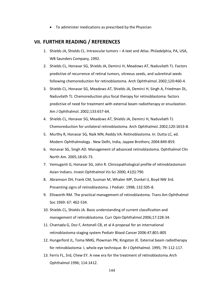· To administer medications as prescribed by the Physician

#### **VII. FURTHER READING / REFERENCES**

- 1. Shields JA, Shields CL. Intraocular tumors A text and Atlas. Philadelphia, PA, USA, WB Saunders Company, 1992.
- 2. Shields CL, Honavar SG, Shields JA, Demirci H, Meadows AT, Naduvilath TJ. Factors predictive of recurrence of retinal tumors, vitreous seeds, and subretinal seeds following chemoreduction for retinoblastoma. Arch Ophthalmol. 2002;120:460-4.
- 3. Shields CL, Honavar SG, Meadows AT, Shields JA, Demirci H, Singh A, Friedman DL, Naduvilath TJ. Chemoreduction plus focal therapy for retinoblastoma: factors predictive of need for treatment with external beam radiotherapy or enucleation. Am J Ophthalmol. 2002;133:657-64.
- 4. Shields CL, Honavar SG, Meadows AT, Shields JA, Demirci H, Naduvilath TJ. Chemoreduction for unilateral retinoblastoma. Arch Ophthalmol. 2002;120:1653-8.
- 5. Murthy R, Honavar SG, Naik MN, Reddy VA. Retinoblastoma. In: Dutta LC, ed. Modern Ophthalmology . New Delhi, India, Jaypee Brothers; 2004:849-859.
- 6. Honavar SG, Singh AD. Management of advanced retinoblastoma. Ophthalmol Clin North Am. 2005;18:65-73.
- 7. Vemuganti G, Honavar SG, John R. Clinicopathological profile of retinoblastomain Asian Indians. Invest Ophthalmol Vis Sci 2000; 41(S):790.
- 8. Abramson DH, Frank CM, Susman M, Whalen MP, Dunkel IJ, Boyd NW 3rd. Presenting signs of retinoblastoma. J Pediatr. 1998; 132:505-8.
- 9. Ellsworth RM. The practical management of retinoblastoma. Trans Am Ophthalmol Soc 1969: 67: 462-534.
- 10. Shields CL, Shields JA. Basic understanding of current classification and management of retinoblastoma. Curr OpinOphthalmol.2006;17:228-34.
- 11. Chantada G, Doz F, Antoneli CB, et al A proposal for an international retinoblastoma staging system Pediatr Blood Cancer 2006:47;801-805
- 12. Hungerford JL, Toma NMG, Plowman PN, Kingston JE. External beam radiotherapy for retinoblastoma: I, whole eye technique. Br J Ophthalmol. 1995; 79: 112-117.
- 13. Ferris FL, 3rd, Chew EY. A new era for the treatment of retinoblastoma.Arch Ophthalmol 1996; 114:1412.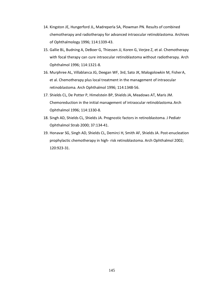- 14. Kingston JE, Hungerford JL, Madreperla SA, Plowman PN. Results of combined chemotherapy and radiotherapy for advanced intraocular retinoblastoma. Archives of Ophthalmology 1996; 114:1339-43.
- 15. Gallie BL, Budning A, DeBoer G, Thiessen JJ, Koren G, Verjee Z, et al. Chemotherapy with focal therapy can cure intraocular retinoblastoma without radiotherapy. Arch Ophthalmol 1996; 114:1321-8.
- 16. Murphree AL, Villablanca JG, Deegan WF, 3rd, Sato JK, Malogolowkin M, FisherA, et al. Chemotherapy plus local treatment in the management of intraocular retinoblastoma. Arch Ophthalmol 1996; 114:1348-56.
- 17. Shields CL, De Potter P, Himelstein BP, Shields JA, Meadows AT, Maris JM. Chemoreduction in the initial management of intraocular retinoblastoma.Arch Ophthalmol 1996; 114:1330-8.
- 18. Singh AD, Shields CL, Shields JA. Prognostic factors in retinoblastoma. J Pediatr Ophthalmol Strab 2000; 37:134-41.
- 19. Honavar SG, Singh AD, Shields CL, Demirci H, Smith AF, Shields JA. Post-enucleation prophylactic chemotherapy in high- risk retinoblastoma. Arch Ophthalmol 2002; 120:923-31.